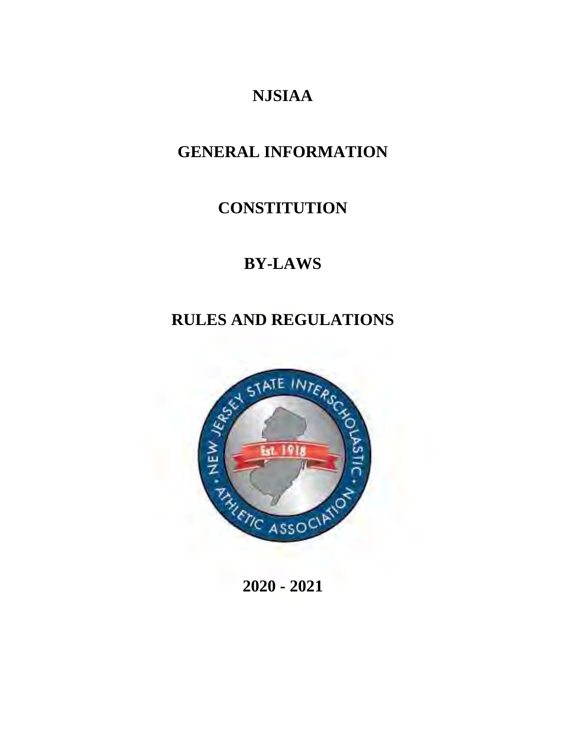# **NJSIAA**

# **GENERAL INFORMATION**

# **CONSTITUTION**

# **BY-LAWS**

# **RULES AND REGULATIONS**



**2020 - 2021**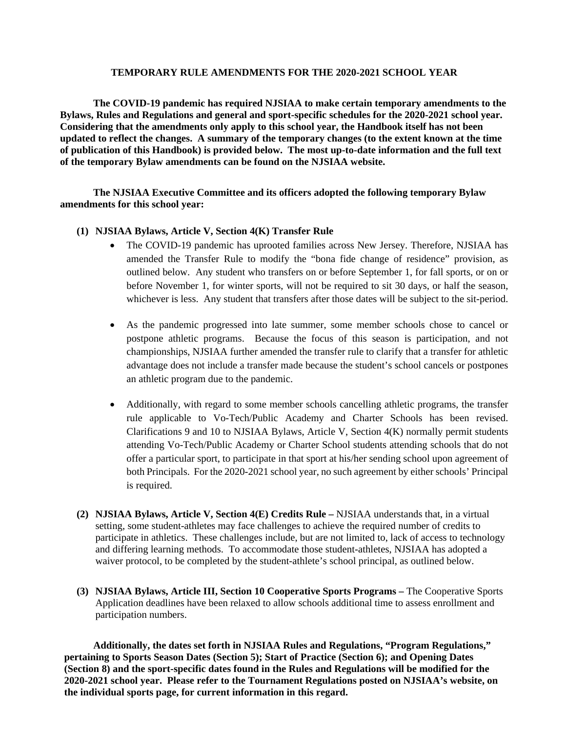#### **TEMPORARY RULE AMENDMENTS FOR THE 2020-2021 SCHOOL YEAR**

 **The COVID-19 pandemic has required NJSIAA to make certain temporary amendments to the Bylaws, Rules and Regulations and general and sport-specific schedules for the 2020-2021 school year. Considering that the amendments only apply to this school year, the Handbook itself has not been updated to reflect the changes. A summary of the temporary changes (to the extent known at the time of publication of this Handbook) is provided below. The most up-to-date information and the full text of the temporary Bylaw amendments can be found on the NJSIAA website.** 

 **The NJSIAA Executive Committee and its officers adopted the following temporary Bylaw amendments for this school year:** 

# **(1) NJSIAA Bylaws, Article V, Section 4(K) Transfer Rule**

- The COVID-19 pandemic has uprooted families across New Jersey. Therefore, NJSIAA has amended the Transfer Rule to modify the "bona fide change of residence" provision, as outlined below. Any student who transfers on or before September 1, for fall sports, or on or before November 1, for winter sports, will not be required to sit 30 days, or half the season, whichever is less. Any student that transfers after those dates will be subject to the sit-period.
- As the pandemic progressed into late summer, some member schools chose to cancel or postpone athletic programs. Because the focus of this season is participation, and not championships, NJSIAA further amended the transfer rule to clarify that a transfer for athletic advantage does not include a transfer made because the student's school cancels or postpones an athletic program due to the pandemic.
- Additionally, with regard to some member schools cancelling athletic programs, the transfer rule applicable to Vo-Tech/Public Academy and Charter Schools has been revised. Clarifications 9 and 10 to NJSIAA Bylaws, Article V, Section 4(K) normally permit students attending Vo-Tech/Public Academy or Charter School students attending schools that do not offer a particular sport, to participate in that sport at his/her sending school upon agreement of both Principals. For the 2020-2021 school year, no such agreement by either schools' Principal is required.
- **(2) NJSIAA Bylaws, Article V, Section 4(E) Credits Rule** NJSIAA understands that, in a virtual setting, some student-athletes may face challenges to achieve the required number of credits to participate in athletics. These challenges include, but are not limited to, lack of access to technology and differing learning methods. To accommodate those student-athletes, NJSIAA has adopted a waiver protocol, to be completed by the student-athlete's school principal, as outlined below.
- **(3) NJSIAA Bylaws, Article III, Section 10 Cooperative Sports Programs** The Cooperative Sports Application deadlines have been relaxed to allow schools additional time to assess enrollment and participation numbers.

 **Additionally, the dates set forth in NJSIAA Rules and Regulations, "Program Regulations," pertaining to Sports Season Dates (Section 5); Start of Practice (Section 6); and Opening Dates (Section 8) and the sport-specific dates found in the Rules and Regulations will be modified for the 2020-2021 school year. Please refer to the Tournament Regulations posted on NJSIAA's website, on the individual sports page, for current information in this regard.**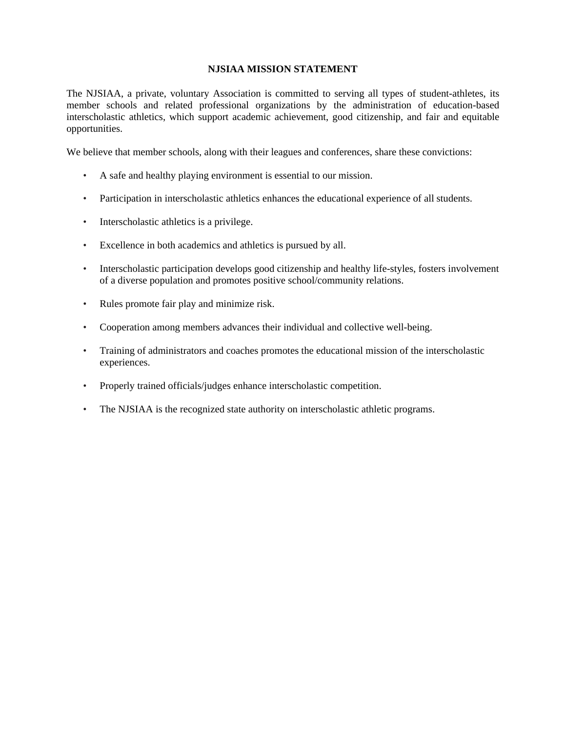# **NJSIAA MISSION STATEMENT**

The NJSIAA, a private, voluntary Association is committed to serving all types of student-athletes, its member schools and related professional organizations by the administration of education-based interscholastic athletics, which support academic achievement, good citizenship, and fair and equitable opportunities.

We believe that member schools, along with their leagues and conferences, share these convictions:

- A safe and healthy playing environment is essential to our mission.
- Participation in interscholastic athletics enhances the educational experience of all students.
- Interscholastic athletics is a privilege.
- Excellence in both academics and athletics is pursued by all.
- Interscholastic participation develops good citizenship and healthy life-styles, fosters involvement of a diverse population and promotes positive school/community relations.
- Rules promote fair play and minimize risk.
- Cooperation among members advances their individual and collective well-being.
- Training of administrators and coaches promotes the educational mission of the interscholastic experiences.
- Properly trained officials/judges enhance interscholastic competition.
- The NJSIAA is the recognized state authority on interscholastic athletic programs.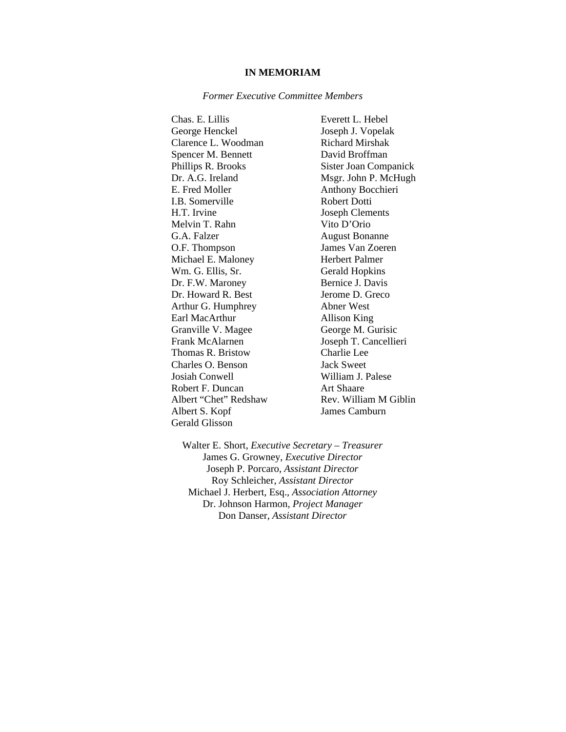#### **IN MEMORIAM**

#### *Former Executive Committee Members*

Chas. E. Lillis Everett L. Hebel George Henckel Joseph J. Vopelak Clarence L. Woodman Richard Mirshak Spencer M. Bennett David Broffman Phillips R. Brooks Sister Joan Companick Dr. A.G. Ireland Msgr. John P. McHugh E. Fred Moller Anthony Bocchieri I.B. Somerville Robert Dotti H.T. Irvine Joseph Clements Melvin T. Rahn Vito D'Orio G.A. Falzer August Bonanne O.F. Thompson James Van Zoeren Michael E. Maloney Herbert Palmer Wm. G. Ellis, Sr. Gerald Hopkins Dr. F.W. Maroney Bernice J. Davis Dr. Howard R. Best Jerome D. Greco Arthur G. Humphrey Abner West Earl MacArthur Allison King Granville V. Magee George M. Gurisic Frank McAlarnen Joseph T. Cancellieri Thomas R. Bristow Charlie Lee Charles O. Benson Jack Sweet Josiah Conwell William J. Palese Robert F. Duncan Art Shaare Albert "Chet" Redshaw Rev. William M Giblin Albert S. Kopf James Camburn Gerald Glisson

Walter E. Short, *Executive Secretary – Treasurer*  James G. Growney, *Executive Director*  Joseph P. Porcaro, *Assistant Director*  Roy Schleicher, *Assistant Director*  Michael J. Herbert, Esq., *Association Attorney*  Dr. Johnson Harmon, *Project Manager*  Don Danser, *Assistant Director*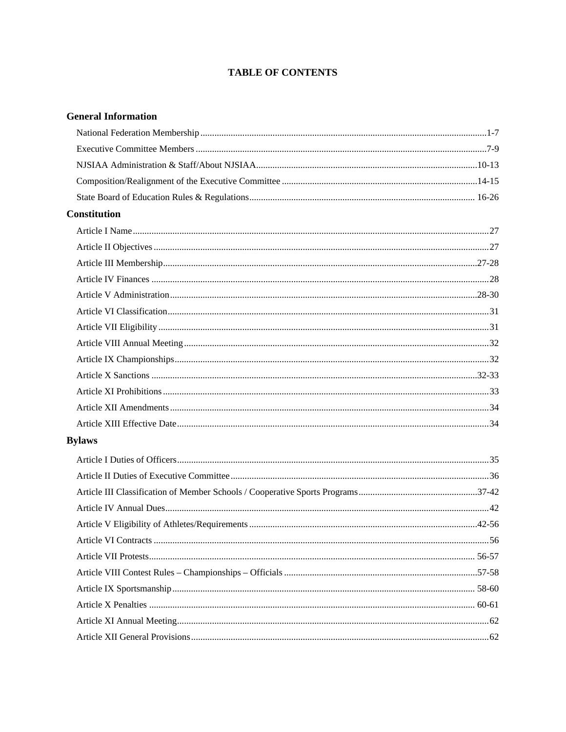# **TABLE OF CONTENTS**

# **General Information**

| <b>Constitution</b> |  |
|---------------------|--|
|                     |  |
|                     |  |
|                     |  |
|                     |  |
|                     |  |
|                     |  |
|                     |  |
|                     |  |
|                     |  |
|                     |  |
|                     |  |
|                     |  |
|                     |  |
| <b>Bylaws</b>       |  |
|                     |  |
|                     |  |
|                     |  |
|                     |  |
|                     |  |
|                     |  |
|                     |  |
|                     |  |
|                     |  |
|                     |  |
|                     |  |
|                     |  |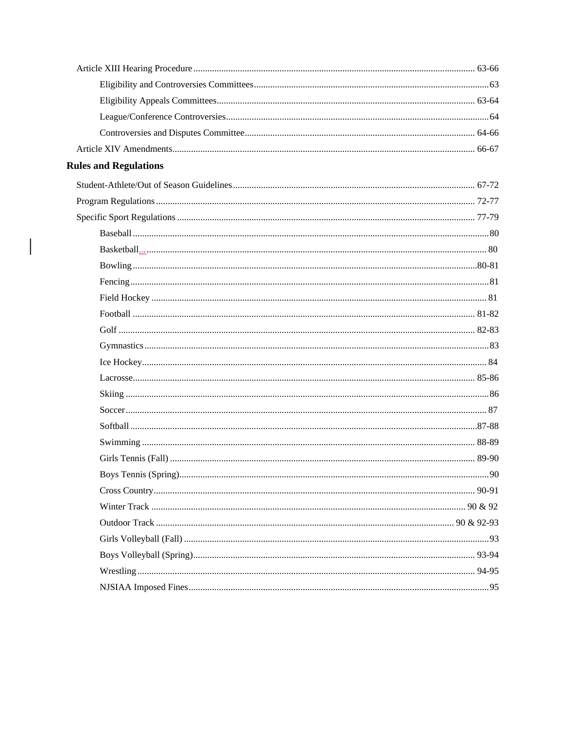| <b>Rules and Regulations</b> |    |
|------------------------------|----|
|                              |    |
|                              |    |
|                              |    |
|                              |    |
|                              |    |
|                              |    |
|                              |    |
|                              |    |
|                              |    |
|                              |    |
|                              |    |
|                              |    |
|                              |    |
|                              |    |
|                              |    |
|                              |    |
|                              |    |
|                              |    |
|                              | 90 |
|                              |    |
|                              |    |
|                              |    |
|                              |    |
|                              |    |
|                              |    |
|                              |    |

 $\mathbf{I}$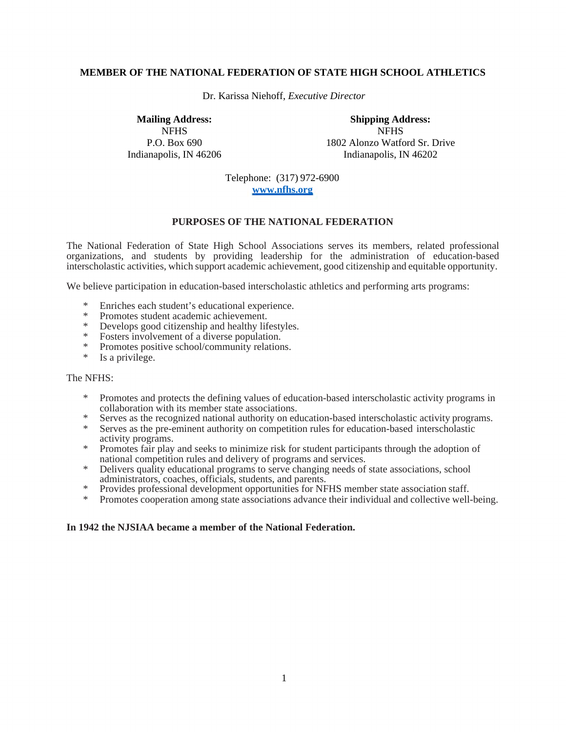## **MEMBER OF THE NATIONAL FEDERATION OF STATE HIGH SCHOOL ATHLETICS**

Dr. Karissa Niehoff, *Executive Director* 

**Mailing Address: Shipping Address:**  NFHS NFHS P.O. Box 690 1802 Alonzo Watford Sr. Drive Indianapolis, IN 46206 Indianapolis, IN 46202

> Telephone: (317) 972-6900 **www.nfhs.org**

## **PURPOSES OF THE NATIONAL FEDERATION**

The National Federation of State High School Associations serves its members, related professional organizations, and students by providing leadership for the administration of education-based interscholastic activities, which support academic achievement, good citizenship and equitable opportunity.

We believe participation in education-based interscholastic athletics and performing arts programs:

- \* Enriches each student's educational experience.
- \* Promotes student academic achievement.
- Develops good citizenship and healthy lifestyles.
- \* Fosters involvement of a diverse population.
- Promotes positive school/community relations.
- \* Is a privilege.

#### The NFHS:

- \* Promotes and protects the defining values of education-based interscholastic activity programs in collaboration with its member state associations.
- \* Serves as the recognized national authority on education-based interscholastic activity programs.
- \* Serves as the pre-eminent authority on competition rules for education-based interscholastic activity programs.
- \* Promotes fair play and seeks to minimize risk for student participants through the adoption of national competition rules and delivery of programs and services.
- \* Delivers quality educational programs to serve changing needs of state associations, school administrators, coaches, officials, students, and parents.
- \* Provides professional development opportunities for NFHS member state association staff.
- \* Promotes cooperation among state associations advance their individual and collective well-being.

#### **In 1942 the NJSIAA became a member of the National Federation.**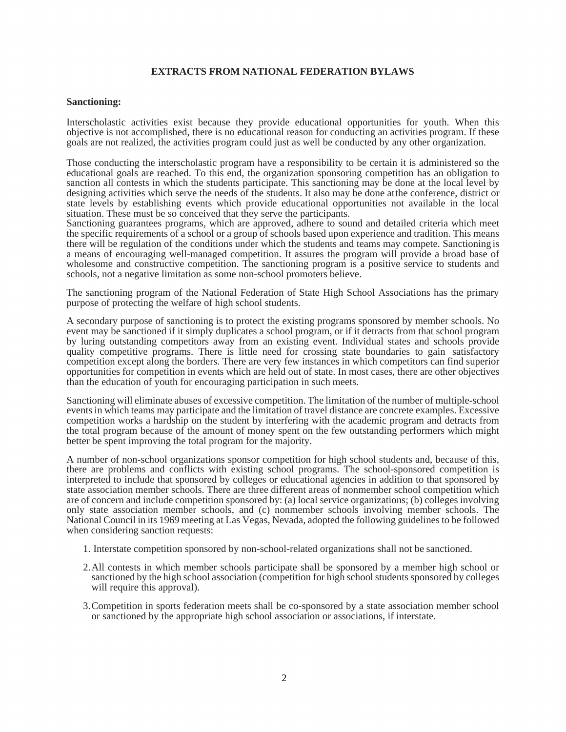# **EXTRACTS FROM NATIONAL FEDERATION BYLAWS**

#### **Sanctioning:**

Interscholastic activities exist because they provide educational opportunities for youth. When this objective is not accomplished, there is no educational reason for conducting an activities program. If these goals are not realized, the activities program could just as well be conducted by any other organization.

Those conducting the interscholastic program have a responsibility to be certain it is administered so the educational goals are reached. To this end, the organization sponsoring competition has an obligation to sanction all contests in which the students participate. This sanctioning may be done at the local level by designing activities which serve the needs of the students. It also may be done at the conference, district or state levels by establishing events which provide educational opportunities not available in the local situation. These must be so conceived that they serve the participants.

Sanctioning guarantees programs, which are approved, adhere to sound and detailed criteria which meet the specific requirements of a school or a group of schools based upon experience and tradition. This means there will be regulation of the conditions under which the students and teams may compete. Sanctioning is a means of encouraging well-managed competition. It assures the program will provide a broad base of wholesome and constructive competition. The sanctioning program is a positive service to students and schools, not a negative limitation as some non-school promoters believe.

The sanctioning program of the National Federation of State High School Associations has the primary purpose of protecting the welfare of high school students.

A secondary purpose of sanctioning is to protect the existing programs sponsored by member schools. No event may be sanctioned if it simply duplicates a school program, or if it detracts from that school program by luring outstanding competitors away from an existing event. Individual states and schools provide quality competitive programs. There is little need for crossing state boundaries to gain satisfactory competition except along the borders. There are very few instances in which competitors can find superior opportunities for competition in events which are held out of state. In most cases, there are other objectives than the education of youth for encouraging participation in such meets.

Sanctioning will eliminate abuses of excessive competition. The limitation of the number of multiple-school events in which teams may participate and the limitation of travel distance are concrete examples. Excessive competition works a hardship on the student by interfering with the academic program and detracts from the total program because of the amount of money spent on the few outstanding performers which might better be spent improving the total program for the majority.

A number of non-school organizations sponsor competition for high school students and, because of this, there are problems and conflicts with existing school programs. The school-sponsored competition is interpreted to include that sponsored by colleges or educational agencies in addition to that sponsored by state association member schools. There are three different areas of nonmember school competition which are of concern and include competition sponsored by: (a) local service organizations; (b) colleges involving only state association member schools, and (c) nonmember schools involving member schools. The National Council in its 1969 meeting at Las Vegas, Nevada, adopted the following guidelines to be followed when considering sanction requests:

- 1. Interstate competition sponsored by non-school-related organizations shall not be sanctioned.
- 2.All contests in which member schools participate shall be sponsored by a member high school or sanctioned by the high school association (competition for high school students sponsored by colleges will require this approval).
- 3.Competition in sports federation meets shall be co-sponsored by a state association member school or sanctioned by the appropriate high school association or associations, if interstate.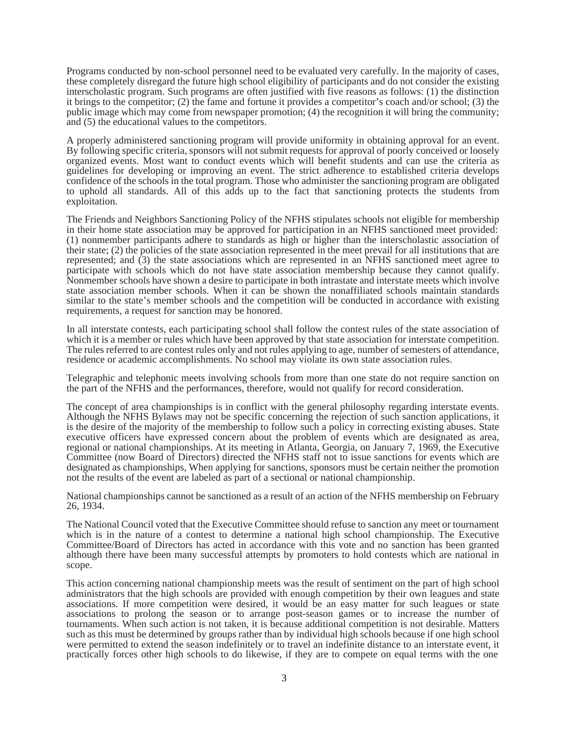Programs conducted by non-school personnel need to be evaluated very carefully. In the majority of cases, these completely disregard the future high school eligibility of participants and do not consider the existing interscholastic program. Such programs are often justified with five reasons as follows: (1) the distinction it brings to the competitor; (2) the fame and fortune it provides a competitor's coach and/or school; (3) the public image which may come from newspaper promotion; (4) the recognition it will bring the community; and (5) the educational values to the competitors.

A properly administered sanctioning program will provide uniformity in obtaining approval for an event. By following specific criteria, sponsors will not submit requests for approval of poorly conceived or loosely organized events. Most want to conduct events which will benefit students and can use the criteria as guidelines for developing or improving an event. The strict adherence to established criteria develops confidence of the schools in the total program. Those who administer the sanctioning program are obligated to uphold all standards. All of this adds up to the fact that sanctioning protects the students from exploitation.

The Friends and Neighbors Sanctioning Policy of the NFHS stipulates schools not eligible for membership in their home state association may be approved for participation in an NFHS sanctioned meet provided: (1) nonmember participants adhere to standards as high or higher than the interscholastic association of their state; (2) the policies of the state association represented in the meet prevail for all institutions that are represented; and (3) the state associations which are represented in an NFHS sanctioned meet agree to participate with schools which do not have state association membership because they cannot qualify. Nonmember schools have shown a desire to participate in both intrastate and interstate meets which involve state association member schools. When it can be shown the nonaffiliated schools maintain standards similar to the state's member schools and the competition will be conducted in accordance with existing requirements, a request for sanction may be honored.

In all interstate contests, each participating school shall follow the contest rules of the state association of which it is a member or rules which have been approved by that state association for interstate competition. The rules referred to are contest rules only and not rules applying to age, number of semesters of attendance, residence or academic accomplishments. No school may violate its own state association rules.

Telegraphic and telephonic meets involving schools from more than one state do not require sanction on the part of the NFHS and the performances, therefore, would not qualify for record consideration.

The concept of area championships is in conflict with the general philosophy regarding interstate events. Although the NFHS Bylaws may not be specific concerning the rejection of such sanction applications, it is the desire of the majority of the membership to follow such a policy in correcting existing abuses. State executive officers have expressed concern about the problem of events which are designated as area, regional or national championships. At its meeting in Atlanta, Georgia, on January 7, 1969, the Executive Committee (now Board of Directors) directed the NFHS staff not to issue sanctions for events which are designated as championships, When applying for sanctions, sponsors must be certain neither the promotion not the results of the event are labeled as part of a sectional or national championship.

National championships cannot be sanctioned as a result of an action of the NFHS membership on February 26, 1934.

The National Council voted that the Executive Committee should refuse to sanction any meet or tournament which is in the nature of a contest to determine a national high school championship. The Executive Committee/Board of Directors has acted in accordance with this vote and no sanction has been granted although there have been many successful attempts by promoters to hold contests which are national in scope.

This action concerning national championship meets was the result of sentiment on the part of high school administrators that the high schools are provided with enough competition by their own leagues and state associations. If more competition were desired, it would be an easy matter for such leagues or state associations to prolong the season or to arrange post-season games or to increase the number of tournaments. When such action is not taken, it is because additional competition is not desirable. Matters such as this must be determined by groups rather than by individual high schools because if one high school were permitted to extend the season indefinitely or to travel an indefinite distance to an interstate event, it practically forces other high schools to do likewise, if they are to compete on equal terms with the one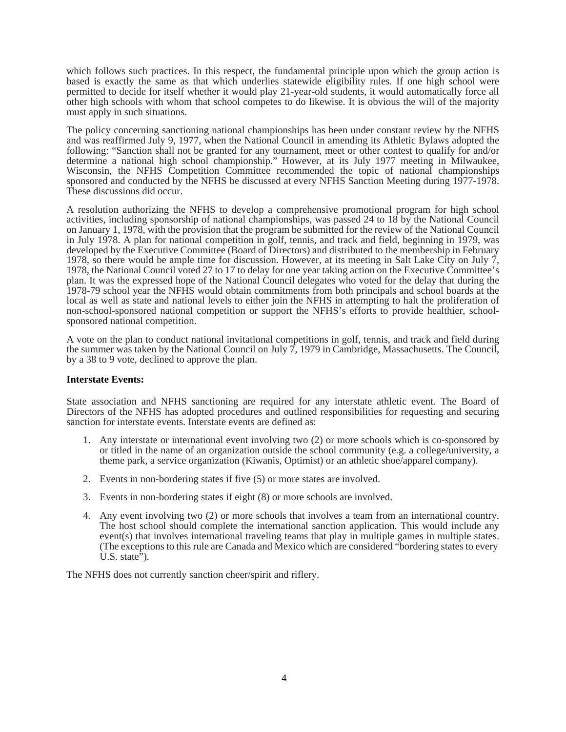which follows such practices. In this respect, the fundamental principle upon which the group action is based is exactly the same as that which underlies statewide eligibility rules. If one high school were permitted to decide for itself whether it would play 21-year-old students, it would automatically force all other high schools with whom that school competes to do likewise. It is obvious the will of the majority must apply in such situations.

The policy concerning sanctioning national championships has been under constant review by the NFHS and was reaffirmed July 9, 1977, when the National Council in amending its Athletic Bylaws adopted the following: "Sanction shall not be granted for any tournament, meet or other contest to qualify for and/or determine a national high school championship." However, at its July 1977 meeting in Milwaukee, Wisconsin, the NFHS Competition Committee recommended the topic of national championships sponsored and conducted by the NFHS be discussed at every NFHS Sanction Meeting during 1977-1978. These discussions did occur.

A resolution authorizing the NFHS to develop a comprehensive promotional program for high school activities, including sponsorship of national championships, was passed 24 to 18 by the National Council on January 1, 1978, with the provision that the program be submitted for the review of the National Council in July 1978. A plan for national competition in golf, tennis, and track and field, beginning in 1979, was developed by the Executive Committee (Board of Directors) and distributed to the membership in February 1978, so there would be ample time for discussion. However, at its meeting in Salt Lake City on July  $\tilde{7}$ , 1978, the National Council voted 27 to 17 to delay for one year taking action on the Executive Committee's plan. It was the expressed hope of the National Council delegates who voted for the delay that during the 1978-79 school year the NFHS would obtain commitments from both principals and school boards at the local as well as state and national levels to either join the NFHS in attempting to halt the proliferation of non-school-sponsored national competition or support the NFHS's efforts to provide healthier, schoolsponsored national competition.

A vote on the plan to conduct national invitational competitions in golf, tennis, and track and field during the summer was taken by the National Council on July 7, 1979 in Cambridge, Massachusetts. The Council, by a 38 to 9 vote, declined to approve the plan.

# **Interstate Events:**

State association and NFHS sanctioning are required for any interstate athletic event. The Board of Directors of the NFHS has adopted procedures and outlined responsibilities for requesting and securing sanction for interstate events. Interstate events are defined as:

- 1. Any interstate or international event involving two (2) or more schools which is co-sponsored by or titled in the name of an organization outside the school community (e.g. a college/university, a theme park, a service organization (Kiwanis, Optimist) or an athletic shoe/apparel company).
- 2. Events in non-bordering states if five (5) or more states are involved.
- 3. Events in non-bordering states if eight (8) or more schools are involved.
- 4. Any event involving two (2) or more schools that involves a team from an international country. The host school should complete the international sanction application. This would include any event(s) that involves international traveling teams that play in multiple games in multiple states. (The exceptions to this rule are Canada and Mexico which are considered "bordering states to every U.S. state $\overline{P}$ ).

The NFHS does not currently sanction cheer/spirit and riflery.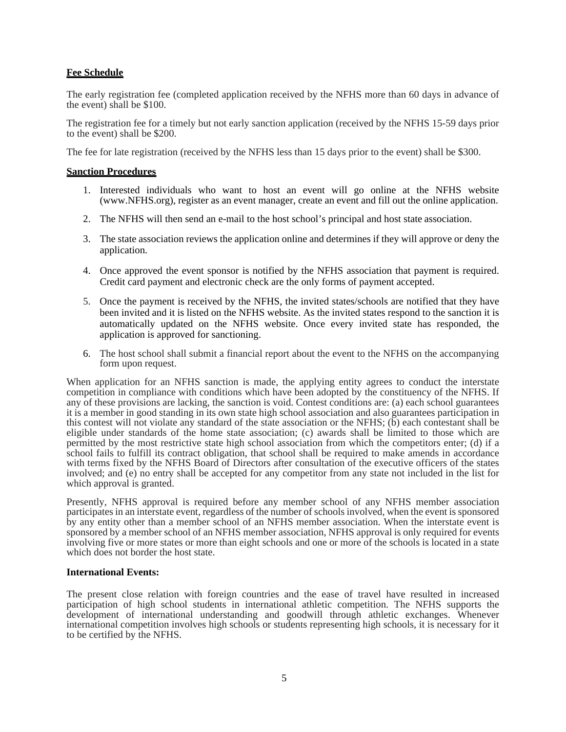## **Fee Schedule**

The early registration fee (completed application received by the NFHS more than 60 days in advance of the event) shall be \$100.

The registration fee for a timely but not early sanction application (received by the NFHS 15-59 days prior to the event) shall be \$200.

The fee for late registration (received by the NFHS less than 15 days prior to the event) shall be \$300.

#### **Sanction Procedures**

- 1. Interested individuals who want to host an event will go online at the NFHS website (www.NFHS.org), register as an event manager, create an event and fill out the online application.
- 2. The NFHS will then send an e-mail to the host school's principal and host state association.
- 3. The state association reviews the application online and determines if they will approve or deny the application.
- 4. Once approved the event sponsor is notified by the NFHS association that payment is required. Credit card payment and electronic check are the only forms of payment accepted.
- 5. Once the payment is received by the NFHS, the invited states/schools are notified that they have been invited and it is listed on the NFHS website. As the invited states respond to the sanction it is automatically updated on the NFHS website. Once every invited state has responded, the application is approved for sanctioning.
- 6. The host school shall submit a financial report about the event to the NFHS on the accompanying form upon request.

When application for an NFHS sanction is made, the applying entity agrees to conduct the interstate competition in compliance with conditions which have been adopted by the constituency of the NFHS. If any of these provisions are lacking, the sanction is void. Contest conditions are: (a) each school guarantees it is a member in good standing in its own state high school association and also guarantees participation in this contest will not violate any standard of the state association or the NFHS; (b) each contestant shall be eligible under standards of the home state association; (c) awards shall be limited to those which are permitted by the most restrictive state high school association from which the competitors enter; (d) if a school fails to fulfill its contract obligation, that school shall be required to make amends in accordance with terms fixed by the NFHS Board of Directors after consultation of the executive officers of the states involved; and (e) no entry shall be accepted for any competitor from any state not included in the list for which approval is granted.

Presently, NFHS approval is required before any member school of any NFHS member association participates in an interstate event, regardless of the number of schools involved, when the event is sponsored by any entity other than a member school of an NFHS member association. When the interstate event is sponsored by a member school of an NFHS member association, NFHS approval is only required for events involving five or more states or more than eight schools and one or more of the schools is located in a state which does not border the host state.

#### **International Events:**

The present close relation with foreign countries and the ease of travel have resulted in increased participation of high school students in international athletic competition. The NFHS supports the development of international understanding and goodwill through athletic exchanges. Whenever international competition involves high schools or students representing high schools, it is necessary for it to be certified by the NFHS.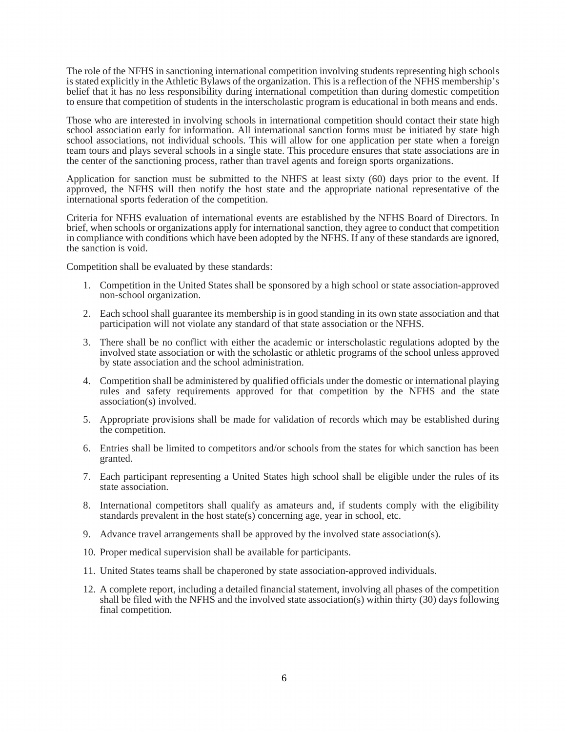The role of the NFHS in sanctioning international competition involving students representing high schools is stated explicitly in the Athletic Bylaws of the organization. This is a reflection of the NFHS membership's belief that it has no less responsibility during international competition than during domestic competition to ensure that competition of students in the interscholastic program is educational in both means and ends.

Those who are interested in involving schools in international competition should contact their state high school association early for information. All international sanction forms must be initiated by state high school associations, not individual schools. This will allow for one application per state when a foreign team tours and plays several schools in a single state. This procedure ensures that state associations are in the center of the sanctioning process, rather than travel agents and foreign sports organizations.

Application for sanction must be submitted to the NHFS at least sixty (60) days prior to the event. If approved, the NFHS will then notify the host state and the appropriate national representative of the international sports federation of the competition.

Criteria for NFHS evaluation of international events are established by the NFHS Board of Directors. In brief, when schools or organizations apply for international sanction, they agree to conduct that competition in compliance with conditions which have been adopted by the NFHS. If any of these standards are ignored, the sanction is void.

Competition shall be evaluated by these standards:

- 1. Competition in the United States shall be sponsored by a high school or state association-approved non-school organization.
- 2. Each school shall guarantee its membership is in good standing in its own state association and that participation will not violate any standard of that state association or the NFHS.
- 3. There shall be no conflict with either the academic or interscholastic regulations adopted by the involved state association or with the scholastic or athletic programs of the school unless approved by state association and the school administration.
- 4. Competition shall be administered by qualified officials under the domestic or international playing rules and safety requirements approved for that competition by the NFHS and the state association(s) involved.
- 5. Appropriate provisions shall be made for validation of records which may be established during the competition.
- 6. Entries shall be limited to competitors and/or schools from the states for which sanction has been granted.
- 7. Each participant representing a United States high school shall be eligible under the rules of its state association.
- 8. International competitors shall qualify as amateurs and, if students comply with the eligibility standards prevalent in the host state(s) concerning age, year in school, etc.
- 9. Advance travel arrangements shall be approved by the involved state association(s).
- 10. Proper medical supervision shall be available for participants.
- 11. United States teams shall be chaperoned by state association-approved individuals.
- 12. A complete report, including a detailed financial statement, involving all phases of the competition shall be filed with the NFHS and the involved state association(s) within thirty (30) days following final competition.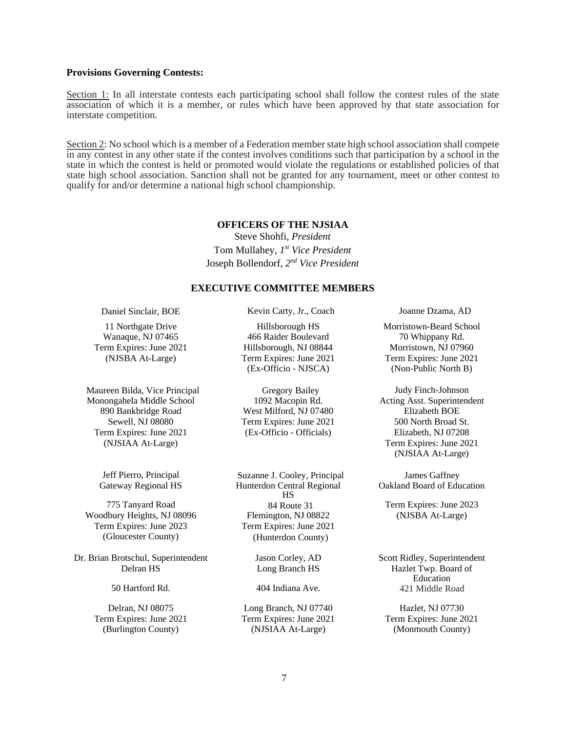#### **Provisions Governing Contests:**

Section 1: In all interstate contests each participating school shall follow the contest rules of the state association of which it is a member, or rules which have been approved by that state association for interstate competition.

Section 2: No school which is a member of a Federation member state high school association shall compete in any contest in any other state if the contest involves conditions such that participation by a school in the state in which the contest is held or promoted would violate the regulations or established policies of that state high school association. Sanction shall not be granted for any tournament, meet or other contest to qualify for and/or determine a national high school championship.

#### **OFFICERS OF THE NJSIAA**

Steve Shohfi, *President*  Tom Mullahey, *1st Vice President*  Joseph Bollendorf, *2nd Vice President* 

#### **EXECUTIVE COMMITTEE MEMBERS**

Maureen Bilda, Vice Principal Gregory Bailey Judy Finch-Johnson Monongahela Middle School 1092 Macopin Rd. Acting Asst. Superintendent 890 Bankbridge Road West Milford, NJ 07480 Elizabeth BOE Term Expires: June 2021 (Ex-Officio - Officials) Elizabeth, NJ 07208

Woodbury Heights, NJ 08096 Flemington, NJ 08822 (NJSBA At-Large) Term Expires: June 2023 Term Expires: June 2021 (Gloucester County) (Hunterdon County)

Dr. Brian Brotschul, Superintendent Jason Corley, AD Scott Ridley, Superintendent

Daniel Sinclair, BOE Kevin Carty, Jr., Coach Joanne Dzama, AD

Wanaque, NJ 07465 466 Raider Boulevard 70 Whippany Rd. Term Expires: June 2021 Hillsborough, NJ 08844 Morristown, NJ 07960

Sewell, NJ 08080 Term Expires: June 2021 500 North Broad St.

Jeff Pierro, Principal Suzanne J. Cooley, Principal James Gaffney Gateway Regional HS Hunterdon Central Regional HS 775 Tanyard Road 84 Route 31 Term Expires: June 2023

(Burlington County) (NJSIAA At-Large) (Monmouth County)

11 Northgate Drive **Hillsborough HS** Morristown-Beard School (NJSBA At-Large) Term Expires: June 2021 Term Expires: June 2021 (Ex-Officio - NJSCA) (Non-Public North B)

(NJSIAA At-Large) Term Expires: June 2021 (NJSIAA At-Large)

Oakland Board of Education

Delran HS Long Branch HS Hazlet Twp. Board of Education 50 Hartford Rd. 404 Indiana Ave. 421 Middle Road

Delran, NJ 08075 Long Branch, NJ 07740 Hazlet, NJ 07730 Term Expires: June 2021 Term Expires: June 2021 Term Expires: June 2021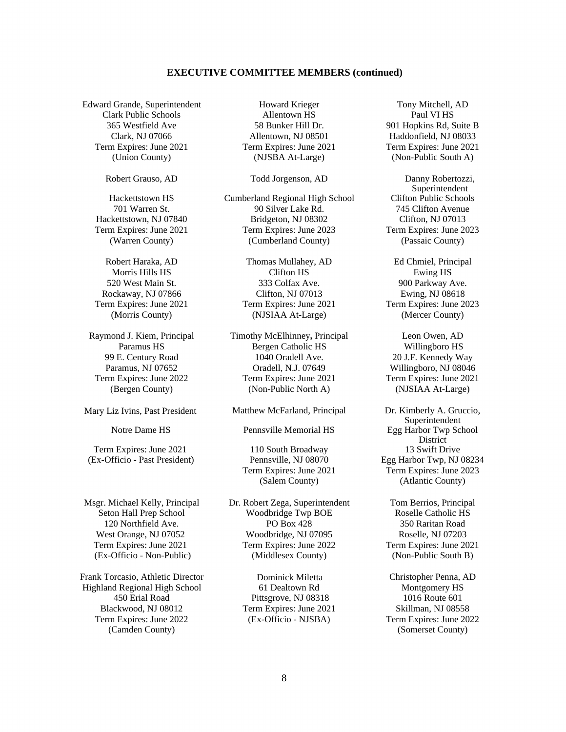#### **EXECUTIVE COMMITTEE MEMBERS (continued)**

Edward Grande, Superintendent Howard Krieger Tony Mitchell, AD Clark Public Schools Allentown HS Paul VI HS Term Expires: June 2021 Term Expires: June 2021 Term Expires: June 2021

Term Expires: June 2021 110 South Broadway 13 Swift Drive (Ex-Officio - Past President) Pennsville, NJ 08070 Egg Harbor Twp, NJ 08234

Frank Torcasio, Athletic Director Dominick Miletta Christopher Penna, AD Highland Regional High School 61 Dealtown Rd Montgomery HS Blackwood, NJ 08012 Term Expires: June 2021 Skillman, NJ 08558 Term Expires: June 2022 (Ex-Officio - NJSBA) Term Expires: June 2022 (Camden County) (Somerset County)

365 Westfield Ave 58 Bunker Hill Dr. 901 Hopkins Rd, Suite B Clark, NJ 07066 Allentown, NJ 08501 Haddonfield, NJ 08033 (Union County) (NJSBA At-Large) (Non-Public South A)

Hackettstown HS Cumberland Regional High School 701 Warren St. 90 Silver Lake Rd. 745 Clifton Avenue Hackettstown, NJ 07840 Bridgeton, NJ 08302 Clifton, NJ 07013 Term Expires: June 2021 Term Expires: June 2023 Term Expires: June 2023 (Warren County) (Cumberland County) (Passaic County)

Robert Haraka, AD Thomas Mullahey, AD Ed Chmiel, Principal Morris Hills HS **Clifton HS** Ewing HS 520 West Main St. 333 Colfax Ave. 900 Parkway Ave. Rockaway, NJ 07866 Clifton, NJ 07013 Ewing, NJ 08618 Term Expires: June 2021 Term Expires: June 2021 Term Expires: June 2023 (Morris County) (NJSIAA At-Large) (Mercer County)

Raymond J. Kiem, Principal Timothy McElhinney**,** Principal Leon Owen, AD Paramus HS Bergen Catholic HS Willingboro HS 99 E. Century Road 1040 Oradell Ave. 20 J.F. Kennedy Way Paramus, NJ 07652 Oradell, N.J. 07649 Willingboro, NJ 08046 Term Expires: June 2022 Term Expires: June 2021 Term Expires: June 2021 (Bergen County) (Non-Public North A) (NJSIAA At-Large)

Mary Liz Ivins, Past President Matthew McFarland, Principal Dr. Kimberly A. Gruccio,

Msgr. Michael Kelly, Principal Dr. Robert Zega, Superintendent Tom Berrios, Principal Seton Hall Prep School Woodbridge Twp BOE Roselle Catholic HS 120 Northfield Ave. PO Box 428 350 Raritan Road West Orange, NJ 07052 Woodbridge, NJ 07095 Roselle, NJ 07203 Term Expires: June 2021 Term Expires: June 2022 Term Expires: June 2021 (Ex-Officio - Non-Public) (Middlesex County) (Non-Public South B)

450 Erial Road Pittsgrove, NJ 08318 1016 Route 601

Robert Grauso, AD Todd Jorgenson, AD Danny Robertozzi, Superintendent<br>Clifton Public Schools

Superintendent Notre Dame HS Pennsville Memorial HS Egg Harbor Twp School District Term Expires: June 2021 Term Expires: June 2023 (Salem County) (Atlantic County)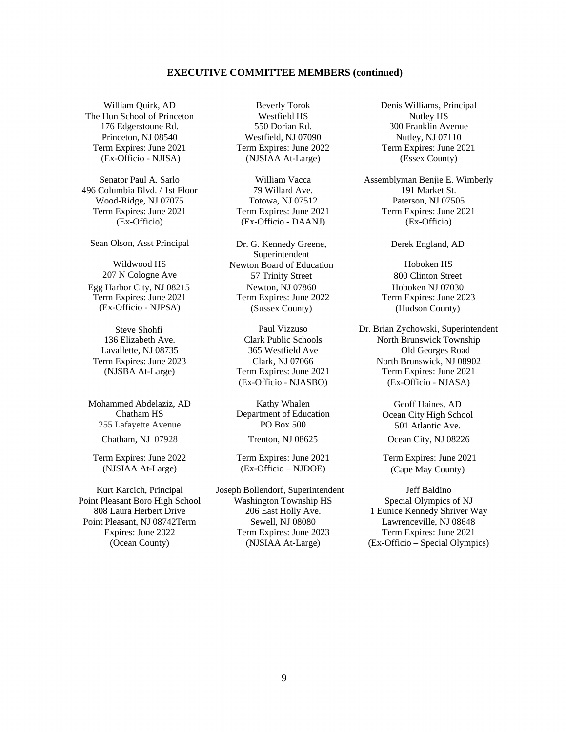#### **EXECUTIVE COMMITTEE MEMBERS (continued)**

The Hun School of Princeton Westfield HS Nutley HS Term Expires: June 2021 Term Expires: June 2022 Term Expires: June 2021

496 Columbia Blvd. / 1st Floor 79 Willard Ave. 191 Market St. Wood-Ridge, NJ 07075 Totowa, NJ 07512 Paterson, NJ 07505

Sean Olson, Asst Principal Dr. G. Kennedy Greene,

Mohammed Abdelaziz, AD Kathy Whalen Geoff Haines, AD 255 Lafayette Avenue PO Box 500 501 Atlantic Ave.

Term Expires: June 2022 Term Expires: June 2021 Term Expires: June 2021

176 Edgerstoune Rd. 550 Dorian Rd. 300 Franklin Avenue Princeton, NJ 08540 Westfield, NJ 07090 Nutley, NJ 07110 (Ex-Officio - NJISA) (NJSIAA At-Large) (Essex County)

(Ex-Officio) (Ex-Officio - DAANJ) (Ex-Officio)

Superintendent Wildwood HS Newton Board of Education Hoboken HS 207 N Cologne Ave 57 Trinity Street 800 Clinton Street Egg Harbor City, NJ 08215 Newton, NJ 07860 Hoboken NJ 07030 Term Expires: June 2021 Term Expires: June 2022 Term Expires: June 2023 (Ex-Officio - NJPSA) (Sussex County) (Hudson County)

(Ex-Officio - NJASBO) (Ex-Officio - NJASA)

Chatham HS Department of Education Ocean City High School

(NJSIAA At-Large) (Ex-Officio – NJDOE) (Cape May County)

Kurt Karcich, Principal Joseph Bollendorf, Superintendent Jeff Baldino Point Pleasant Boro High School Washington Township HS Special Olympics of NJ 808 Laura Herbert Drive 206 East Holly Ave. 1 Eunice Kennedy Shriver Way Point Pleasant, NJ 08742Term Sewell, NJ 08080 Lawrenceville, NJ 08648 Expires: June 2022 Term Expires: June 2023 Term Expires: June 2021 (Ocean County) (NJSIAA At-Large) (Ex-Officio – Special Olympics)

William Quirk, AD Beverly Torok Denis Williams, Principal

Senator Paul A. Sarlo **William Vacca** Assemblyman Benjie E. Wimberly Term Expires: June 2021 Term Expires: June 2021 Term Expires: June 2021

Derek England, AD

Steve Shohfi Paul Vizzuso Dr. Brian Zychowski, Superintendent<br>136 Elizabeth Ave. Clark Public Schools North Brunswick Township North Brunswick Township Lavallette, NJ 08735 365 Westfield Ave Old Georges Road Term Expires: June 2023 Clark, NJ 07066 North Brunswick, NJ 08902 (NJSBA At-Large) Term Expires: June 2021 Term Expires: June 2021

Chatham, NJ 07928 Trenton, NJ 08625 Ocean City, NJ 08226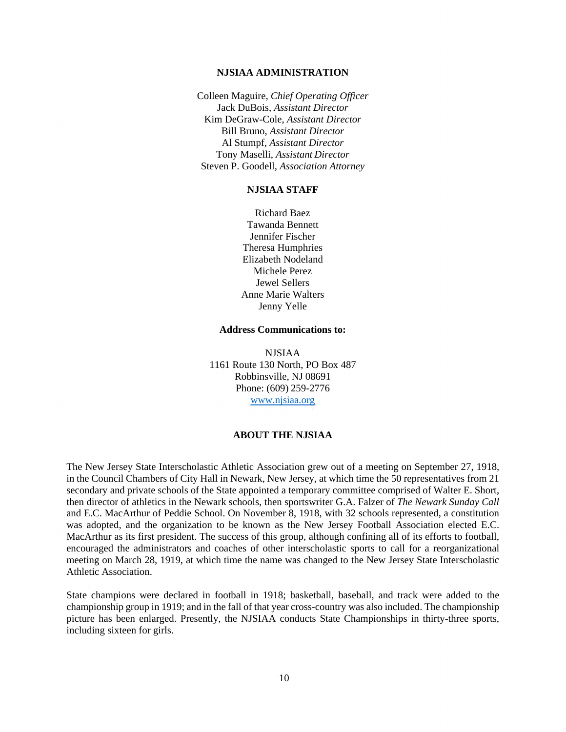#### **NJSIAA ADMINISTRATION**

Colleen Maguire, *Chief Operating Officer*  Jack DuBois, *Assistant Director*  Kim DeGraw-Cole, *Assistant Director*  Bill Bruno, *Assistant Director*  Al Stumpf, *Assistant Director*  Tony Maselli, *Assistant Director*  Steven P. Goodell, *Association Attorney* 

## **NJSIAA STAFF**

Richard Baez Tawanda Bennett Jennifer Fischer Theresa Humphries Elizabeth Nodeland Michele Perez Jewel Sellers Anne Marie Walters Jenny Yelle

## **Address Communications to:**

NJSIAA 1161 Route 130 North, PO Box 487 Robbinsville, NJ 08691 Phone: (609) 259-2776 www.njsiaa.org

#### **ABOUT THE NJSIAA**

The New Jersey State Interscholastic Athletic Association grew out of a meeting on September 27, 1918, in the Council Chambers of City Hall in Newark, New Jersey, at which time the 50 representatives from 21 secondary and private schools of the State appointed a temporary committee comprised of Walter E. Short, then director of athletics in the Newark schools, then sportswriter G.A. Falzer of *The Newark Sunday Call*  and E.C. MacArthur of Peddie School. On November 8, 1918, with 32 schools represented, a constitution was adopted, and the organization to be known as the New Jersey Football Association elected E.C. MacArthur as its first president. The success of this group, although confining all of its efforts to football, encouraged the administrators and coaches of other interscholastic sports to call for a reorganizational meeting on March 28, 1919, at which time the name was changed to the New Jersey State Interscholastic Athletic Association.

State champions were declared in football in 1918; basketball, baseball, and track were added to the championship group in 1919; and in the fall of that year cross-country was also included. The championship picture has been enlarged. Presently, the NJSIAA conducts State Championships in thirty-three sports, including sixteen for girls.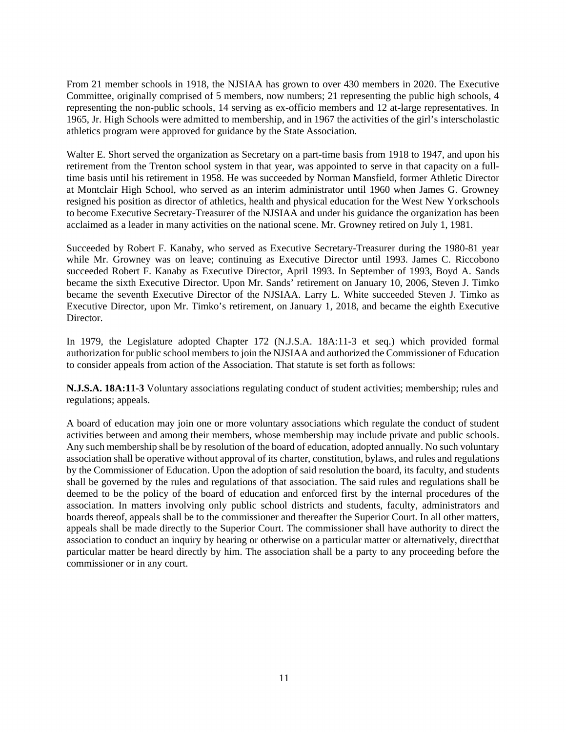From 21 member schools in 1918, the NJSIAA has grown to over 430 members in 2020. The Executive Committee, originally comprised of 5 members, now numbers; 21 representing the public high schools, 4 representing the non-public schools, 14 serving as ex-officio members and 12 at-large representatives. In 1965, Jr. High Schools were admitted to membership, and in 1967 the activities of the girl's interscholastic athletics program were approved for guidance by the State Association.

Walter E. Short served the organization as Secretary on a part-time basis from 1918 to 1947, and upon his retirement from the Trenton school system in that year, was appointed to serve in that capacity on a fulltime basis until his retirement in 1958. He was succeeded by Norman Mansfield, former Athletic Director at Montclair High School, who served as an interim administrator until 1960 when James G. Growney resigned his position as director of athletics, health and physical education for the West New York schools to become Executive Secretary-Treasurer of the NJSIAA and under his guidance the organization has been acclaimed as a leader in many activities on the national scene. Mr. Growney retired on July 1, 1981.

Succeeded by Robert F. Kanaby, who served as Executive Secretary-Treasurer during the 1980-81 year while Mr. Growney was on leave; continuing as Executive Director until 1993. James C. Riccobono succeeded Robert F. Kanaby as Executive Director, April 1993. In September of 1993, Boyd A. Sands became the sixth Executive Director. Upon Mr. Sands' retirement on January 10, 2006, Steven J. Timko became the seventh Executive Director of the NJSIAA. Larry L. White succeeded Steven J. Timko as Executive Director, upon Mr. Timko's retirement, on January 1, 2018, and became the eighth Executive Director.

In 1979, the Legislature adopted Chapter 172 (N.J.S.A. 18A:11-3 et seq.) which provided formal authorization for public school members to join the NJSIAA and authorized the Commissioner of Education to consider appeals from action of the Association. That statute is set forth as follows:

**N.J.S.A. 18A:11-3** Voluntary associations regulating conduct of student activities; membership; rules and regulations; appeals.

A board of education may join one or more voluntary associations which regulate the conduct of student activities between and among their members, whose membership may include private and public schools. Any such membership shall be by resolution of the board of education, adopted annually. No such voluntary association shall be operative without approval of its charter, constitution, bylaws, and rules and regulations by the Commissioner of Education. Upon the adoption of said resolution the board, its faculty, and students shall be governed by the rules and regulations of that association. The said rules and regulations shall be deemed to be the policy of the board of education and enforced first by the internal procedures of the association. In matters involving only public school districts and students, faculty, administrators and boards thereof, appeals shall be to the commissioner and thereafter the Superior Court. In all other matters, appeals shall be made directly to the Superior Court. The commissioner shall have authority to direct the association to conduct an inquiry by hearing or otherwise on a particular matter or alternatively, direct that particular matter be heard directly by him. The association shall be a party to any proceeding before the commissioner or in any court.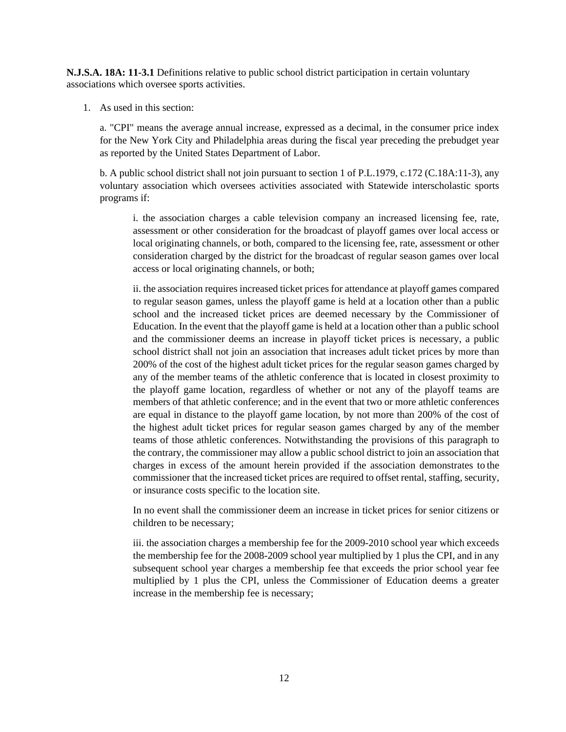**N.J.S.A. 18A: 11-3.1** Definitions relative to public school district participation in certain voluntary associations which oversee sports activities.

1. As used in this section:

a. "CPI" means the average annual increase, expressed as a decimal, in the consumer price index for the New York City and Philadelphia areas during the fiscal year preceding the prebudget year as reported by the United States Department of Labor.

b. A public school district shall not join pursuant to section 1 of P.L.1979, c.172 (C.18A:11-3), any voluntary association which oversees activities associated with Statewide interscholastic sports programs if:

i. the association charges a cable television company an increased licensing fee, rate, assessment or other consideration for the broadcast of playoff games over local access or local originating channels, or both, compared to the licensing fee, rate, assessment or other consideration charged by the district for the broadcast of regular season games over local access or local originating channels, or both;

ii. the association requires increased ticket prices for attendance at playoff games compared to regular season games, unless the playoff game is held at a location other than a public school and the increased ticket prices are deemed necessary by the Commissioner of Education. In the event that the playoff game is held at a location other than a public school and the commissioner deems an increase in playoff ticket prices is necessary, a public school district shall not join an association that increases adult ticket prices by more than 200% of the cost of the highest adult ticket prices for the regular season games charged by any of the member teams of the athletic conference that is located in closest proximity to the playoff game location, regardless of whether or not any of the playoff teams are members of that athletic conference; and in the event that two or more athletic conferences are equal in distance to the playoff game location, by not more than 200% of the cost of the highest adult ticket prices for regular season games charged by any of the member teams of those athletic conferences. Notwithstanding the provisions of this paragraph to the contrary, the commissioner may allow a public school district to join an association that charges in excess of the amount herein provided if the association demonstrates to the commissioner that the increased ticket prices are required to offset rental, staffing, security, or insurance costs specific to the location site.

In no event shall the commissioner deem an increase in ticket prices for senior citizens or children to be necessary;

iii. the association charges a membership fee for the 2009-2010 school year which exceeds the membership fee for the 2008-2009 school year multiplied by 1 plus the CPI, and in any subsequent school year charges a membership fee that exceeds the prior school year fee multiplied by 1 plus the CPI, unless the Commissioner of Education deems a greater increase in the membership fee is necessary;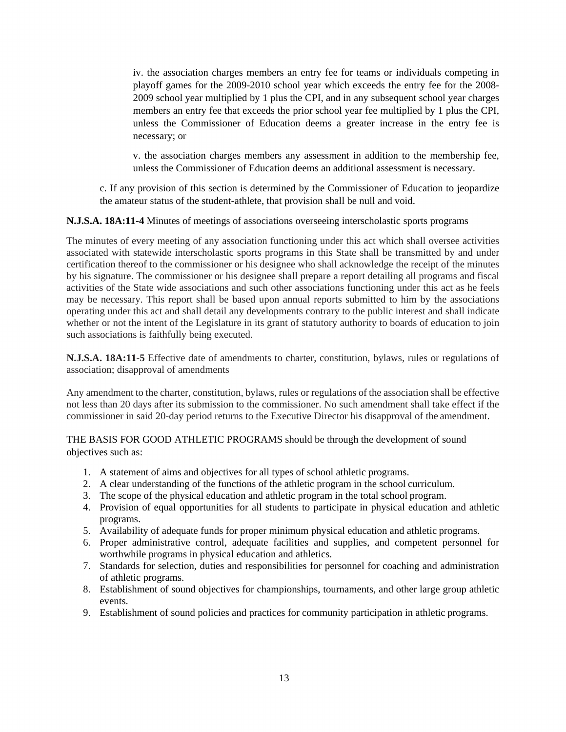iv. the association charges members an entry fee for teams or individuals competing in playoff games for the 2009-2010 school year which exceeds the entry fee for the 2008- 2009 school year multiplied by 1 plus the CPI, and in any subsequent school year charges members an entry fee that exceeds the prior school year fee multiplied by 1 plus the CPI, unless the Commissioner of Education deems a greater increase in the entry fee is necessary; or

v. the association charges members any assessment in addition to the membership fee, unless the Commissioner of Education deems an additional assessment is necessary.

c. If any provision of this section is determined by the Commissioner of Education to jeopardize the amateur status of the student-athlete, that provision shall be null and void.

**N.J.S.A. 18A:11-4** Minutes of meetings of associations overseeing interscholastic sports programs

The minutes of every meeting of any association functioning under this act which shall oversee activities associated with statewide interscholastic sports programs in this State shall be transmitted by and under certification thereof to the commissioner or his designee who shall acknowledge the receipt of the minutes by his signature. The commissioner or his designee shall prepare a report detailing all programs and fiscal activities of the State wide associations and such other associations functioning under this act as he feels may be necessary. This report shall be based upon annual reports submitted to him by the associations operating under this act and shall detail any developments contrary to the public interest and shall indicate whether or not the intent of the Legislature in its grant of statutory authority to boards of education to join such associations is faithfully being executed.

**N.J.S.A. 18A:11-5** Effective date of amendments to charter, constitution, bylaws, rules or regulations of association; disapproval of amendments

Any amendment to the charter, constitution, bylaws, rules or regulations of the association shall be effective not less than 20 days after its submission to the commissioner. No such amendment shall take effect if the commissioner in said 20-day period returns to the Executive Director his disapproval of the amendment.

THE BASIS FOR GOOD ATHLETIC PROGRAMS should be through the development of sound objectives such as:

- 1. A statement of aims and objectives for all types of school athletic programs.
- 2. A clear understanding of the functions of the athletic program in the school curriculum.
- 3. The scope of the physical education and athletic program in the total school program.
- 4. Provision of equal opportunities for all students to participate in physical education and athletic programs.
- 5. Availability of adequate funds for proper minimum physical education and athletic programs.
- 6. Proper administrative control, adequate facilities and supplies, and competent personnel for worthwhile programs in physical education and athletics.
- 7. Standards for selection, duties and responsibilities for personnel for coaching and administration of athletic programs.
- 8. Establishment of sound objectives for championships, tournaments, and other large group athletic events.
- 9. Establishment of sound policies and practices for community participation in athletic programs.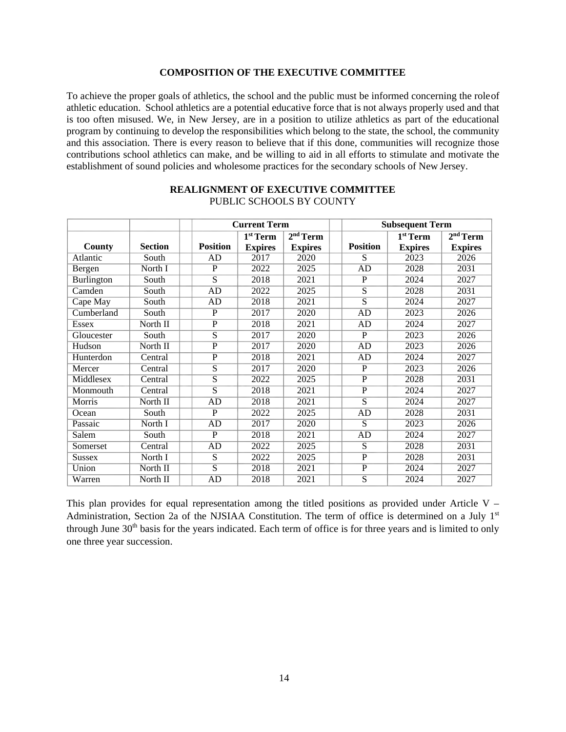#### **COMPOSITION OF THE EXECUTIVE COMMITTEE**

To achieve the proper goals of athletics, the school and the public must be informed concerning the role of athletic education. School athletics are a potential educative force that is not always properly used and that is too often misused. We, in New Jersey, are in a position to utilize athletics as part of the educational program by continuing to develop the responsibilities which belong to the state, the school, the community and this association. There is every reason to believe that if this done, communities will recognize those contributions school athletics can make, and be willing to aid in all efforts to stimulate and motivate the establishment of sound policies and wholesome practices for the secondary schools of New Jersey.

|                             |                | <b>Current Term</b> |                      |                      |                       | <b>Subsequent Term</b> |                |
|-----------------------------|----------------|---------------------|----------------------|----------------------|-----------------------|------------------------|----------------|
|                             |                |                     | 1 <sup>st</sup> Term | 2 <sup>nd</sup> Term |                       | 1 <sup>st</sup> Term   | $2nd$ Term     |
| County                      | <b>Section</b> | <b>Position</b>     | <b>Expires</b>       | <b>Expires</b>       | <b>Position</b>       | <b>Expires</b>         | <b>Expires</b> |
| Atlantic                    | South          | AD                  | 2017                 | 2020                 | S                     | 2023                   | 2026           |
| Bergen                      | North I        | P                   | 2022                 | 2025                 | AD                    | 2028                   | 2031           |
| <b>Burlington</b>           | South          | S                   | 2018                 | 2021                 | P                     | 2024                   | 2027           |
| $\overline{\text{C}}$ amden | South          | AD                  | 2022                 | 2025                 | S                     | 2028                   | 2031           |
| Cape May                    | South          | AD                  | 2018                 | 2021                 | S                     | 2024                   | 2027           |
| Cumberland                  | South          | P                   | 2017                 | 2020                 | AD                    | 2023                   | 2026           |
| <b>Essex</b>                | North II       | $\mathbf{P}$        | 2018                 | 2021                 | AD                    | 2024                   | 2027           |
| Gloucester                  | South          | S                   | 2017                 | 2020                 | $\overline{P}$        | 2023                   | 2026           |
| Hudson                      | North II       | $\mathbf{P}$        | 2017                 | 2020                 | AD                    | 2023                   | 2026           |
| Hunterdon                   | Central        | $\overline{P}$      | 2018                 | 2021                 | AD                    | 2024                   | 2027           |
| Mercer                      | Central        | S                   | 2017                 | 2020                 | $\overline{P}$        | 2023                   | 2026           |
| Middlesex                   | Central        | S                   | 2022                 | 2025                 | $\overline{P}$        | 2028                   | 2031           |
| Monmouth                    | Central        | S                   | 2018                 | 2021                 | $\overline{\text{P}}$ | 2024                   | 2027           |
| Morris                      | North II       | AD                  | 2018                 | 2021                 | S                     | 2024                   | 2027           |
| Ocean                       | South          | P                   | 2022                 | 2025                 | AD                    | 2028                   | 2031           |
| Passaic                     | North I        | AD                  | 2017                 | 2020                 | S                     | 2023                   | 2026           |
| Salem                       | South          | $\mathbf{P}$        | 2018                 | 2021                 | AD                    | 2024                   | 2027           |
| Somerset                    | Central        | <b>AD</b>           | 2022                 | 2025                 | S                     | 2028                   | 2031           |
| <b>Sussex</b>               | North I        | S                   | 2022                 | 2025                 | $\overline{P}$        | 2028                   | 2031           |
| Union                       | North II       | S                   | 2018                 | 2021                 | $\overline{P}$        | 2024                   | 2027           |
| Warren                      | North II       | AD                  | 2018                 | 2021                 | S                     | 2024                   | 2027           |

#### **REALIGNMENT OF EXECUTIVE COMMITTEE**  PUBLIC SCHOOLS BY COUNTY

This plan provides for equal representation among the titled positions as provided under Article V – Administration, Section 2a of the NJSIAA Constitution. The term of office is determined on a July 1st through June 30<sup>th</sup> basis for the years indicated. Each term of office is for three years and is limited to only one three year succession.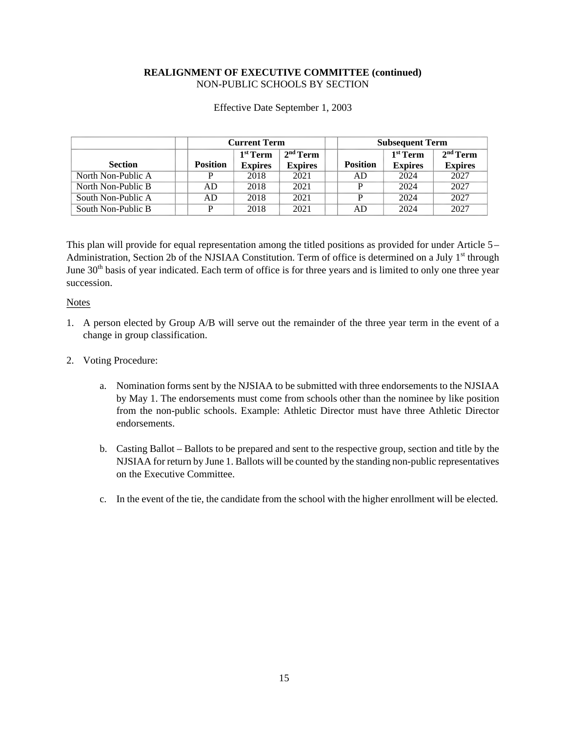# **REALIGNMENT OF EXECUTIVE COMMITTEE (continued)**  NON-PUBLIC SCHOOLS BY SECTION

|                    | <b>Current Term</b> |                |                | <b>Subsequent Term</b> |                |                      |
|--------------------|---------------------|----------------|----------------|------------------------|----------------|----------------------|
|                    |                     | $1st$ Term     | $2nd$ Term     |                        | $1st$ Term     | 2 <sup>nd</sup> Term |
| <b>Section</b>     | <b>Position</b>     | <b>Expires</b> | <b>Expires</b> | <b>Position</b>        | <b>Expires</b> | <b>Expires</b>       |
| North Non-Public A |                     | 2018           | 2021           | AD                     | 2024           | 2027                 |
| North Non-Public B | AD                  | 2018           | 2021           | D                      | 2024           | 2027                 |
| South Non-Public A | AD                  | 2018           | 2021           |                        | 2024           | 2027                 |
| South Non-Public B | D                   | 2018           | 2021           | AD                     | 2024           | 2027                 |

Effective Date September 1, 2003

This plan will provide for equal representation among the titled positions as provided for under Article 5 – Administration, Section 2b of the NJSIAA Constitution. Term of office is determined on a July 1<sup>st</sup> through June 30<sup>th</sup> basis of year indicated. Each term of office is for three years and is limited to only one three year succession.

**Notes** 

- 1. A person elected by Group A/B will serve out the remainder of the three year term in the event of a change in group classification.
- 2. Voting Procedure:
	- a. Nomination forms sent by the NJSIAA to be submitted with three endorsements to the NJSIAA by May 1. The endorsements must come from schools other than the nominee by like position from the non-public schools. Example: Athletic Director must have three Athletic Director endorsements.
	- b. Casting Ballot Ballots to be prepared and sent to the respective group, section and title by the NJSIAA for return by June 1. Ballots will be counted by the standing non-public representatives on the Executive Committee.
	- c. In the event of the tie, the candidate from the school with the higher enrollment will be elected.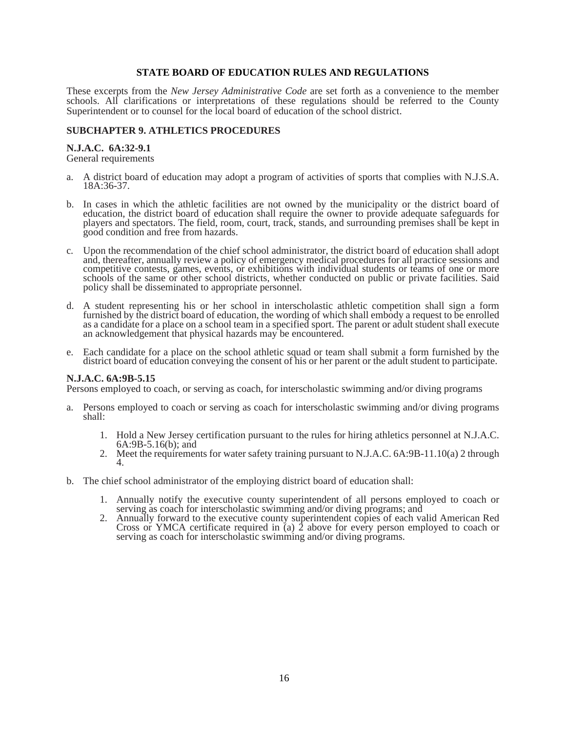#### **STATE BOARD OF EDUCATION RULES AND REGULATIONS**

These excerpts from the *New Jersey Administrative Code* are set forth as a convenience to the member schools. All clarifications or interpretations of these regulations should be referred to the County Superintendent or to counsel for the local board of education of the school district.

## **SUBCHAPTER 9. ATHLETICS PROCEDURES**

# **N.J.A.C. 6A:32-9.1**

General requirements

- a. A district board of education may adopt a program of activities of sports that complies with N.J.S.A. 18A:36-37.
- b. In cases in which the athletic facilities are not owned by the municipality or the district board of education, the district board of education shall require the owner to provide adequate safeguards for players and spectators. The field, room, court, track, stands, and surrounding premises shall be kept in good condition and free from hazards.
- c. Upon the recommendation of the chief school administrator, the district board of education shall adopt and, thereafter, annually review a policy of emergency medical procedures for all practice sessions and competitive contests, games, events, or exhibitions with individual students or teams of one or more schools of the same or other school districts, whether conducted on public or private facilities. Said policy shall be disseminated to appropriate personnel.
- d. A student representing his or her school in interscholastic athletic competition shall sign a form furnished by the district board of education, the wording of which shall embody a request to be enrolled as a candidate for a place on a school team in a specified sport. The parent or adult student shall execute an acknowledgement that physical hazards may be encountered.
- e. Each candidate for a place on the school athletic squad or team shall submit a form furnished by the district board of education conveying the consent of his or her parent or the adult student to participate.

# **N.J.A.C. 6A:9B-5.15**

Persons employed to coach, or serving as coach, for interscholastic swimming and/or diving programs

- a. Persons employed to coach or serving as coach for interscholastic swimming and/or diving programs shall:
	- 1. Hold a New Jersey certification pursuant to the rules for hiring athletics personnel at N.J.A.C. 6A:9B-5.16(b); and
	- 2. Meet the requirements for water safety training pursuant to N.J.A.C. 6A:9B-11.10(a) 2 through 4.
- b. The chief school administrator of the employing district board of education shall:
	- 1. Annually notify the executive county superintendent of all persons employed to coach or serving as coach for interscholastic swimming and/or diving programs; and
	- 2. Annually forward to the executive county superintendent copies of each valid American Red Cross or YMCA certificate required in  $\alpha$  2 above for every person employed to coach or serving as coach for interscholastic swimming and/or diving programs.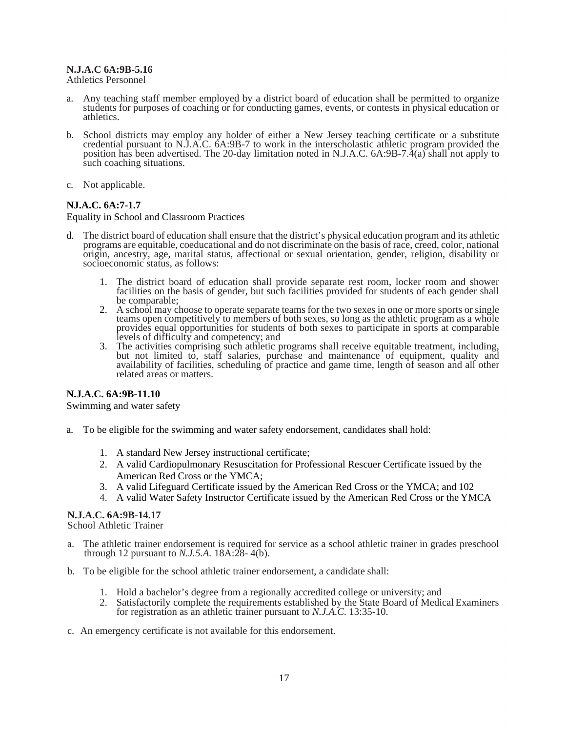## **N.J.A.C 6A:9B-5.16**

Athletics Personnel

- a. Any teaching staff member employed by a district board of education shall be permitted to organize students for purposes of coaching or for conducting games, events, or contests in physical education or athletics.
- b. School districts may employ any holder of either a New Jersey teaching certificate or a substitute credential pursuant to N.J.A.C. 6A:9B-7 to work in the interscholastic athletic program provided the position has been advertised. The 20-day limitation noted in N.J.A.C. 6A:9B-7.4(a) shall not apply to such coaching situations.
- c. Not applicable.

# **NJ.A.C. 6A:7-1.7**

Equality in School and Classroom Practices

- d. The district board of education shall ensure that the district's physical education program and its athletic programs are equitable, coeducational and do not discriminate on the basis of race, creed, color, national origin, ancestry, age, marital status, affectional or sexual orientation, gender, religion, disability or socioeconomic status, as follows:
	- 1. The district board of education shall provide separate rest room, locker room and shower facilities on the basis of gender, but such facilities provided for students of each gender shall be comparable;
	- 2. A school may choose to operate separate teams for the two sexes in one or more sports or single teams open competitively to members of both sexes, so long as the athletic program as a whole provides equal opportunities for students of both sexes to participate in sports at comparable levels of difficulty and competency; and
	- 3. The activities comprising such athletic programs shall receive equitable treatment, including, but not limited to, staff salaries, purchase and maintenance of equipment, quality and availability of facilities, scheduling of practice and game time, length of season and all other related areas or matters.

# **N.J.A.C. 6A:9B-11.10**

Swimming and water safety

- a. To be eligible for the swimming and water safety endorsement, candidates shall hold:
	- 1. A standard New Jersey instructional certificate;
	- 2. A valid Cardiopulmonary Resuscitation for Professional Rescuer Certificate issued by the American Red Cross or the YMCA;
	- 3. A valid Lifeguard Certificate issued by the American Red Cross or the YMCA; and 102
	- 4. A valid Water Safety Instructor Certificate issued by the American Red Cross or the YMCA

#### **N.J.A.C. 6A:9B-14.17**

School Athletic Trainer

- The athletic trainer endorsement is required for service as a school athletic trainer in grades preschool through 12 pursuant to *N.J.5.A.* 18A:28- 4(b).
- b. To be eligible for the school athletic trainer endorsement, a candidate shall:
	- 1. Hold a bachelor's degree from a regionally accredited college or university; and
	- 2. Satisfactorily complete the requirements established by the State Board of Medical Examiners for registration as an athletic trainer pursuant to *N.J.A.C.* 13:35-10.
- c. An emergency certificate is not available for this endorsement.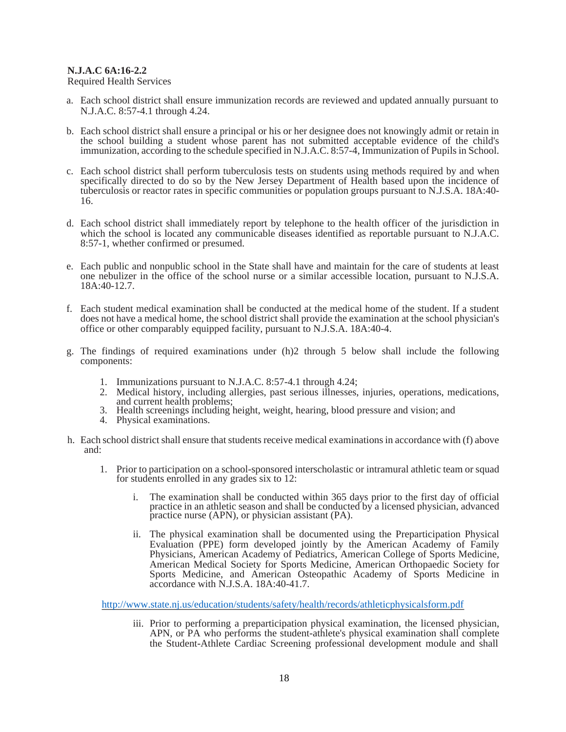# **N.J.A.C 6A:16-2.2**

Required Health Services

- a. Each school district shall ensure immunization records are reviewed and updated annually pursuant to N.J.A.C. 8:57-4.1 through 4.24.
- b. Each school district shall ensure a principal or his or her designee does not knowingly admit or retain in the school building a student whose parent has not submitted acceptable evidence of the child's immunization, according to the schedule specified in N.J.A.C. 8:57-4, Immunization of Pupils in School.
- c. Each school district shall perform tuberculosis tests on students using methods required by and when specifically directed to do so by the New Jersey Department of Health based upon the incidence of tuberculosis or reactor rates in specific communities or population groups pursuant to N.J.S.A. 18A:40- 16.
- d. Each school district shall immediately report by telephone to the health officer of the jurisdiction in which the school is located any communicable diseases identified as reportable pursuant to N.J.A.C. 8:57-1, whether confirmed or presumed.
- e. Each public and nonpublic school in the State shall have and maintain for the care of students at least one nebulizer in the office of the school nurse or a similar accessible location, pursuant to N.J.S.A. 18A:40-12.7.
- f. Each student medical examination shall be conducted at the medical home of the student. If a student does not have a medical home, the school district shall provide the examination at the school physician's office or other comparably equipped facility, pursuant to N.J.S.A. 18A:40-4.
- g. The findings of required examinations under (h)2 through 5 below shall include the following components:
	- 1. Immunizations pursuant to N.J.A.C. 8:57-4.1 through 4.24;
	- 2. Medical history, including allergies, past serious illnesses, injuries, operations, medications,
	- 3. Health screenings including height, weight, hearing, blood pressure and vision; and
	- 4. Physical examinations.
- h. Each school district shall ensure that students receive medical examinations in accordance with (f) above and:
	- 1. Prior to participation on a school-sponsored interscholastic or intramural athletic team or squad for students enrolled in any grades six to 12:
		- i. The examination shall be conducted within 365 days prior to the first day of official practice in an athletic season and shall be conducted by a licensed physician, advanced practice nurse (APN), or physician assistant (PA).
		- ii. The physical examination shall be documented using the Preparticipation Physical Evaluation (PPE) form developed jointly by the American Academy of Family Physicians, American Academy of Pediatrics, American College of Sports Medicine, American Medical Society for Sports Medicine, American Orthopaedic Society for Sports Medicine, and American Osteopathic Academy of Sports Medicine in accordance with N.J.S.A. 18A:40-41.7.

http://www.state.nj.us/education/students/safety/health/records/athleticphysicalsform.pdf

iii. Prior to performing a preparticipation physical examination, the licensed physician, APN, or PA who performs the student-athlete's physical examination shall complete the Student-Athlete Cardiac Screening professional development module and shall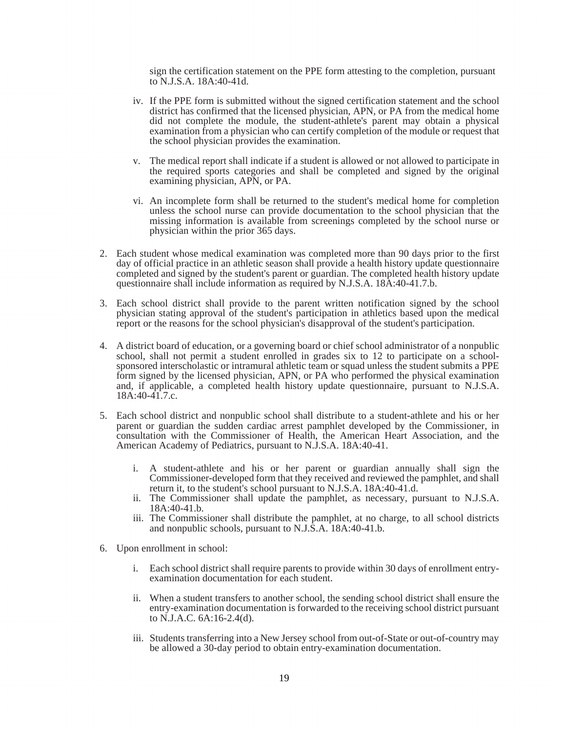sign the certification statement on the PPE form attesting to the completion, pursuant to N.J.S.A. 18A:40-41d.

- iv. If the PPE form is submitted without the signed certification statement and the school district has confirmed that the licensed physician, APN, or PA from the medical home did not complete the module, the student-athlete's parent may obtain a physical examination from a physician who can certify completion of the module or request that the school physician provides the examination.
- v. The medical report shall indicate if a student is allowed or not allowed to participate in the required sports categories and shall be completed and signed by the original examining physician, APN, or PA.
- vi. An incomplete form shall be returned to the student's medical home for completion unless the school nurse can provide documentation to the school physician that the missing information is available from screenings completed by the school nurse or physician within the prior 365 days.
- 2. Each student whose medical examination was completed more than 90 days prior to the first day of official practice in an athletic season shall provide a health history update questionnaire completed and signed by the student's parent or guardian. The completed health history update questionnaire shall include information as required by N.J.S.A. 18A:40-41.7.b.
- 3. Each school district shall provide to the parent written notification signed by the school physician stating approval of the student's participation in athletics based upon the medical report or the reasons for the school physician's disapproval of the student's participation.
- 4. A district board of education, or a governing board or chief school administrator of a nonpublic school, shall not permit a student enrolled in grades six to 12 to participate on a schoolsponsored interscholastic or intramural athletic team or squad unless the student submits a PPE form signed by the licensed physician, APN, or PA who performed the physical examination and, if applicable, a completed health history update questionnaire, pursuant to N.J.S.A.  $18A:40-41.7.c.$
- 5. Each school district and nonpublic school shall distribute to a student-athlete and his or her parent or guardian the sudden cardiac arrest pamphlet developed by the Commissioner, in consultation with the Commissioner of Health, the American Heart Association, and the American Academy of Pediatrics, pursuant to N.J.S.A. 18A:40-41.
	- i. A student-athlete and his or her parent or guardian annually shall sign the Commissioner-developed form that they received and reviewed the pamphlet, and shall return it, to the student's school pursuant to N.J.S.A. 18A:40-41.d.
	- ii. The Commissioner shall update the pamphlet, as necessary, pursuant to N.J.S.A. 18A:40-41.b.
	- iii. The Commissioner shall distribute the pamphlet, at no charge, to all school districts and nonpublic schools, pursuant to N.J.S.A. 18A:40-41.b.
- 6. Upon enrollment in school:
	- i. Each school district shall require parents to provide within 30 days of enrollment entryexamination documentation for each student.
	- ii. When a student transfers to another school, the sending school district shall ensure the entry-examination documentation is forwarded to the receiving school district pursuant to N.J.A.C. 6A:16-2.4(d).
	- iii. Students transferring into a New Jersey school from out-of-State or out-of-country may be allowed a 30-day period to obtain entry-examination documentation.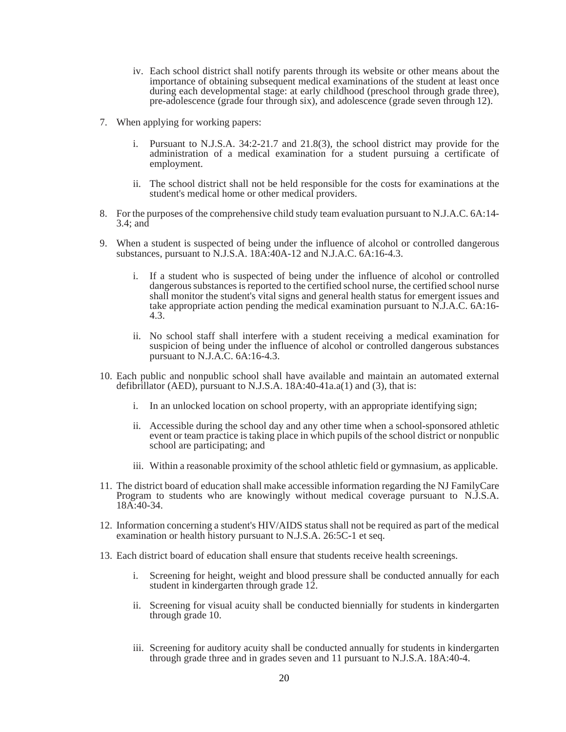- iv. Each school district shall notify parents through its website or other means about the importance of obtaining subsequent medical examinations of the student at least once during each developmental stage: at early childhood (preschool through grade three), pre-adolescence (grade four through six), and adolescence (grade seven through 12).
- 7. When applying for working papers:
	- i. Pursuant to N.J.S.A. 34:2-21.7 and 21.8(3), the school district may provide for the administration of a medical examination for a student pursuing a certificate of employment.
	- ii. The school district shall not be held responsible for the costs for examinations at the student's medical home or other medical providers.
- 8. For the purposes of the comprehensive child study team evaluation pursuant to N.J.A.C. 6A:14- 3.4; and
- 9. When a student is suspected of being under the influence of alcohol or controlled dangerous substances, pursuant to N.J.S.A. 18A:40A-12 and N.J.A.C. 6A:16-4.3.
	- i. If a student who is suspected of being under the influence of alcohol or controlled dangerous substances is reported to the certified school nurse, the certified school nurse shall monitor the student's vital signs and general health status for emergent issues and take appropriate action pending the medical examination pursuant to N.J.A.C. 6A:16- 4.3.
	- ii. No school staff shall interfere with a student receiving a medical examination for suspicion of being under the influence of alcohol or controlled dangerous substances pursuant to N.J.A.C. 6A:16-4.3.
- 10. Each public and nonpublic school shall have available and maintain an automated external defibrillator (AED), pursuant to N.J.S.A.  $18A:40-41a.a(1)$  and (3), that is:
	- i. In an unlocked location on school property, with an appropriate identifying sign;
	- ii. Accessible during the school day and any other time when a school-sponsored athletic event or team practice is taking place in which pupils of the school district or nonpublic school are participating; and
	- iii. Within a reasonable proximity of the school athletic field or gymnasium, as applicable.
- 11. The district board of education shall make accessible information regarding the NJ FamilyCare Program to students who are knowingly without medical coverage pursuant to N.J.S.A.  $18A:40-34$ .
- 12. Information concerning a student's HIV/AIDS status shall not be required as part of the medical examination or health history pursuant to N.J.S.A. 26:5C-1 et seq.
- 13. Each district board of education shall ensure that students receive health screenings.
	- i. Screening for height, weight and blood pressure shall be conducted annually for each student in kindergarten through grade 12.
	- ii. Screening for visual acuity shall be conducted biennially for students in kindergarten through grade 10.
	- iii. Screening for auditory acuity shall be conducted annually for students in kindergarten through grade three and in grades seven and 11 pursuant to N.J.S.A. 18A:40-4.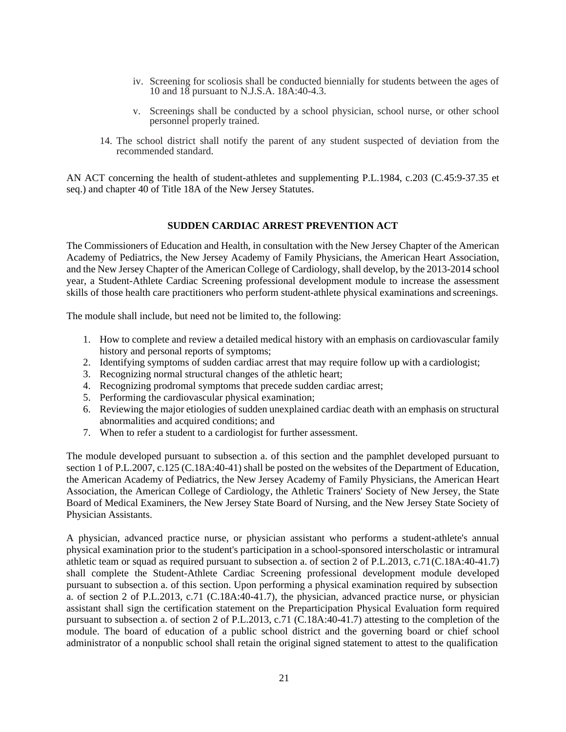- iv. Screening for scoliosis shall be conducted biennially for students between the ages of 10 and 18 pursuant to N.J.S.A. 18A:40-4.3.
- v. Screenings shall be conducted by a school physician, school nurse, or other school personnel properly trained.
- 14. The school district shall notify the parent of any student suspected of deviation from the recommended standard.

AN ACT concerning the health of student-athletes and supplementing P.L.1984, c.203 (C.45:9-37.35 et seq.) and chapter 40 of Title 18A of the New Jersey Statutes.

## **SUDDEN CARDIAC ARREST PREVENTION ACT**

The Commissioners of Education and Health, in consultation with the New Jersey Chapter of the American Academy of Pediatrics, the New Jersey Academy of Family Physicians, the American Heart Association, and the New Jersey Chapter of the American College of Cardiology, shall develop, by the 2013-2014 school year, a Student-Athlete Cardiac Screening professional development module to increase the assessment skills of those health care practitioners who perform student-athlete physical examinations and screenings.

The module shall include, but need not be limited to, the following:

- 1. How to complete and review a detailed medical history with an emphasis on cardiovascular family history and personal reports of symptoms;
- 2. Identifying symptoms of sudden cardiac arrest that may require follow up with a cardiologist;
- 3. Recognizing normal structural changes of the athletic heart;
- 4. Recognizing prodromal symptoms that precede sudden cardiac arrest;
- 5. Performing the cardiovascular physical examination;
- 6. Reviewing the major etiologies of sudden unexplained cardiac death with an emphasis on structural abnormalities and acquired conditions; and
- 7. When to refer a student to a cardiologist for further assessment.

The module developed pursuant to subsection a. of this section and the pamphlet developed pursuant to section 1 of P.L.2007, c.125 (C.18A:40-41) shall be posted on the websites of the Department of Education, the American Academy of Pediatrics, the New Jersey Academy of Family Physicians, the American Heart Association, the American College of Cardiology, the Athletic Trainers' Society of New Jersey, the State Board of Medical Examiners, the New Jersey State Board of Nursing, and the New Jersey State Society of Physician Assistants.

A physician, advanced practice nurse, or physician assistant who performs a student-athlete's annual physical examination prior to the student's participation in a school-sponsored interscholastic or intramural athletic team or squad as required pursuant to subsection a. of section 2 of P.L.2013, c.71 (C.18A:40-41.7) shall complete the Student-Athlete Cardiac Screening professional development module developed pursuant to subsection a. of this section. Upon performing a physical examination required by subsection a. of section 2 of P.L.2013, c.71 (C.18A:40-41.7), the physician, advanced practice nurse, or physician assistant shall sign the certification statement on the Preparticipation Physical Evaluation form required pursuant to subsection a. of section 2 of P.L.2013, c.71 (C.18A:40-41.7) attesting to the completion of the module. The board of education of a public school district and the governing board or chief school administrator of a nonpublic school shall retain the original signed statement to attest to the qualification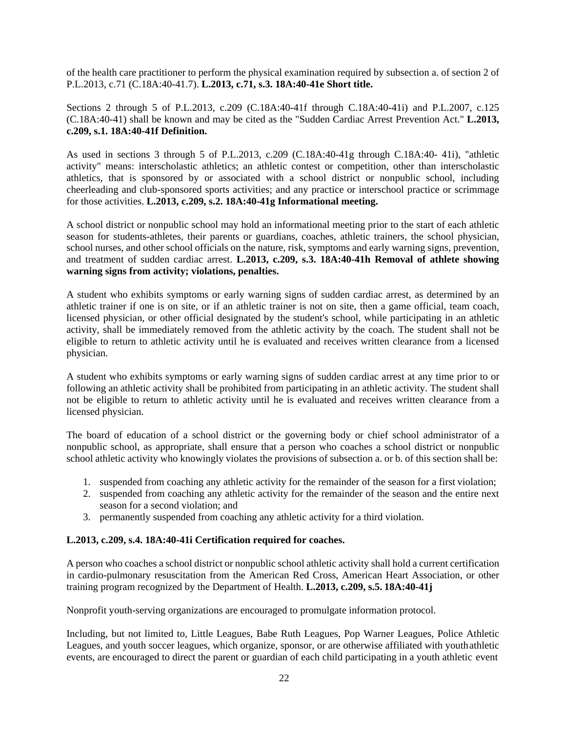of the health care practitioner to perform the physical examination required by subsection a. of section 2 of P.L.2013, c.71 (C.18A:40-41.7). **L.2013, c.71, s.3. 18A:40-41e Short title.** 

Sections 2 through 5 of P.L.2013, c.209 (C.18A:40-41f through C.18A:40-41i) and P.L.2007, c.125 (C.18A:40-41) shall be known and may be cited as the "Sudden Cardiac Arrest Prevention Act." **L.2013, c.209, s.1. 18A:40-41f Definition.** 

As used in sections 3 through 5 of P.L.2013, c.209 (C.18A:40-41g through C.18A:40- 41i), "athletic activity" means: interscholastic athletics; an athletic contest or competition, other than interscholastic athletics, that is sponsored by or associated with a school district or nonpublic school, including cheerleading and club-sponsored sports activities; and any practice or interschool practice or scrimmage for those activities. **L.2013, c.209, s.2. 18A:40-41g Informational meeting.** 

A school district or nonpublic school may hold an informational meeting prior to the start of each athletic season for students-athletes, their parents or guardians, coaches, athletic trainers, the school physician, school nurses, and other school officials on the nature, risk, symptoms and early warning signs, prevention, and treatment of sudden cardiac arrest. **L.2013, c.209, s.3. 18A:40-41h Removal of athlete showing warning signs from activity; violations, penalties.** 

A student who exhibits symptoms or early warning signs of sudden cardiac arrest, as determined by an athletic trainer if one is on site, or if an athletic trainer is not on site, then a game official, team coach, licensed physician, or other official designated by the student's school, while participating in an athletic activity, shall be immediately removed from the athletic activity by the coach. The student shall not be eligible to return to athletic activity until he is evaluated and receives written clearance from a licensed physician.

A student who exhibits symptoms or early warning signs of sudden cardiac arrest at any time prior to or following an athletic activity shall be prohibited from participating in an athletic activity. The student shall not be eligible to return to athletic activity until he is evaluated and receives written clearance from a licensed physician.

The board of education of a school district or the governing body or chief school administrator of a nonpublic school, as appropriate, shall ensure that a person who coaches a school district or nonpublic school athletic activity who knowingly violates the provisions of subsection a. or b. of this section shall be:

- 1. suspended from coaching any athletic activity for the remainder of the season for a first violation;
- 2. suspended from coaching any athletic activity for the remainder of the season and the entire next season for a second violation; and
- 3. permanently suspended from coaching any athletic activity for a third violation.

# **L.2013, c.209, s.4. 18A:40-41i Certification required for coaches.**

A person who coaches a school district or nonpublic school athletic activity shall hold a current certification in cardio-pulmonary resuscitation from the American Red Cross, American Heart Association, or other training program recognized by the Department of Health. **L.2013, c.209, s.5. 18A:40-41j** 

Nonprofit youth-serving organizations are encouraged to promulgate information protocol.

Including, but not limited to, Little Leagues, Babe Ruth Leagues, Pop Warner Leagues, Police Athletic Leagues, and youth soccer leagues, which organize, sponsor, or are otherwise affiliated with youth athletic events, are encouraged to direct the parent or guardian of each child participating in a youth athletic event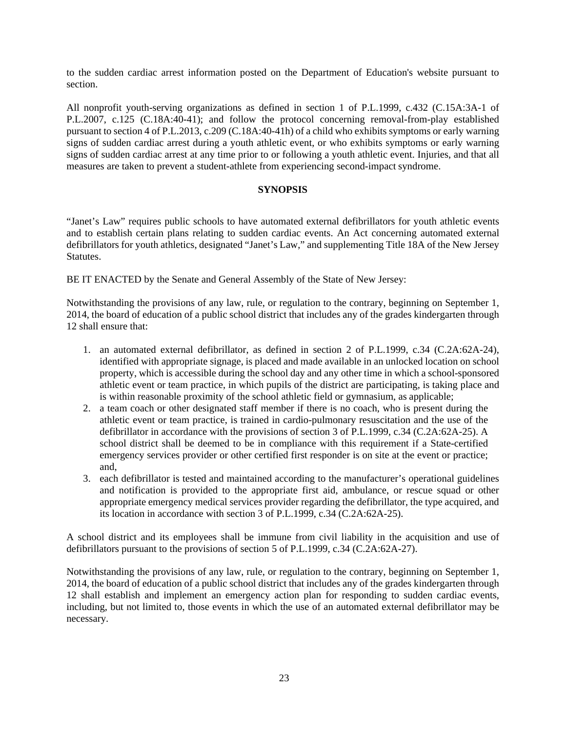to the sudden cardiac arrest information posted on the Department of Education's website pursuant to section.

All nonprofit youth-serving organizations as defined in section 1 of P.L.1999, c.432 (C.15A:3A-1 of P.L.2007, c.125 (C.18A:40-41); and follow the protocol concerning removal-from-play established pursuant to section 4 of P.L.2013, c.209 (C.18A:40-41h) of a child who exhibits symptoms or early warning signs of sudden cardiac arrest during a youth athletic event, or who exhibits symptoms or early warning signs of sudden cardiac arrest at any time prior to or following a youth athletic event. Injuries, and that all measures are taken to prevent a student-athlete from experiencing second-impact syndrome.

# **SYNOPSIS**

"Janet's Law" requires public schools to have automated external defibrillators for youth athletic events and to establish certain plans relating to sudden cardiac events. An Act concerning automated external defibrillators for youth athletics, designated "Janet's Law," and supplementing Title 18A of the New Jersey Statutes.

BE IT ENACTED by the Senate and General Assembly of the State of New Jersey:

Notwithstanding the provisions of any law, rule, or regulation to the contrary, beginning on September 1, 2014, the board of education of a public school district that includes any of the grades kindergarten through 12 shall ensure that:

- 1. an automated external defibrillator, as defined in section 2 of P.L.1999, c.34 (C.2A:62A-24), identified with appropriate signage, is placed and made available in an unlocked location on school property, which is accessible during the school day and any other time in which a school-sponsored athletic event or team practice, in which pupils of the district are participating, is taking place and is within reasonable proximity of the school athletic field or gymnasium, as applicable;
- 2. a team coach or other designated staff member if there is no coach, who is present during the athletic event or team practice, is trained in cardio-pulmonary resuscitation and the use of the defibrillator in accordance with the provisions of section 3 of P.L.1999, c.34 (C.2A:62A-25). A school district shall be deemed to be in compliance with this requirement if a State-certified emergency services provider or other certified first responder is on site at the event or practice; and,
- 3. each defibrillator is tested and maintained according to the manufacturer's operational guidelines and notification is provided to the appropriate first aid, ambulance, or rescue squad or other appropriate emergency medical services provider regarding the defibrillator, the type acquired, and its location in accordance with section 3 of P.L.1999, c.34 (C.2A:62A-25).

A school district and its employees shall be immune from civil liability in the acquisition and use of defibrillators pursuant to the provisions of section 5 of P.L.1999, c.34 (C.2A:62A-27).

Notwithstanding the provisions of any law, rule, or regulation to the contrary, beginning on September 1, 2014, the board of education of a public school district that includes any of the grades kindergarten through 12 shall establish and implement an emergency action plan for responding to sudden cardiac events, including, but not limited to, those events in which the use of an automated external defibrillator may be necessary.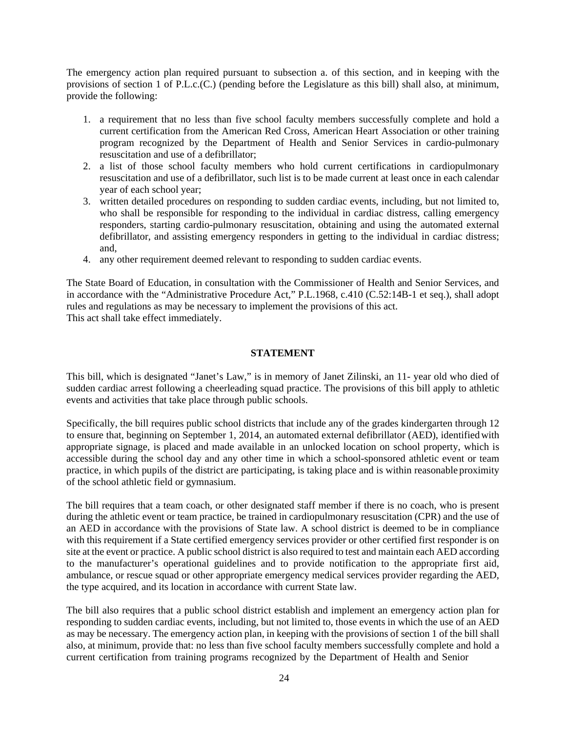The emergency action plan required pursuant to subsection a. of this section, and in keeping with the provisions of section 1 of P.L.c.(C.) (pending before the Legislature as this bill) shall also, at minimum, provide the following:

- 1. a requirement that no less than five school faculty members successfully complete and hold a current certification from the American Red Cross, American Heart Association or other training program recognized by the Department of Health and Senior Services in cardio-pulmonary resuscitation and use of a defibrillator;
- 2. a list of those school faculty members who hold current certifications in cardiopulmonary resuscitation and use of a defibrillator, such list is to be made current at least once in each calendar year of each school year;
- 3. written detailed procedures on responding to sudden cardiac events, including, but not limited to, who shall be responsible for responding to the individual in cardiac distress, calling emergency responders, starting cardio-pulmonary resuscitation, obtaining and using the automated external defibrillator, and assisting emergency responders in getting to the individual in cardiac distress; and,
- 4. any other requirement deemed relevant to responding to sudden cardiac events.

The State Board of Education, in consultation with the Commissioner of Health and Senior Services, and in accordance with the "Administrative Procedure Act," P.L.1968, c.410 (C.52:14B-1 et seq.), shall adopt rules and regulations as may be necessary to implement the provisions of this act. This act shall take effect immediately.

## **STATEMENT**

This bill, which is designated "Janet's Law," is in memory of Janet Zilinski, an 11- year old who died of sudden cardiac arrest following a cheerleading squad practice. The provisions of this bill apply to athletic events and activities that take place through public schools.

Specifically, the bill requires public school districts that include any of the grades kindergarten through 12 to ensure that, beginning on September 1, 2014, an automated external defibrillator (AED), identified with appropriate signage, is placed and made available in an unlocked location on school property, which is accessible during the school day and any other time in which a school-sponsored athletic event or team practice, in which pupils of the district are participating, is taking place and is within reasonable proximity of the school athletic field or gymnasium.

The bill requires that a team coach, or other designated staff member if there is no coach, who is present during the athletic event or team practice, be trained in cardiopulmonary resuscitation (CPR) and the use of an AED in accordance with the provisions of State law. A school district is deemed to be in compliance with this requirement if a State certified emergency services provider or other certified first responder is on site at the event or practice. A public school district is also required to test and maintain each AED according to the manufacturer's operational guidelines and to provide notification to the appropriate first aid, ambulance, or rescue squad or other appropriate emergency medical services provider regarding the AED, the type acquired, and its location in accordance with current State law.

The bill also requires that a public school district establish and implement an emergency action plan for responding to sudden cardiac events, including, but not limited to, those events in which the use of an AED as may be necessary. The emergency action plan, in keeping with the provisions of section 1 of the bill shall also, at minimum, provide that: no less than five school faculty members successfully complete and hold a current certification from training programs recognized by the Department of Health and Senior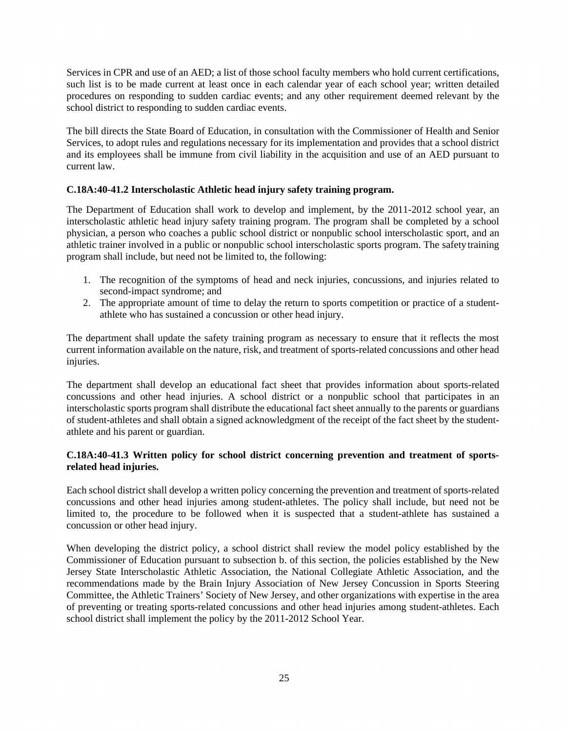Services in CPR and use of an AED; a list of those school faculty members who hold current certifications, such list is to be made current at least once in each calendar year of each school year; written detailed procedures on responding to sudden cardiac events; and any other requirement deemed relevant by the school district to responding to sudden cardiac events.

The bill directs the State Board of Education, in consultation with the Commissioner of Health and Senior Services, to adopt rules and regulations necessary for its implementation and provides that a school district and its employees shall be immune from civil liability in the acquisition and use of an AED pursuant to current law.

# **C.18A:40-41.2 Interscholastic Athletic head injury safety training program.**

The Department of Education shall work to develop and implement, by the 2011-2012 school year, an interscholastic athletic head injury safety training program. The program shall be completed by a school physician, a person who coaches a public school district or nonpublic school interscholastic sport, and an athletic trainer involved in a public or nonpublic school interscholastic sports program. The safety training program shall include, but need not be limited to, the following:

- 1. The recognition of the symptoms of head and neck injuries, concussions, and injuries related to second-impact syndrome; and
- 2. The appropriate amount of time to delay the return to sports competition or practice of a studentathlete who has sustained a concussion or other head injury.

The department shall update the safety training program as necessary to ensure that it reflects the most current information available on the nature, risk, and treatment of sports-related concussions and other head injuries.

The department shall develop an educational fact sheet that provides information about sports-related concussions and other head injuries. A school district or a nonpublic school that participates in an interscholastic sports program shall distribute the educational fact sheet annually to the parents or guardians of student-athletes and shall obtain a signed acknowledgment of the receipt of the fact sheet by the studentathlete and his parent or guardian.

# **C.18A:40-41.3 Written policy for school district concerning prevention and treatment of sportsrelated head injuries.**

Each school district shall develop a written policy concerning the prevention and treatment of sports-related concussions and other head injuries among student-athletes. The policy shall include, but need not be limited to, the procedure to be followed when it is suspected that a student-athlete has sustained a concussion or other head injury.

When developing the district policy, a school district shall review the model policy established by the Commissioner of Education pursuant to subsection b. of this section, the policies established by the New Jersey State Interscholastic Athletic Association, the National Collegiate Athletic Association, and the recommendations made by the Brain Injury Association of New Jersey Concussion in Sports Steering Committee, the Athletic Trainers' Society of New Jersey, and other organizations with expertise in the area of preventing or treating sports-related concussions and other head injuries among student-athletes. Each school district shall implement the policy by the 2011-2012 School Year.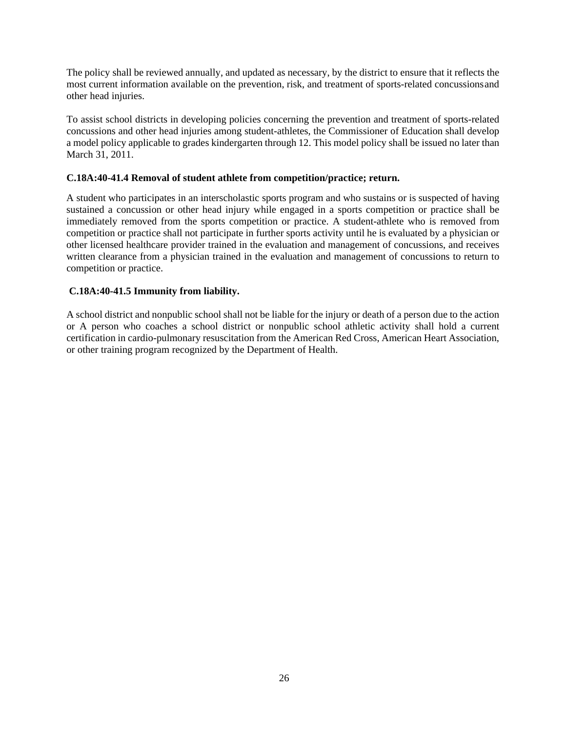The policy shall be reviewed annually, and updated as necessary, by the district to ensure that it reflects the most current information available on the prevention, risk, and treatment of sports-related concussions and other head injuries.

To assist school districts in developing policies concerning the prevention and treatment of sports-related concussions and other head injuries among student-athletes, the Commissioner of Education shall develop a model policy applicable to grades kindergarten through 12. This model policy shall be issued no later than March 31, 2011.

# **C.18A:40-41.4 Removal of student athlete from competition/practice; return.**

A student who participates in an interscholastic sports program and who sustains or is suspected of having sustained a concussion or other head injury while engaged in a sports competition or practice shall be immediately removed from the sports competition or practice. A student-athlete who is removed from competition or practice shall not participate in further sports activity until he is evaluated by a physician or other licensed healthcare provider trained in the evaluation and management of concussions, and receives written clearance from a physician trained in the evaluation and management of concussions to return to competition or practice.

# **C.18A:40-41.5 Immunity from liability.**

A school district and nonpublic school shall not be liable for the injury or death of a person due to the action or A person who coaches a school district or nonpublic school athletic activity shall hold a current certification in cardio-pulmonary resuscitation from the American Red Cross, American Heart Association, or other training program recognized by the Department of Health.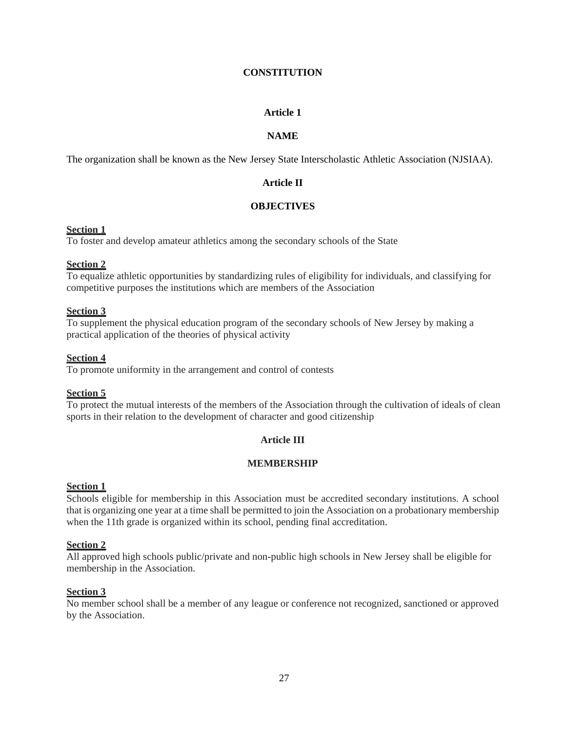## **CONSTITUTION**

# **Article 1**

# **NAME**

The organization shall be known as the New Jersey State Interscholastic Athletic Association (NJSIAA).

# **Article II**

# **OBJECTIVES**

# **Section 1**

To foster and develop amateur athletics among the secondary schools of the State

# **Section 2**

To equalize athletic opportunities by standardizing rules of eligibility for individuals, and classifying for competitive purposes the institutions which are members of the Association

# **Section 3**

To supplement the physical education program of the secondary schools of New Jersey by making a practical application of the theories of physical activity

# **Section 4**

To promote uniformity in the arrangement and control of contests

# **Section 5**

To protect the mutual interests of the members of the Association through the cultivation of ideals of clean sports in their relation to the development of character and good citizenship

# **Article III**

# **MEMBERSHIP**

#### **Section 1**

Schools eligible for membership in this Association must be accredited secondary institutions. A school that is organizing one year at a time shall be permitted to join the Association on a probationary membership when the 11th grade is organized within its school, pending final accreditation.

#### **Section 2**

All approved high schools public/private and non-public high schools in New Jersey shall be eligible for membership in the Association.

# **Section 3**

No member school shall be a member of any league or conference not recognized, sanctioned or approved by the Association.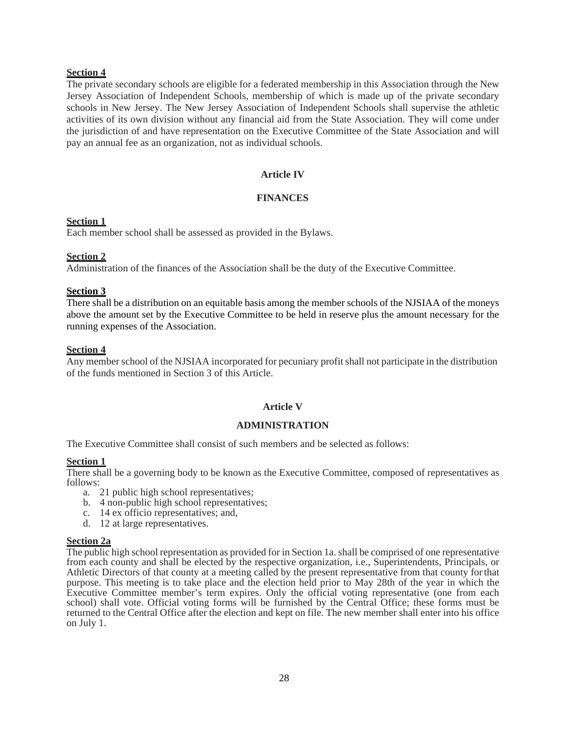# **Section 4**

The private secondary schools are eligible for a federated membership in this Association through the New Jersey Association of Independent Schools, membership of which is made up of the private secondary schools in New Jersey. The New Jersey Association of Independent Schools shall supervise the athletic activities of its own division without any financial aid from the State Association. They will come under the jurisdiction of and have representation on the Executive Committee of the State Association and will pay an annual fee as an organization, not as individual schools.

# **Article IV**

## **FINANCES**

## **Section 1**

Each member school shall be assessed as provided in the Bylaws.

# **Section 2**

Administration of the finances of the Association shall be the duty of the Executive Committee.

# **Section 3**

There shall be a distribution on an equitable basis among the member schools of the NJSIAA of the moneys above the amount set by the Executive Committee to be held in reserve plus the amount necessary for the running expenses of the Association.

## **Section 4**

Any member school of the NJSIAA incorporated for pecuniary profit shall not participate in the distribution of the funds mentioned in Section 3 of this Article.

# **Article V**

# **ADMINISTRATION**

The Executive Committee shall consist of such members and be selected as follows:

#### **Section 1**

There shall be a governing body to be known as the Executive Committee, composed of representatives as follows:

- a. 21 public high school representatives;
- b. 4 non-public high school representatives;
- c. 14 ex officio representatives; and,
- d. 12 at large representatives.

#### **Section 2a**

The public high school representation as provided for in Section 1a. shall be comprised of one representative from each county and shall be elected by the respective organization, i.e., Superintendents, Principals, or Athletic Directors of that county at a meeting called by the present representative from that county for that purpose. This meeting is to take place and the election held prior to May 28th of the year in which the Executive Committee member's term expires. Only the official voting representative (one from each school) shall vote. Official voting forms will be furnished by the Central Office; these forms must be returned to the Central Office after the election and kept on file. The new member shall enter into his office on July 1.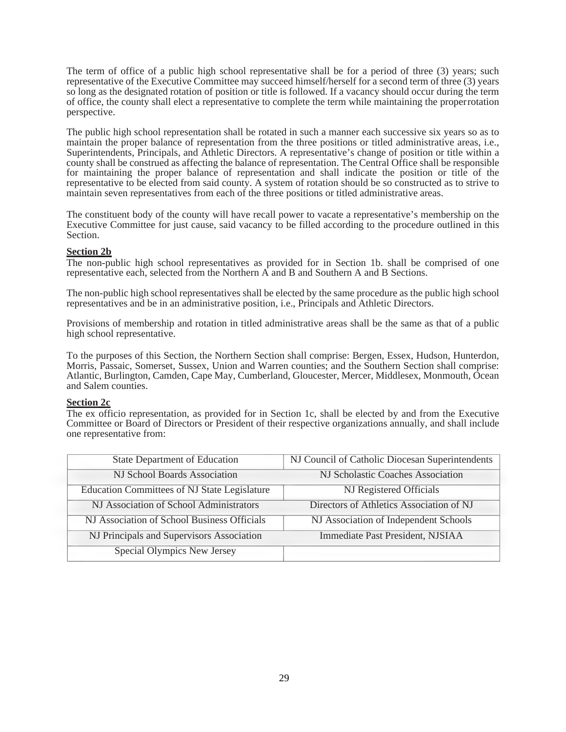The term of office of a public high school representative shall be for a period of three (3) years; such representative of the Executive Committee may succeed himself/herself for a second term of three (3) years so long as the designated rotation of position or title is followed. If a vacancy should occur during the term of office, the county shall elect a representative to complete the term while maintaining the proper rotation perspective.

The public high school representation shall be rotated in such a manner each successive six years so as to maintain the proper balance of representation from the three positions or titled administrative areas, i.e., Superintendents, Principals, and Athletic Directors. A representative's change of position or title within a county shall be construed as affecting the balance of representation. The Central Office shall be responsible for maintaining the proper balance of representation and shall indicate the position or title of the representative to be elected from said county. A system of rotation should be so constructed as to strive to maintain seven representatives from each of the three positions or titled administrative areas.

The constituent body of the county will have recall power to vacate a representative's membership on the Executive Committee for just cause, said vacancy to be filled according to the procedure outlined in this Section.

## **Section 2b**

The non-public high school representatives as provided for in Section 1b. shall be comprised of one representative each, selected from the Northern A and B and Southern A and B Sections.

The non-public high school representatives shall be elected by the same procedure as the public high school representatives and be in an administrative position, i.e., Principals and Athletic Directors.

Provisions of membership and rotation in titled administrative areas shall be the same as that of a public high school representative.

To the purposes of this Section, the Northern Section shall comprise: Bergen, Essex, Hudson, Hunterdon, Morris, Passaic, Somerset, Sussex, Union and Warren counties; and the Southern Section shall comprise: Atlantic, Burlington, Camden, Cape May, Cumberland, Gloucester, Mercer, Middlesex, Monmouth, Ocean and Salem counties.

#### **Section 2c**

The ex officio representation, as provided for in Section 1c, shall be elected by and from the Executive Committee or Board of Directors or President of their respective organizations annually, and shall include one representative from:

| <b>State Department of Education</b>                | NJ Council of Catholic Diocesan Superintendents |
|-----------------------------------------------------|-------------------------------------------------|
| NJ School Boards Association                        | NJ Scholastic Coaches Association               |
| <b>Education Committees of NJ State Legislature</b> | <b>NJ</b> Registered Officials                  |
| NJ Association of School Administrators             | Directors of Athletics Association of NJ        |
| NJ Association of School Business Officials         | NJ Association of Independent Schools           |
| NJ Principals and Supervisors Association           | Immediate Past President, NJSIAA                |
| Special Olympics New Jersey                         |                                                 |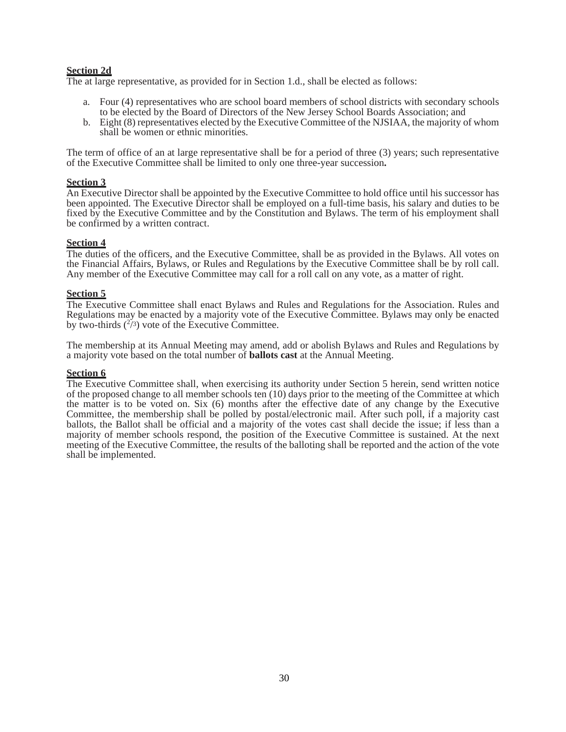# **Section 2d**

The at large representative, as provided for in Section 1.d., shall be elected as follows:

- a. Four (4) representatives who are school board members of school districts with secondary schools to be elected by the Board of Directors of the New Jersey School Boards Association; and
- b. Eight (8) representatives elected by the Executive Committee of the NJSIAA, the majority of whom shall be women or ethnic minorities.

The term of office of an at large representative shall be for a period of three (3) years; such representative of the Executive Committee shall be limited to only one three-year succession**.**

#### **Section 3**

An Executive Director shall be appointed by the Executive Committee to hold office until his successor has been appointed. The Executive Director shall be employed on a full-time basis, his salary and duties to be fixed by the Executive Committee and by the Constitution and Bylaws. The term of his employment shall be confirmed by a written contract.

#### **Section 4**

The duties of the officers, and the Executive Committee, shall be as provided in the Bylaws. All votes on the Financial Affairs, Bylaws, or Rules and Regulations by the Executive Committee shall be by roll call. Any member of the Executive Committee may call for a roll call on any vote, as a matter of right.

#### **Section 5**

The Executive Committee shall enact Bylaws and Rules and Regulations for the Association. Rules and Regulations may be enacted by a majority vote of the Executive Committee. Bylaws may only be enacted by two-thirds  $(^{27})$  vote of the Executive Committee.

The membership at its Annual Meeting may amend, add or abolish Bylaws and Rules and Regulations by a majority vote based on the total number of **ballots cast** at the Annual Meeting.

#### **Section 6**

The Executive Committee shall, when exercising its authority under Section 5 herein, send written notice of the proposed change to all member schools ten (10) days prior to the meeting of the Committee at which the matter is to be voted on. Six (6) months after the effective date of any change by the Executive Committee, the membership shall be polled by postal/electronic mail. After such poll, if a majority cast ballots, the Ballot shall be official and a majority of the votes cast shall decide the issue; if less than a majority of member schools respond, the position of the Executive Committee is sustained. At the next meeting of the Executive Committee, the results of the balloting shall be reported and the action of the vote shall be implemented.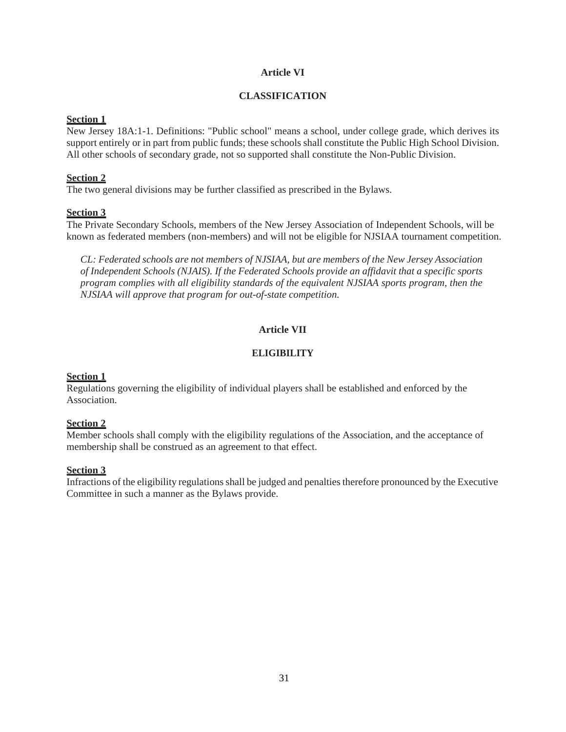# **Article VI**

### **CLASSIFICATION**

## **Section 1**

New Jersey 18A:1-1. Definitions: "Public school" means a school, under college grade, which derives its support entirely or in part from public funds; these schools shall constitute the Public High School Division. All other schools of secondary grade, not so supported shall constitute the Non-Public Division.

## **Section 2**

The two general divisions may be further classified as prescribed in the Bylaws.

# **Section 3**

The Private Secondary Schools, members of the New Jersey Association of Independent Schools, will be known as federated members (non-members) and will not be eligible for NJSIAA tournament competition.

*CL: Federated schools are not members of NJSIAA, but are members of the New Jersey Association of Independent Schools (NJAIS). If the Federated Schools provide an affidavit that a specific sports program complies with all eligibility standards of the equivalent NJSIAA sports program, then the NJSIAA will approve that program for out-of-state competition.*

# **Article VII**

# **ELIGIBILITY**

# **Section 1**

Regulations governing the eligibility of individual players shall be established and enforced by the Association.

# **Section 2**

Member schools shall comply with the eligibility regulations of the Association, and the acceptance of membership shall be construed as an agreement to that effect.

# **Section 3**

Infractions of the eligibility regulations shall be judged and penalties therefore pronounced by the Executive Committee in such a manner as the Bylaws provide.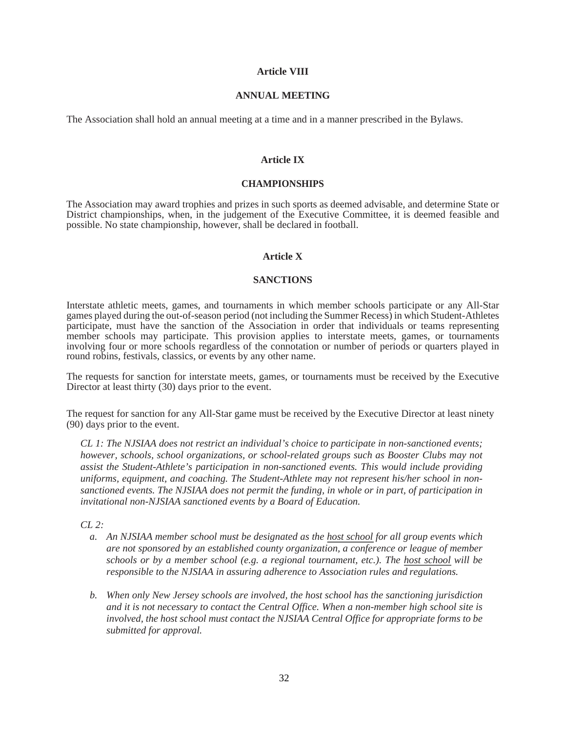### **Article VIII**

#### **ANNUAL MEETING**

The Association shall hold an annual meeting at a time and in a manner prescribed in the Bylaws.

### **Article IX**

#### **CHAMPIONSHIPS**

The Association may award trophies and prizes in such sports as deemed advisable, and determine State or District championships, when, in the judgement of the Executive Committee, it is deemed feasible and possible. No state championship, however, shall be declared in football.

### **Article X**

## **SANCTIONS**

Interstate athletic meets, games, and tournaments in which member schools participate or any All-Star games played during the out-of-season period (not including the Summer Recess) in which Student-Athletes participate, must have the sanction of the Association in order that individuals or teams representing member schools may participate. This provision applies to interstate meets, games, or tournaments involving four or more schools regardless of the connotation or number of periods or quarters played in round robins, festivals, classics, or events by any other name.

The requests for sanction for interstate meets, games, or tournaments must be received by the Executive Director at least thirty (30) days prior to the event.

The request for sanction for any All-Star game must be received by the Executive Director at least ninety (90) days prior to the event.

*CL 1: The NJSIAA does not restrict an individual's choice to participate in non-sanctioned events; however, schools, school organizations, or school-related groups such as Booster Clubs may not assist the Student-Athlete's participation in non-sanctioned events. This would include providing uniforms, equipment, and coaching. The Student-Athlete may not represent his/her school in nonsanctioned events. The NJSIAA does not permit the funding, in whole or in part, of participation in invitational non-NJSIAA sanctioned events by a Board of Education.*

*CL 2:*

- *a. An NJSIAA member school must be designated as the host school for all group events which are not sponsored by an established county organization, a conference or league of member schools or by a member school (e.g. a regional tournament, etc.). The host school will be responsible to the NJSIAA in assuring adherence to Association rules and regulations.*
- *b. When only New Jersey schools are involved, the host school has the sanctioning jurisdiction and it is not necessary to contact the Central Office. When a non-member high school site is involved, the host school must contact the NJSIAA Central Office for appropriate forms to be submitted for approval.*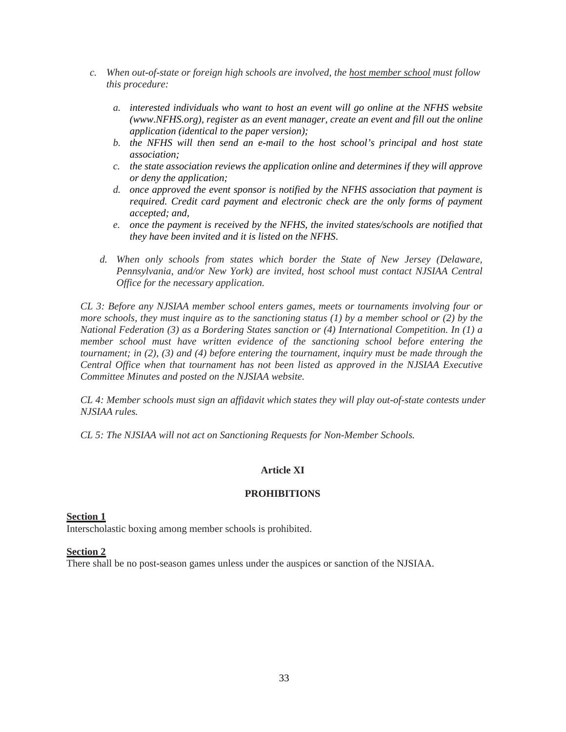- *c. When out-of-state or foreign high schools are involved, the host member school must follow this procedure:*
	- *a. interested individuals who want to host an event will go online at the NFHS website (www.NFHS.org), register as an event manager, create an event and fill out the online application (identical to the paper version);*
	- *b. the NFHS will then send an e-mail to the host school's principal and host state association;*
	- *c. the state association reviews the application online and determines if they will approve or deny the application;*
	- *d. once approved the event sponsor is notified by the NFHS association that payment is required. Credit card payment and electronic check are the only forms of payment accepted; and,*
	- *e. once the payment is received by the NFHS, the invited states/schools are notified that they have been invited and it is listed on the NFHS*.
	- *d. When only schools from states which border the State of New Jersey (Delaware, Pennsylvania, and/or New York) are invited, host school must contact NJSIAA Central Office for the necessary application.*

*CL 3: Before any NJSIAA member school enters games, meets or tournaments involving four or more schools, they must inquire as to the sanctioning status (1) by a member school or (2) by the National Federation (3) as a Bordering States sanction or (4) International Competition. In (1) a member school must have written evidence of the sanctioning school before entering the tournament; in (2), (3) and (4) before entering the tournament, inquiry must be made through the Central Office when that tournament has not been listed as approved in the NJSIAA Executive Committee Minutes and posted on the NJSIAA website.*

*CL 4: Member schools must sign an affidavit which states they will play out-of-state contests under NJSIAA rules.*

*CL 5: The NJSIAA will not act on Sanctioning Requests for Non-Member Schools.*

# **Article XI**

# **PROHIBITIONS**

### **Section 1**

Interscholastic boxing among member schools is prohibited.

### **Section 2**

There shall be no post-season games unless under the auspices or sanction of the NJSIAA.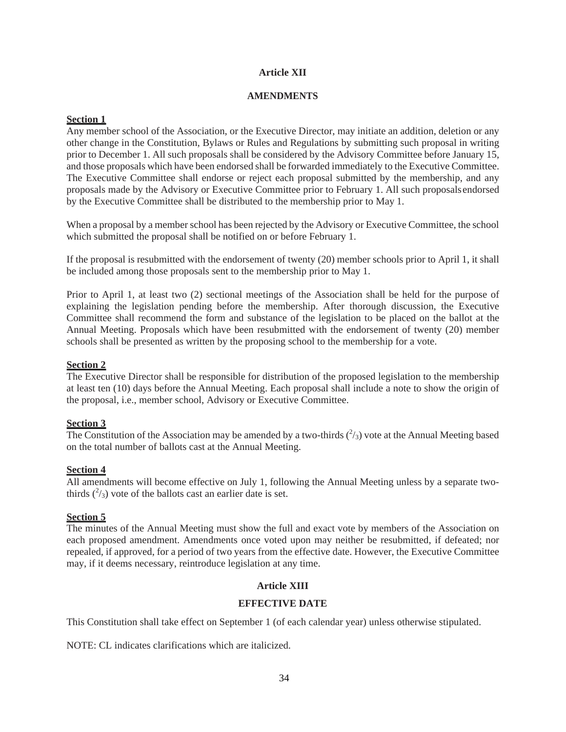# **Article XII**

## **AMENDMENTS**

# **Section 1**

Any member school of the Association, or the Executive Director, may initiate an addition, deletion or any other change in the Constitution, Bylaws or Rules and Regulations by submitting such proposal in writing prior to December 1. All such proposals shall be considered by the Advisory Committee before January 15, and those proposals which have been endorsed shall be forwarded immediately to the Executive Committee. The Executive Committee shall endorse or reject each proposal submitted by the membership, and any proposals made by the Advisory or Executive Committee prior to February 1. All such proposals endorsed by the Executive Committee shall be distributed to the membership prior to May 1.

When a proposal by a member school has been rejected by the Advisory or Executive Committee, the school which submitted the proposal shall be notified on or before February 1.

If the proposal is resubmitted with the endorsement of twenty (20) member schools prior to April 1, it shall be included among those proposals sent to the membership prior to May 1.

Prior to April 1, at least two (2) sectional meetings of the Association shall be held for the purpose of explaining the legislation pending before the membership. After thorough discussion, the Executive Committee shall recommend the form and substance of the legislation to be placed on the ballot at the Annual Meeting. Proposals which have been resubmitted with the endorsement of twenty (20) member schools shall be presented as written by the proposing school to the membership for a vote.

# **Section 2**

The Executive Director shall be responsible for distribution of the proposed legislation to the membership at least ten (10) days before the Annual Meeting. Each proposal shall include a note to show the origin of the proposal, i.e., member school, Advisory or Executive Committee.

# **Section 3**

The Constitution of the Association may be amended by a two-thirds  $(^2/3)$  vote at the Annual Meeting based on the total number of ballots cast at the Annual Meeting.

# **Section 4**

All amendments will become effective on July 1, following the Annual Meeting unless by a separate twothirds  $(^{2}/_{3})$  vote of the ballots cast an earlier date is set.

# **Section 5**

The minutes of the Annual Meeting must show the full and exact vote by members of the Association on each proposed amendment. Amendments once voted upon may neither be resubmitted, if defeated; nor repealed, if approved, for a period of two years from the effective date. However, the Executive Committee may, if it deems necessary, reintroduce legislation at any time.

# **Article XIII**

# **EFFECTIVE DATE**

This Constitution shall take effect on September 1 (of each calendar year) unless otherwise stipulated.

NOTE: CL indicates clarifications which are italicized.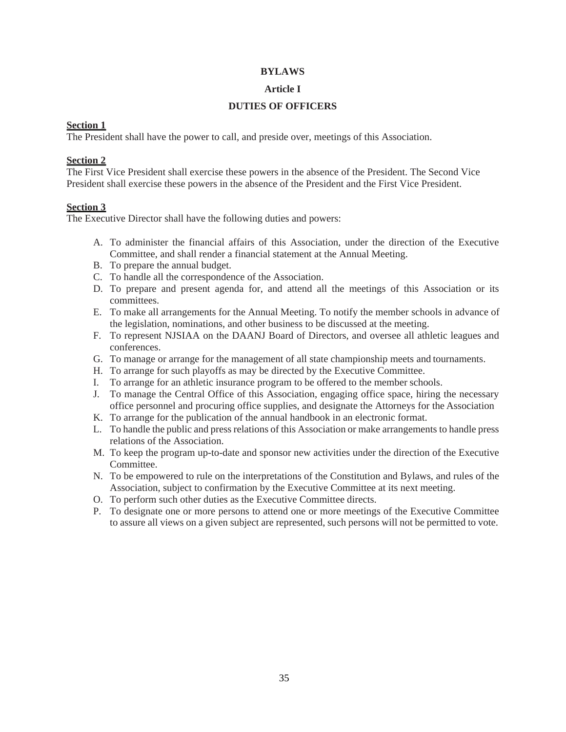# **BYLAWS**

# **Article I**

# **DUTIES OF OFFICERS**

# **Section 1**

The President shall have the power to call, and preside over, meetings of this Association.

# **Section 2**

The First Vice President shall exercise these powers in the absence of the President. The Second Vice President shall exercise these powers in the absence of the President and the First Vice President.

# **Section 3**

The Executive Director shall have the following duties and powers:

- A. To administer the financial affairs of this Association, under the direction of the Executive Committee, and shall render a financial statement at the Annual Meeting.
- B. To prepare the annual budget.
- C. To handle all the correspondence of the Association.
- D. To prepare and present agenda for, and attend all the meetings of this Association or its committees.
- E. To make all arrangements for the Annual Meeting. To notify the member schools in advance of the legislation, nominations, and other business to be discussed at the meeting.
- F. To represent NJSIAA on the DAANJ Board of Directors, and oversee all athletic leagues and conferences.
- G. To manage or arrange for the management of all state championship meets and tournaments.
- H. To arrange for such playoffs as may be directed by the Executive Committee.
- I. To arrange for an athletic insurance program to be offered to the member schools.
- J. To manage the Central Office of this Association, engaging office space, hiring the necessary office personnel and procuring office supplies, and designate the Attorneys for the Association
- K. To arrange for the publication of the annual handbook in an electronic format.
- L. To handle the public and press relations of this Association or make arrangements to handle press relations of the Association.
- M. To keep the program up-to-date and sponsor new activities under the direction of the Executive Committee.
- N. To be empowered to rule on the interpretations of the Constitution and Bylaws, and rules of the Association, subject to confirmation by the Executive Committee at its next meeting.
- O. To perform such other duties as the Executive Committee directs.
- P. To designate one or more persons to attend one or more meetings of the Executive Committee to assure all views on a given subject are represented, such persons will not be permitted to vote.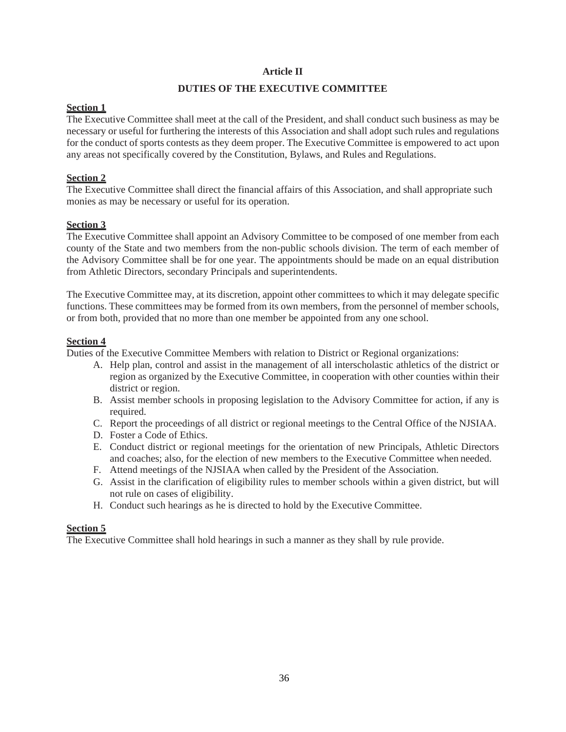# **Article II**

# **DUTIES OF THE EXECUTIVE COMMITTEE**

# **Section 1**

The Executive Committee shall meet at the call of the President, and shall conduct such business as may be necessary or useful for furthering the interests of this Association and shall adopt such rules and regulations for the conduct of sports contests as they deem proper. The Executive Committee is empowered to act upon any areas not specifically covered by the Constitution, Bylaws, and Rules and Regulations.

# **Section 2**

The Executive Committee shall direct the financial affairs of this Association, and shall appropriate such monies as may be necessary or useful for its operation.

# **Section 3**

The Executive Committee shall appoint an Advisory Committee to be composed of one member from each county of the State and two members from the non-public schools division. The term of each member of the Advisory Committee shall be for one year. The appointments should be made on an equal distribution from Athletic Directors, secondary Principals and superintendents.

The Executive Committee may, at its discretion, appoint other committees to which it may delegate specific functions. These committees may be formed from its own members, from the personnel of member schools, or from both, provided that no more than one member be appointed from any one school.

# **Section 4**

Duties of the Executive Committee Members with relation to District or Regional organizations:

- A. Help plan, control and assist in the management of all interscholastic athletics of the district or region as organized by the Executive Committee, in cooperation with other counties within their district or region.
- B. Assist member schools in proposing legislation to the Advisory Committee for action, if any is required.
- C. Report the proceedings of all district or regional meetings to the Central Office of the NJSIAA.
- D. Foster a Code of Ethics.
- E. Conduct district or regional meetings for the orientation of new Principals, Athletic Directors and coaches; also, for the election of new members to the Executive Committee when needed.
- F. Attend meetings of the NJSIAA when called by the President of the Association.
- G. Assist in the clarification of eligibility rules to member schools within a given district, but will not rule on cases of eligibility.
- H. Conduct such hearings as he is directed to hold by the Executive Committee.

# **Section 5**

The Executive Committee shall hold hearings in such a manner as they shall by rule provide.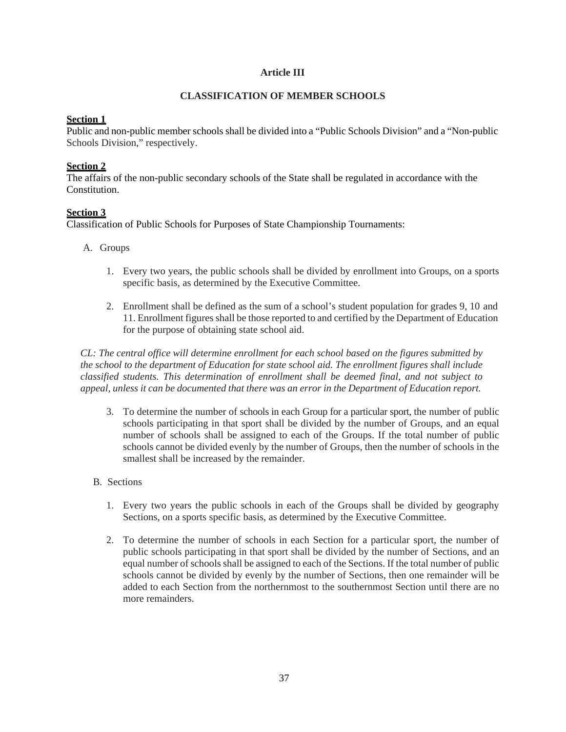# **Article III**

## **CLASSIFICATION OF MEMBER SCHOOLS**

## **Section 1**

Public and non-public member schools shall be divided into a "Public Schools Division" and a "Non-public Schools Division," respectively.

## **Section 2**

The affairs of the non-public secondary schools of the State shall be regulated in accordance with the Constitution.

# **Section 3**

Classification of Public Schools for Purposes of State Championship Tournaments:

- A. Groups
	- 1. Every two years, the public schools shall be divided by enrollment into Groups, on a sports specific basis, as determined by the Executive Committee.
	- 2. Enrollment shall be defined as the sum of a school's student population for grades 9, 10 and 11. Enrollment figures shall be those reported to and certified by the Department of Education for the purpose of obtaining state school aid.

*CL: The central office will determine enrollment for each school based on the figures submitted by the school to the department of Education for state school aid. The enrollment figures shall include classified students. This determination of enrollment shall be deemed final, and not subject to appeal, unless it can be documented that there was an error in the Department of Education report.*

- 3. To determine the number of schools in each Group for a particular sport, the number of public schools participating in that sport shall be divided by the number of Groups, and an equal number of schools shall be assigned to each of the Groups. If the total number of public schools cannot be divided evenly by the number of Groups, then the number of schools in the smallest shall be increased by the remainder.
- B. Sections
	- 1. Every two years the public schools in each of the Groups shall be divided by geography Sections, on a sports specific basis, as determined by the Executive Committee.
	- 2. To determine the number of schools in each Section for a particular sport, the number of public schools participating in that sport shall be divided by the number of Sections, and an equal number of schools shall be assigned to each of the Sections. If the total number of public schools cannot be divided by evenly by the number of Sections, then one remainder will be added to each Section from the northernmost to the southernmost Section until there are no more remainders.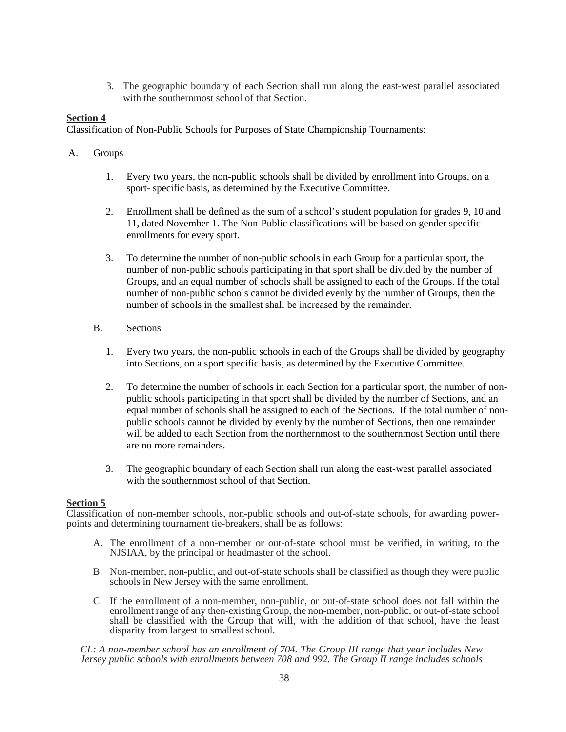3. The geographic boundary of each Section shall run along the east-west parallel associated with the southernmost school of that Section.

# **Section 4**

Classification of Non-Public Schools for Purposes of State Championship Tournaments:

- A. Groups
	- 1. Every two years, the non-public schools shall be divided by enrollment into Groups, on a sport- specific basis, as determined by the Executive Committee.
	- 2. Enrollment shall be defined as the sum of a school's student population for grades 9, 10 and 11, dated November 1. The Non-Public classifications will be based on gender specific enrollments for every sport.
	- 3. To determine the number of non-public schools in each Group for a particular sport, the number of non-public schools participating in that sport shall be divided by the number of Groups, and an equal number of schools shall be assigned to each of the Groups. If the total number of non-public schools cannot be divided evenly by the number of Groups, then the number of schools in the smallest shall be increased by the remainder.
	- B. Sections
		- 1. Every two years, the non-public schools in each of the Groups shall be divided by geography into Sections, on a sport specific basis, as determined by the Executive Committee.
		- 2. To determine the number of schools in each Section for a particular sport, the number of nonpublic schools participating in that sport shall be divided by the number of Sections, and an equal number of schools shall be assigned to each of the Sections. If the total number of nonpublic schools cannot be divided by evenly by the number of Sections, then one remainder will be added to each Section from the northernmost to the southernmost Section until there are no more remainders.
		- 3. The geographic boundary of each Section shall run along the east-west parallel associated with the southernmost school of that Section.

# **Section 5**

Classification of non-member schools, non-public schools and out-of-state schools, for awarding powerpoints and determining tournament tie-breakers, shall be as follows:

- A. The enrollment of a non-member or out-of-state school must be verified, in writing, to the NJSIAA, by the principal or headmaster of the school.
- B. Non-member, non-public, and out-of-state schools shall be classified as though they were public schools in New Jersey with the same enrollment.
- C. If the enrollment of a non-member, non-public, or out-of-state school does not fall within the enrollment range of any then-existing Group, the non-member, non-public, or out-of-state school shall be classified with the Group that will, with the addition of that school, have the least disparity from largest to smallest school.

*CL: A non-member school has an enrollment of 704. The Group III range that year includes New Jersey public schools with enrollments between 708 and 992. The Group II range includes schools*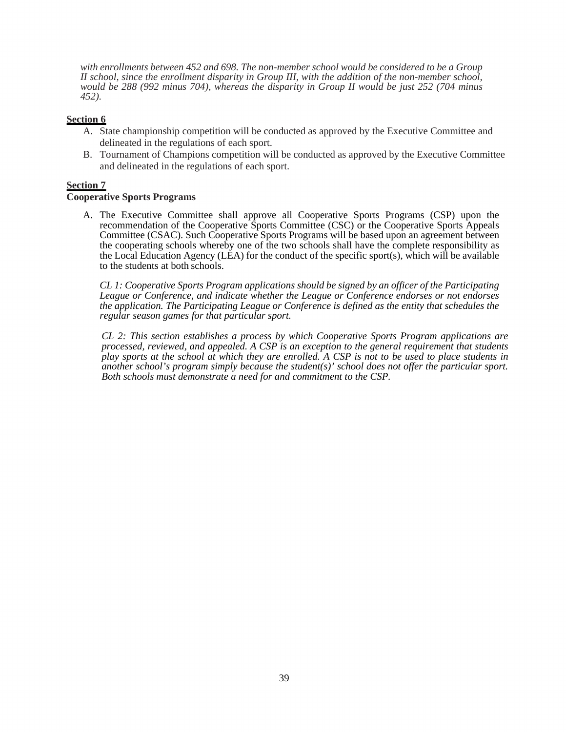*with enrollments between 452 and 698. The non-member school would be considered to be a Group II school, since the enrollment disparity in Group III, with the addition of the non-member school, would be 288 (992 minus 704), whereas the disparity in Group II would be just 252 (704 minus 452).*

## **Section 6**

- A. State championship competition will be conducted as approved by the Executive Committee and delineated in the regulations of each sport.
- B. Tournament of Champions competition will be conducted as approved by the Executive Committee and delineated in the regulations of each sport.

### **Section 7**

### **Cooperative Sports Programs**

A. The Executive Committee shall approve all Cooperative Sports Programs (CSP) upon the recommendation of the Cooperative Sports Committee (CSC) or the Cooperative Sports Appeals Committee (CSAC). Such Cooperative Sports Programs will be based upon an agreement between the cooperating schools whereby one of the two schools shall have the complete responsibility as the Local Education Agency (LEA) for the conduct of the specific sport(s), which will be available to the students at both schools.

*CL 1: Cooperative Sports Program applications should be signed by an officer of the Participating League or Conference, and indicate whether the League or Conference endorses or not endorses the application. The Participating League or Conference is defined as the entity that schedules the regular season games for that particular sport.* 

*CL 2: This section establishes a process by which Cooperative Sports Program applications are processed, reviewed, and appealed. A CSP is an exception to the general requirement that students play sports at the school at which they are enrolled. A CSP is not to be used to place students in another school's program simply because the student(s)' school does not offer the particular sport. Both schools must demonstrate a need for and commitment to the CSP.*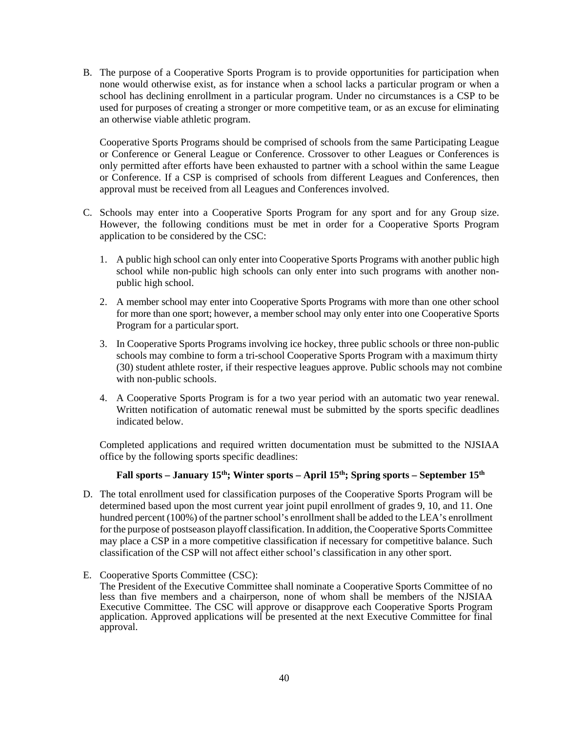B. The purpose of a Cooperative Sports Program is to provide opportunities for participation when none would otherwise exist, as for instance when a school lacks a particular program or when a school has declining enrollment in a particular program. Under no circumstances is a CSP to be used for purposes of creating a stronger or more competitive team, or as an excuse for eliminating an otherwise viable athletic program.

Cooperative Sports Programs should be comprised of schools from the same Participating League or Conference or General League or Conference. Crossover to other Leagues or Conferences is only permitted after efforts have been exhausted to partner with a school within the same League or Conference. If a CSP is comprised of schools from different Leagues and Conferences, then approval must be received from all Leagues and Conferences involved.

- C. Schools may enter into a Cooperative Sports Program for any sport and for any Group size. However, the following conditions must be met in order for a Cooperative Sports Program application to be considered by the CSC:
	- 1. A public high school can only enter into Cooperative Sports Programs with another public high school while non-public high schools can only enter into such programs with another nonpublic high school.
	- 2. A member school may enter into Cooperative Sports Programs with more than one other school for more than one sport; however, a member school may only enter into one Cooperative Sports Program for a particular sport.
	- 3. In Cooperative Sports Programs involving ice hockey, three public schools or three non-public schools may combine to form a tri-school Cooperative Sports Program with a maximum thirty (30) student athlete roster, if their respective leagues approve. Public schools may not combine with non-public schools.
	- 4. A Cooperative Sports Program is for a two year period with an automatic two year renewal. Written notification of automatic renewal must be submitted by the sports specific deadlines indicated below.

Completed applications and required written documentation must be submitted to the NJSIAA office by the following sports specific deadlines:

# Fall sports – January 15<sup>th</sup>; Winter sports – April 15<sup>th</sup>; Spring sports – September 15<sup>th</sup>

- D. The total enrollment used for classification purposes of the Cooperative Sports Program will be determined based upon the most current year joint pupil enrollment of grades 9, 10, and 11. One hundred percent (100%) of the partner school's enrollment shall be added to the LEA's enrollment for the purpose of postseason playoff classification. In addition, the Cooperative Sports Committee may place a CSP in a more competitive classification if necessary for competitive balance. Such classification of the CSP will not affect either school's classification in any other sport.
- E. Cooperative Sports Committee (CSC): The President of the Executive Committee shall nominate a Cooperative Sports Committee of no less than five members and a chairperson, none of whom shall be members of the NJSIAA Executive Committee. The CSC will approve or disapprove each Cooperative Sports Program application. Approved applications will be presented at the next Executive Committee for final approval.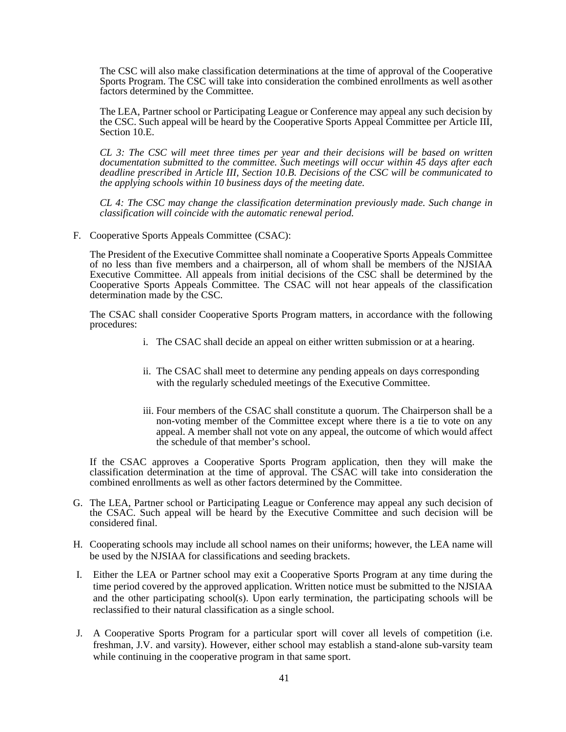The CSC will also make classification determinations at the time of approval of the Cooperative Sports Program. The CSC will take into consideration the combined enrollments as well as other factors determined by the Committee.

The LEA, Partner school or Participating League or Conference may appeal any such decision by the CSC. Such appeal will be heard by the Cooperative Sports Appeal Committee per Article III, Section 10.E.

*CL 3: The CSC will meet three times per year and their decisions will be based on written documentation submitted to the committee. Such meetings will occur within 45 days after each deadline prescribed in Article III, Section 10.B. Decisions of the CSC will be communicated to the applying schools within 10 business days of the meeting date.* 

*CL 4: The CSC may change the classification determination previously made. Such change in classification will coincide with the automatic renewal period.* 

F. Cooperative Sports Appeals Committee (CSAC):

The President of the Executive Committee shall nominate a Cooperative Sports Appeals Committee of no less than five members and a chairperson, all of whom shall be members of the NJSIAA Executive Committee. All appeals from initial decisions of the CSC shall be determined by the Cooperative Sports Appeals Committee. The CSAC will not hear appeals of the classification determination made by the CSC.

The CSAC shall consider Cooperative Sports Program matters, in accordance with the following procedures:

- i. The CSAC shall decide an appeal on either written submission or at a hearing.
- ii. The CSAC shall meet to determine any pending appeals on days corresponding with the regularly scheduled meetings of the Executive Committee.
- iii. Four members of the CSAC shall constitute a quorum. The Chairperson shall be a non-voting member of the Committee except where there is a tie to vote on any appeal. A member shall not vote on any appeal, the outcome of which would affect the schedule of that member's school.

If the CSAC approves a Cooperative Sports Program application, then they will make the classification determination at the time of approval. The CSAC will take into consideration the combined enrollments as well as other factors determined by the Committee.

- G. The LEA, Partner school or Participating League or Conference may appeal any such decision of the CSAC. Such appeal will be heard by the Executive Committee and such decision will be considered final.
- H. Cooperating schools may include all school names on their uniforms; however, the LEA name will be used by the NJSIAA for classifications and seeding brackets.
- I. Either the LEA or Partner school may exit a Cooperative Sports Program at any time during the time period covered by the approved application. Written notice must be submitted to the NJSIAA and the other participating school(s). Upon early termination, the participating schools will be reclassified to their natural classification as a single school.
- J. A Cooperative Sports Program for a particular sport will cover all levels of competition (i.e. freshman, J.V. and varsity). However, either school may establish a stand-alone sub-varsity team while continuing in the cooperative program in that same sport.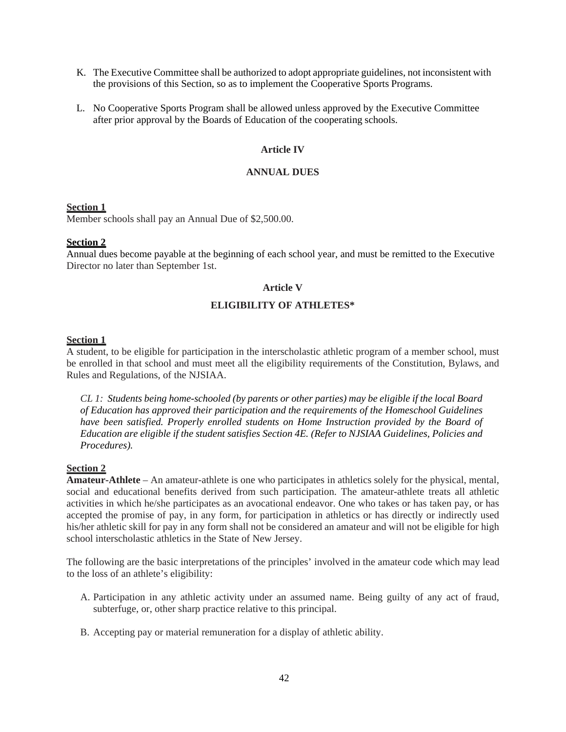- K. The Executive Committee shall be authorized to adopt appropriate guidelines, not inconsistent with the provisions of this Section, so as to implement the Cooperative Sports Programs.
- L. No Cooperative Sports Program shall be allowed unless approved by the Executive Committee after prior approval by the Boards of Education of the cooperating schools.

## **Article IV**

### **ANNUAL DUES**

### **Section 1**

Member schools shall pay an Annual Due of \$2,500.00.

# **Section 2**

Annual dues become payable at the beginning of each school year, and must be remitted to the Executive Director no later than September 1st.

### **Article V**

# **ELIGIBILITY OF ATHLETES\***

# **Section 1**

A student, to be eligible for participation in the interscholastic athletic program of a member school, must be enrolled in that school and must meet all the eligibility requirements of the Constitution, Bylaws, and Rules and Regulations, of the NJSIAA.

*CL 1: Students being home-schooled (by parents or other parties) may be eligible if the local Board of Education has approved their participation and the requirements of the Homeschool Guidelines have been satisfied. Properly enrolled students on Home Instruction provided by the Board of Education are eligible if the student satisfies Section 4E. (Refer to NJSIAA Guidelines, Policies and Procedures).* 

### **Section 2**

**Amateur-Athlete** – An amateur-athlete is one who participates in athletics solely for the physical, mental, social and educational benefits derived from such participation. The amateur-athlete treats all athletic activities in which he/she participates as an avocational endeavor. One who takes or has taken pay, or has accepted the promise of pay, in any form, for participation in athletics or has directly or indirectly used his/her athletic skill for pay in any form shall not be considered an amateur and will not be eligible for high school interscholastic athletics in the State of New Jersey.

The following are the basic interpretations of the principles' involved in the amateur code which may lead to the loss of an athlete's eligibility:

- A. Participation in any athletic activity under an assumed name. Being guilty of any act of fraud, subterfuge, or, other sharp practice relative to this principal.
- B. Accepting pay or material remuneration for a display of athletic ability.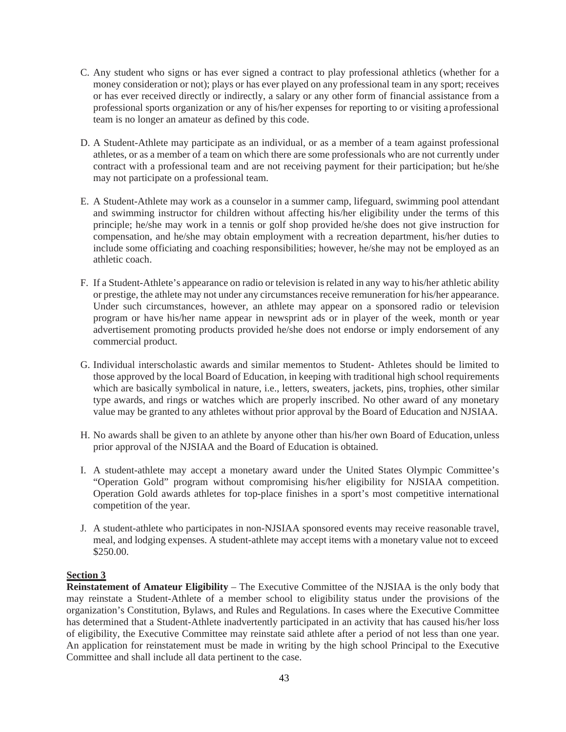- C. Any student who signs or has ever signed a contract to play professional athletics (whether for a money consideration or not); plays or has ever played on any professional team in any sport; receives or has ever received directly or indirectly, a salary or any other form of financial assistance from a professional sports organization or any of his/her expenses for reporting to or visiting a professional team is no longer an amateur as defined by this code.
- D. A Student-Athlete may participate as an individual, or as a member of a team against professional athletes, or as a member of a team on which there are some professionals who are not currently under contract with a professional team and are not receiving payment for their participation; but he/she may not participate on a professional team.
- E. A Student-Athlete may work as a counselor in a summer camp, lifeguard, swimming pool attendant and swimming instructor for children without affecting his/her eligibility under the terms of this principle; he/she may work in a tennis or golf shop provided he/she does not give instruction for compensation, and he/she may obtain employment with a recreation department, his/her duties to include some officiating and coaching responsibilities; however, he/she may not be employed as an athletic coach.
- F. If a Student-Athlete's appearance on radio or television is related in any way to his/her athletic ability or prestige, the athlete may not under any circumstances receive remuneration for his/her appearance. Under such circumstances, however, an athlete may appear on a sponsored radio or television program or have his/her name appear in newsprint ads or in player of the week, month or year advertisement promoting products provided he/she does not endorse or imply endorsement of any commercial product.
- G. Individual interscholastic awards and similar mementos to Student- Athletes should be limited to those approved by the local Board of Education, in keeping with traditional high school requirements which are basically symbolical in nature, i.e., letters, sweaters, jackets, pins, trophies, other similar type awards, and rings or watches which are properly inscribed. No other award of any monetary value may be granted to any athletes without prior approval by the Board of Education and NJSIAA.
- H. No awards shall be given to an athlete by anyone other than his/her own Board of Education, unless prior approval of the NJSIAA and the Board of Education is obtained.
- I. A student-athlete may accept a monetary award under the United States Olympic Committee's "Operation Gold" program without compromising his/her eligibility for NJSIAA competition. Operation Gold awards athletes for top-place finishes in a sport's most competitive international competition of the year.
- J. A student-athlete who participates in non-NJSIAA sponsored events may receive reasonable travel, meal, and lodging expenses. A student-athlete may accept items with a monetary value not to exceed \$250.00.

### **Section 3**

**Reinstatement of Amateur Eligibility** – The Executive Committee of the NJSIAA is the only body that may reinstate a Student-Athlete of a member school to eligibility status under the provisions of the organization's Constitution, Bylaws, and Rules and Regulations. In cases where the Executive Committee has determined that a Student-Athlete inadvertently participated in an activity that has caused his/her loss of eligibility, the Executive Committee may reinstate said athlete after a period of not less than one year. An application for reinstatement must be made in writing by the high school Principal to the Executive Committee and shall include all data pertinent to the case.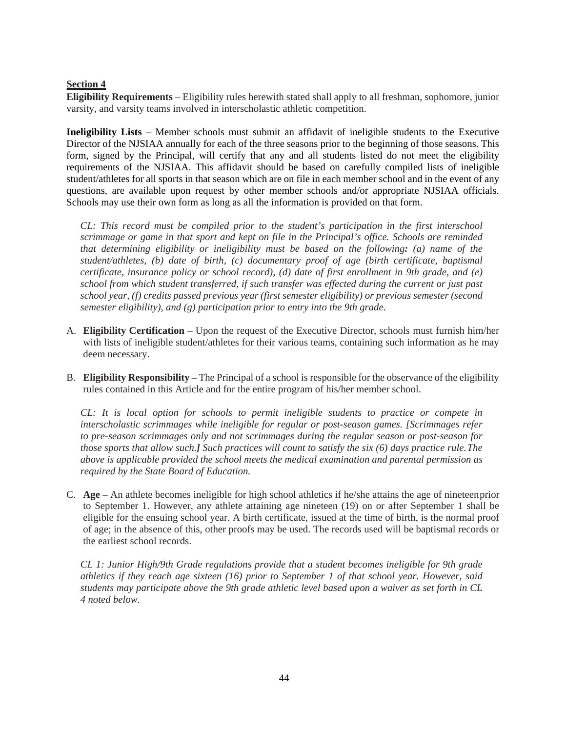# **Section 4**

**Eligibility Requirements** – Eligibility rules herewith stated shall apply to all freshman, sophomore, junior varsity, and varsity teams involved in interscholastic athletic competition.

**Ineligibility Lists** – Member schools must submit an affidavit of ineligible students to the Executive Director of the NJSIAA annually for each of the three seasons prior to the beginning of those seasons. This form, signed by the Principal, will certify that any and all students listed do not meet the eligibility requirements of the NJSIAA. This affidavit should be based on carefully compiled lists of ineligible student/athletes for all sports in that season which are on file in each member school and in the event of any questions, are available upon request by other member schools and/or appropriate NJSIAA officials. Schools may use their own form as long as all the information is provided on that form.

*CL: This record must be compiled prior to the student's participation in the first interschool scrimmage or game in that sport and kept on file in the Principal's office. Schools are reminded that determining eligibility or ineligibility must be based on the following: (a) name of the student/athletes, (b) date of birth, (c) documentary proof of age (birth certificate, baptismal certificate, insurance policy or school record), (d) date of first enrollment in 9th grade, and (e) school from which student transferred, if such transfer was effected during the current or just past school year, (f) credits passed previous year (first semester eligibility) or previous semester (second semester eligibility), and (g) participation prior to entry into the 9th grade.*

- A. **Eligibility Certification**  Upon the request of the Executive Director, schools must furnish him/her with lists of ineligible student/athletes for their various teams, containing such information as he may deem necessary.
- B. **Eligibility Responsibility**  The Principal of a school is responsible for the observance of the eligibility rules contained in this Article and for the entire program of his/her member school.

*CL: It is local option for schools to permit ineligible students to practice or compete in interscholastic scrimmages while ineligible for regular or post-season games. [Scrimmages refer to pre-season scrimmages only and not scrimmages during the regular season or post-season for those sports that allow such.] Such practices will count to satisfy the six (6) days practice rule. The above is applicable provided the school meets the medical examination and parental permission as required by the State Board of Education.*

C. **Age** – An athlete becomes ineligible for high school athletics if he/she attains the age of nineteen prior to September 1. However, any athlete attaining age nineteen (19) on or after September 1 shall be eligible for the ensuing school year. A birth certificate, issued at the time of birth, is the normal proof of age; in the absence of this, other proofs may be used. The records used will be baptismal records or the earliest school records.

*CL 1: Junior High/9th Grade regulations provide that a student becomes ineligible for 9th grade athletics if they reach age sixteen (16) prior to September 1 of that school year. However, said students may participate above the 9th grade athletic level based upon a waiver as set forth in CL 4 noted below.*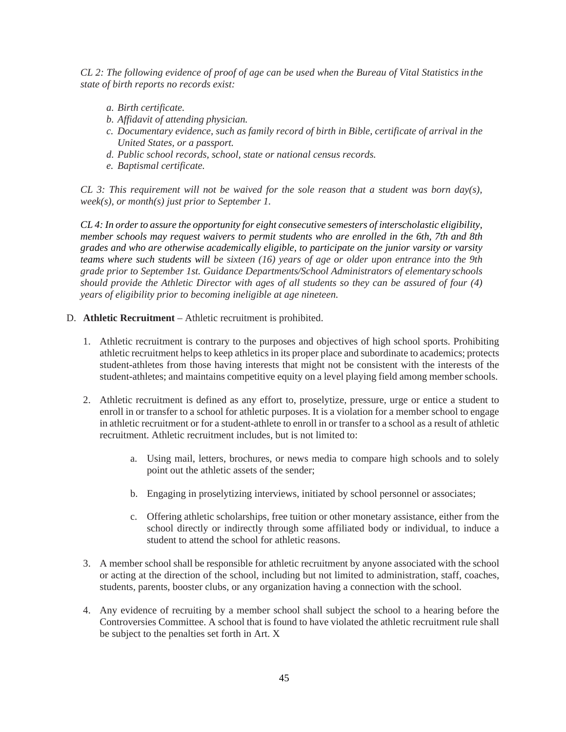*CL 2: The following evidence of proof of age can be used when the Bureau of Vital Statistics in the state of birth reports no records exist:*

- *a. Birth certificate.*
- *b. Affidavit of attending physician.*
- *c. Documentary evidence, such as family record of birth in Bible, certificate of arrival in the United States, or a passport.*
- *d. Public school records, school, state or national census records.*
- *e. Baptismal certificate.*

*CL 3: This requirement will not be waived for the sole reason that a student was born day(s), week(s), or month(s) just prior to September 1.*

*CL 4: In order to assure the opportunity for eight consecutive semesters of interscholastic eligibility, member schools may request waivers to permit students who are enrolled in the 6th, 7th and 8th grades and who are otherwise academically eligible, to participate on the junior varsity or varsity teams where such students will be sixteen (16) years of age or older upon entrance into the 9th grade prior to September 1st. Guidance Departments/School Administrators of elementary schools should provide the Athletic Director with ages of all students so they can be assured of four (4) years of eligibility prior to becoming ineligible at age nineteen.*

### D. **Athletic Recruitment** – Athletic recruitment is prohibited.

- 1. Athletic recruitment is contrary to the purposes and objectives of high school sports. Prohibiting athletic recruitment helps to keep athletics in its proper place and subordinate to academics; protects student-athletes from those having interests that might not be consistent with the interests of the student-athletes; and maintains competitive equity on a level playing field among member schools.
- 2. Athletic recruitment is defined as any effort to, proselytize, pressure, urge or entice a student to enroll in or transfer to a school for athletic purposes. It is a violation for a member school to engage in athletic recruitment or for a student-athlete to enroll in or transfer to a school as a result of athletic recruitment. Athletic recruitment includes, but is not limited to:
	- a. Using mail, letters, brochures, or news media to compare high schools and to solely point out the athletic assets of the sender;
	- b. Engaging in proselytizing interviews, initiated by school personnel or associates;
	- c. Offering athletic scholarships, free tuition or other monetary assistance, either from the school directly or indirectly through some affiliated body or individual, to induce a student to attend the school for athletic reasons.
- 3. A member school shall be responsible for athletic recruitment by anyone associated with the school or acting at the direction of the school, including but not limited to administration, staff, coaches, students, parents, booster clubs, or any organization having a connection with the school.
- 4. Any evidence of recruiting by a member school shall subject the school to a hearing before the Controversies Committee. A school that is found to have violated the athletic recruitment rule shall be subject to the penalties set forth in Art. X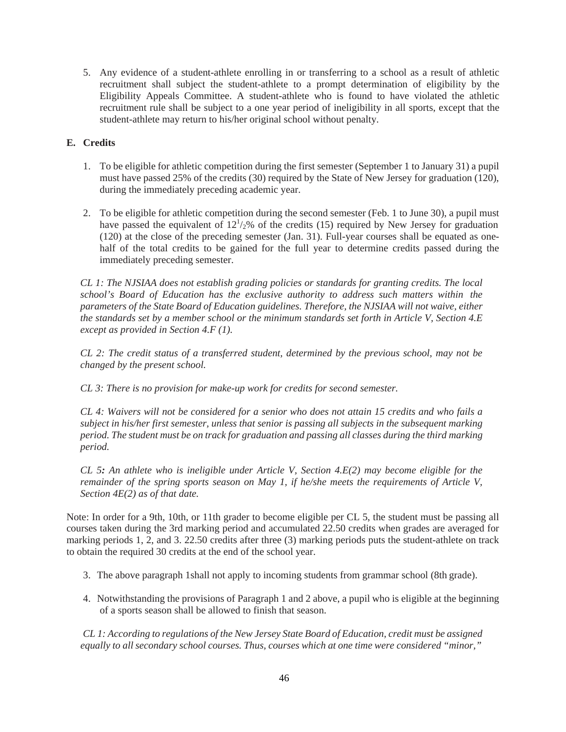5. Any evidence of a student-athlete enrolling in or transferring to a school as a result of athletic recruitment shall subject the student-athlete to a prompt determination of eligibility by the Eligibility Appeals Committee. A student-athlete who is found to have violated the athletic recruitment rule shall be subject to a one year period of ineligibility in all sports, except that the student-athlete may return to his/her original school without penalty.

# **E. Credits**

- 1. To be eligible for athletic competition during the first semester (September 1 to January 31) a pupil must have passed 25% of the credits (30) required by the State of New Jersey for graduation (120), during the immediately preceding academic year.
- 2. To be eligible for athletic competition during the second semester (Feb. 1 to June 30), a pupil must have passed the equivalent of  $12^{1/2}$ % of the credits (15) required by New Jersey for graduation (120) at the close of the preceding semester (Jan. 31). Full-year courses shall be equated as onehalf of the total credits to be gained for the full year to determine credits passed during the immediately preceding semester.

*CL 1: The NJSIAA does not establish grading policies or standards for granting credits. The local school's Board of Education has the exclusive authority to address such matters within the parameters of the State Board of Education guidelines. Therefore, the NJSIAA will not waive, either the standards set by a member school or the minimum standards set forth in Article V, Section 4.E except as provided in Section 4.F (1).*

*CL 2: The credit status of a transferred student, determined by the previous school, may not be changed by the present school.*

*CL 3: There is no provision for make-up work for credits for second semester.*

*CL 4: Waivers will not be considered for a senior who does not attain 15 credits and who fails a subject in his/her first semester, unless that senior is passing all subjects in the subsequent marking period. The student must be on track for graduation and passing all classes during the third marking period.*

*CL 5: An athlete who is ineligible under Article V, Section 4.E(2) may become eligible for the remainder of the spring sports season on May 1, if he/she meets the requirements of Article V, Section 4E(2) as of that date.*

Note: In order for a 9th, 10th, or 11th grader to become eligible per CL 5, the student must be passing all courses taken during the 3rd marking period and accumulated 22.50 credits when grades are averaged for marking periods 1, 2, and 3. 22.50 credits after three (3) marking periods puts the student-athlete on track to obtain the required 30 credits at the end of the school year.

- 3. The above paragraph 1shall not apply to incoming students from grammar school (8th grade).
- 4. Notwithstanding the provisions of Paragraph 1 and 2 above, a pupil who is eligible at the beginning of a sports season shall be allowed to finish that season.

*CL 1: According to regulations of the New Jersey State Board of Education, credit must be assigned equally to all secondary school courses. Thus, courses which at one time were considered "minor,"*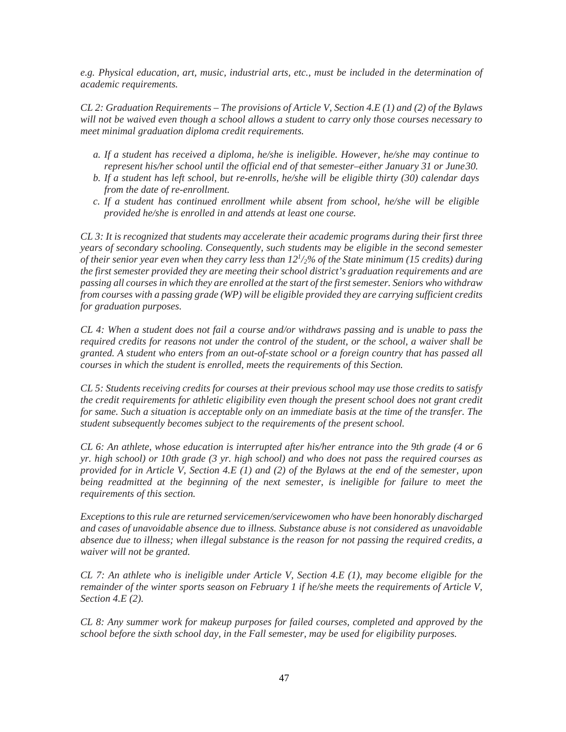*e.g. Physical education, art, music, industrial arts, etc., must be included in the determination of academic requirements.*

*CL 2: Graduation Requirements – The provisions of Article V, Section 4.E (1) and (2) of the Bylaws will not be waived even though a school allows a student to carry only those courses necessary to meet minimal graduation diploma credit requirements.*

- *a. If a student has received a diploma, he/she is ineligible. However, he/she may continue to represent his/her school until the official end of that semester–either January 31 or June 30.*
- *b. If a student has left school, but re-enrolls, he/she will be eligible thirty (30) calendar days from the date of re-enrollment.*
- *c. If a student has continued enrollment while absent from school, he/she will be eligible provided he/she is enrolled in and attends at least one course.*

*CL 3: It is recognized that students may accelerate their academic programs during their first three years of secondary schooling. Consequently, such students may be eligible in the second semester of their senior year even when they carry less than 121 /2% of the State minimum (15 credits) during the first semester provided they are meeting their school district's graduation requirements and are passing all courses in which they are enrolled at the start of the first semester. Seniors who withdraw from courses with a passing grade (WP) will be eligible provided they are carrying sufficient credits for graduation purposes.*

*CL 4: When a student does not fail a course and/or withdraws passing and is unable to pass the required credits for reasons not under the control of the student, or the school, a waiver shall be granted. A student who enters from an out-of-state school or a foreign country that has passed all courses in which the student is enrolled, meets the requirements of this Section.*

*CL 5: Students receiving credits for courses at their previous school may use those credits to satisfy the credit requirements for athletic eligibility even though the present school does not grant credit for same. Such a situation is acceptable only on an immediate basis at the time of the transfer. The student subsequently becomes subject to the requirements of the present school.*

*CL 6: An athlete, whose education is interrupted after his/her entrance into the 9th grade (4 or 6 yr. high school) or 10th grade (3 yr. high school) and who does not pass the required courses as provided for in Article V, Section 4.E (1) and (2) of the Bylaws at the end of the semester, upon being readmitted at the beginning of the next semester, is ineligible for failure to meet the requirements of this section.*

*Exceptions to this rule are returned servicemen/servicewomen who have been honorably discharged and cases of unavoidable absence due to illness. Substance abuse is not considered as unavoidable absence due to illness; when illegal substance is the reason for not passing the required credits, a waiver will not be granted.*

*CL 7: An athlete who is ineligible under Article V, Section 4.E (1), may become eligible for the remainder of the winter sports season on February 1 if he/she meets the requirements of Article V, Section 4.E (2).*

*CL 8: Any summer work for makeup purposes for failed courses, completed and approved by the school before the sixth school day, in the Fall semester, may be used for eligibility purposes.*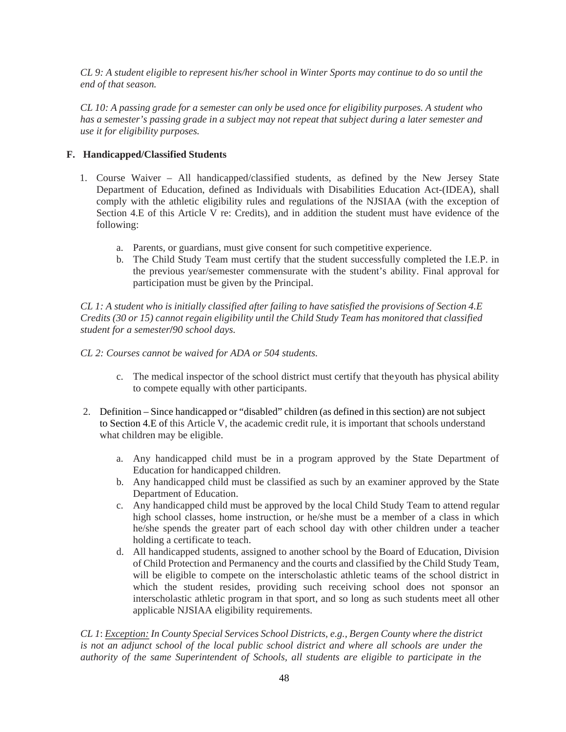*CL 9: A student eligible to represent his/her school in Winter Sports may continue to do so until the end of that season.*

*CL 10: A passing grade for a semester can only be used once for eligibility purposes. A student who has a semester's passing grade in a subject may not repeat that subject during a later semester and use it for eligibility purposes.*

# **F. Handicapped/Classified Students**

- 1. Course Waiver All handicapped/classified students, as defined by the New Jersey State Department of Education, defined as Individuals with Disabilities Education Act-(IDEA), shall comply with the athletic eligibility rules and regulations of the NJSIAA (with the exception of Section 4.E of this Article V re: Credits), and in addition the student must have evidence of the following:
	- a. Parents, or guardians, must give consent for such competitive experience.
	- b. The Child Study Team must certify that the student successfully completed the I.E.P. in the previous year/semester commensurate with the student's ability. Final approval for participation must be given by the Principal.

*CL 1: A student who is initially classified after failing to have satisfied the provisions of Section 4.E Credits (30 or 15) cannot regain eligibility until the Child Study Team has monitored that classified student for a semester***/***90 school days.*

- *CL 2: Courses cannot be waived for ADA or 504 students.*
	- c. The medical inspector of the school district must certify that the youth has physical ability to compete equally with other participants.
- 2. Definition Since handicapped or "disabled" children (as defined in this section) are not subject to Section 4.E of this Article V, the academic credit rule, it is important that schools understand what children may be eligible.
	- a. Any handicapped child must be in a program approved by the State Department of Education for handicapped children.
	- b. Any handicapped child must be classified as such by an examiner approved by the State Department of Education.
	- c. Any handicapped child must be approved by the local Child Study Team to attend regular high school classes, home instruction, or he/she must be a member of a class in which he/she spends the greater part of each school day with other children under a teacher holding a certificate to teach.
	- d. All handicapped students, assigned to another school by the Board of Education, Division of Child Protection and Permanency and the courts and classified by the Child Study Team, will be eligible to compete on the interscholastic athletic teams of the school district in which the student resides, providing such receiving school does not sponsor an interscholastic athletic program in that sport, and so long as such students meet all other applicable NJSIAA eligibility requirements.

*CL 1*: *Exception: In County Special Services School Districts, e.g., Bergen County where the district*  is not an adjunct school of the local public school district and where all schools are under the *authority of the same Superintendent of Schools, all students are eligible to participate in the*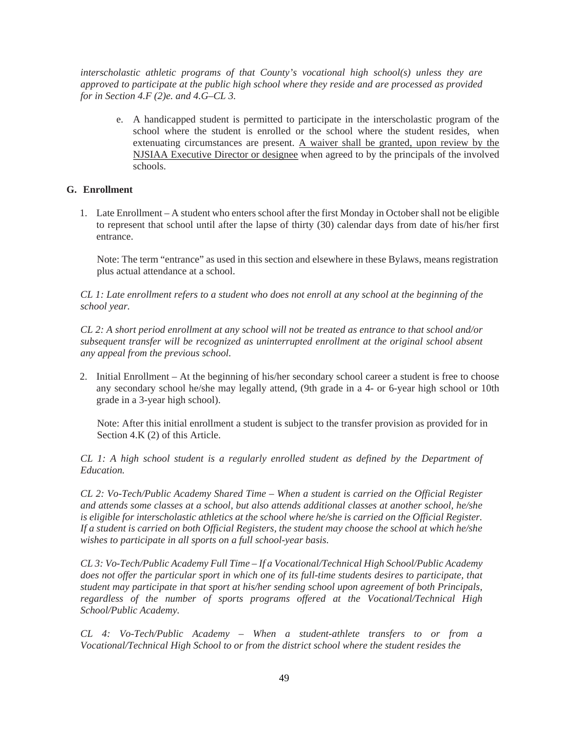*interscholastic athletic programs of that County's vocational high school(s) unless they are approved to participate at the public high school where they reside and are processed as provided for in Section 4.F (2)e. and 4.G–CL 3.*

e. A handicapped student is permitted to participate in the interscholastic program of the school where the student is enrolled or the school where the student resides, when extenuating circumstances are present. A waiver shall be granted, upon review by the NJSIAA Executive Director or designee when agreed to by the principals of the involved schools.

# **G. Enrollment**

1. Late Enrollment – A student who enters school after the first Monday in October shall not be eligible to represent that school until after the lapse of thirty (30) calendar days from date of his/her first entrance.

Note: The term "entrance" as used in this section and elsewhere in these Bylaws, means registration plus actual attendance at a school.

*CL 1: Late enrollment refers to a student who does not enroll at any school at the beginning of the school year.*

*CL 2: A short period enrollment at any school will not be treated as entrance to that school and/or subsequent transfer will be recognized as uninterrupted enrollment at the original school absent any appeal from the previous school.*

2. Initial Enrollment – At the beginning of his/her secondary school career a student is free to choose any secondary school he/she may legally attend, (9th grade in a 4- or 6-year high school or 10th grade in a 3-year high school).

Note: After this initial enrollment a student is subject to the transfer provision as provided for in Section 4.K (2) of this Article.

*CL 1: A high school student is a regularly enrolled student as defined by the Department of Education.*

*CL 2: Vo-Tech/Public Academy Shared Time – When a student is carried on the Official Register and attends some classes at a school, but also attends additional classes at another school, he/she is eligible for interscholastic athletics at the school where he/she is carried on the Official Register. If a student is carried on both Official Registers, the student may choose the school at which he/she wishes to participate in all sports on a full school-year basis.*

*CL 3: Vo-Tech/Public Academy Full Time – If a Vocational/Technical High School/Public Academy does not offer the particular sport in which one of its full-time students desires to participate, that student may participate in that sport at his/her sending school upon agreement of both Principals, regardless of the number of sports programs offered at the Vocational/Technical High School/Public Academy.*

*CL 4: Vo-Tech/Public Academy* – *When a student-athlete transfers to or from a Vocational/Technical High School to or from the district school where the student resides the*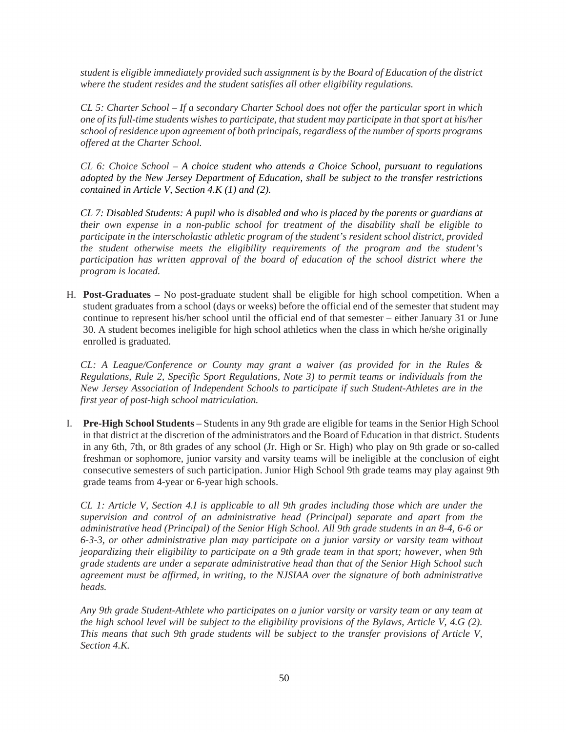*student is eligible immediately provided such assignment is by the Board of Education of the district where the student resides and the student satisfies all other eligibility regulations.*

*CL 5: Charter School – If a secondary Charter School does not offer the particular sport in which one of its full-time students wishes to participate, that student may participate in that sport at his/her school of residence upon agreement of both principals, regardless of the number of sports programs offered at the Charter School.*

*CL 6: Choice School – A choice student who attends a Choice School, pursuant to regulations adopted by the New Jersey Department of Education, shall be subject to the transfer restrictions contained in Article V, Section 4.K (1) and (2).* 

*CL 7: Disabled Students: A pupil who is disabled and who is placed by the parents or guardians at their own expense in a non-public school for treatment of the disability shall be eligible to participate in the interscholastic athletic program of the student's resident school district, provided the student otherwise meets the eligibility requirements of the program and the student's participation has written approval of the board of education of the school district where the program is located.*

H. **Post-Graduates** – No post-graduate student shall be eligible for high school competition. When a student graduates from a school (days or weeks) before the official end of the semester that student may continue to represent his/her school until the official end of that semester – either January 31 or June 30. A student becomes ineligible for high school athletics when the class in which he/she originally enrolled is graduated.

*CL: A League/Conference or County may grant a waiver (as provided for in the Rules & Regulations, Rule 2, Specific Sport Regulations, Note 3) to permit teams or individuals from the New Jersey Association of Independent Schools to participate if such Student-Athletes are in the first year of post-high school matriculation.*

I. **Pre-High School Students** – Students in any 9th grade are eligible for teams in the Senior High School in that district at the discretion of the administrators and the Board of Education in that district. Students in any 6th, 7th, or 8th grades of any school (Jr. High or Sr. High) who play on 9th grade or so-called freshman or sophomore, junior varsity and varsity teams will be ineligible at the conclusion of eight consecutive semesters of such participation. Junior High School 9th grade teams may play against 9th grade teams from 4-year or 6-year high schools.

*CL 1: Article V, Section 4.I is applicable to all 9th grades including those which are under the supervision and control of an administrative head (Principal) separate and apart from the administrative head (Principal) of the Senior High School. All 9th grade students in an 8-4, 6-6 or 6-3-3, or other administrative plan may participate on a junior varsity or varsity team without jeopardizing their eligibility to participate on a 9th grade team in that sport; however, when 9th grade students are under a separate administrative head than that of the Senior High School such agreement must be affirmed, in writing, to the NJSIAA over the signature of both administrative heads.*

*Any 9th grade Student-Athlete who participates on a junior varsity or varsity team or any team at the high school level will be subject to the eligibility provisions of the Bylaws, Article V, 4.G (2). This means that such 9th grade students will be subject to the transfer provisions of Article V, Section 4.K.*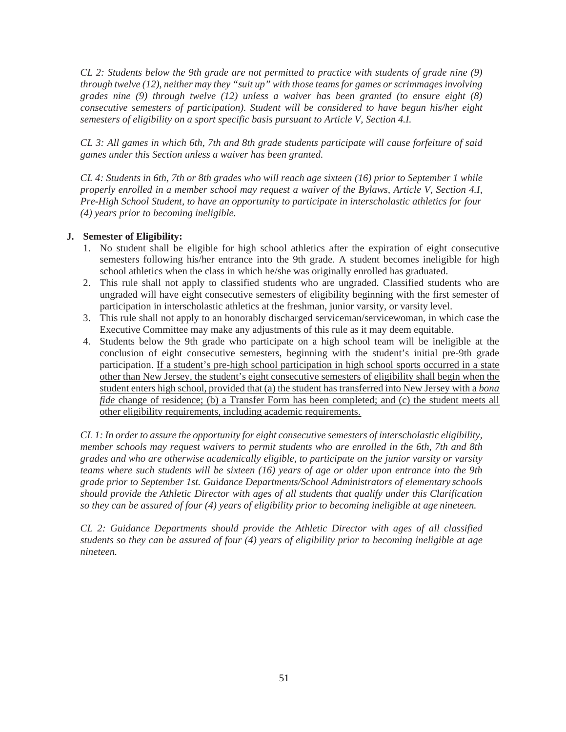*CL 2: Students below the 9th grade are not permitted to practice with students of grade nine (9) through twelve (12), neither may they "suit up" with those teams for games or scrimmages involving grades nine (9) through twelve (12) unless a waiver has been granted (to ensure eight (8) consecutive semesters of participation). Student will be considered to have begun his/her eight semesters of eligibility on a sport specific basis pursuant to Article V, Section 4.I.*

*CL 3: All games in which 6th, 7th and 8th grade students participate will cause forfeiture of said games under this Section unless a waiver has been granted.*

*CL 4: Students in 6th, 7th or 8th grades who will reach age sixteen (16) prior to September 1 while properly enrolled in a member school may request a waiver of the Bylaws, Article V, Section 4.I, Pre-High School Student, to have an opportunity to participate in interscholastic athletics for four (4) years prior to becoming ineligible.*

### **J. Semester of Eligibility:**

- 1. No student shall be eligible for high school athletics after the expiration of eight consecutive semesters following his/her entrance into the 9th grade. A student becomes ineligible for high school athletics when the class in which he/she was originally enrolled has graduated.
- 2. This rule shall not apply to classified students who are ungraded. Classified students who are ungraded will have eight consecutive semesters of eligibility beginning with the first semester of participation in interscholastic athletics at the freshman, junior varsity, or varsity level.
- 3. This rule shall not apply to an honorably discharged serviceman/servicewoman, in which case the Executive Committee may make any adjustments of this rule as it may deem equitable.
- 4. Students below the 9th grade who participate on a high school team will be ineligible at the conclusion of eight consecutive semesters, beginning with the student's initial pre-9th grade participation. If a student's pre-high school participation in high school sports occurred in a state other than New Jersey, the student's eight consecutive semesters of eligibility shall begin when the student enters high school, provided that (a) the student has transferred into New Jersey with a *bona fide* change of residence; (b) a Transfer Form has been completed; and (c) the student meets all other eligibility requirements, including academic requirements.

*CL 1: In order to assure the opportunity for eight consecutive semesters of interscholastic eligibility, member schools may request waivers to permit students who are enrolled in the 6th, 7th and 8th grades and who are otherwise academically eligible, to participate on the junior varsity or varsity teams where such students will be sixteen (16) years of age or older upon entrance into the 9th grade prior to September 1st. Guidance Departments/School Administrators of elementary schools should provide the Athletic Director with ages of all students that qualify under this Clarification so they can be assured of four (4) years of eligibility prior to becoming ineligible at age nineteen.*

*CL 2: Guidance Departments should provide the Athletic Director with ages of all classified students so they can be assured of four (4) years of eligibility prior to becoming ineligible at age nineteen.*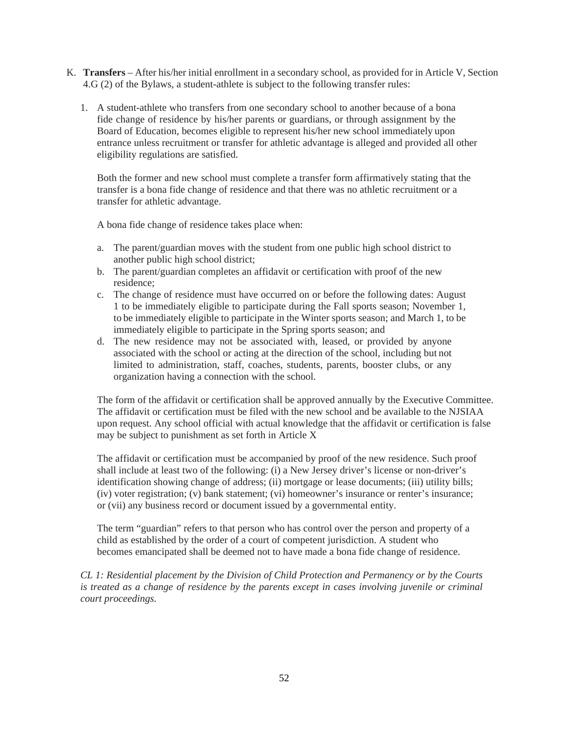- K. **Transfers**  After his/her initial enrollment in a secondary school, as provided for in Article V, Section 4.G (2) of the Bylaws, a student-athlete is subject to the following transfer rules:
	- 1. A student-athlete who transfers from one secondary school to another because of a bona fide change of residence by his/her parents or guardians, or through assignment by the Board of Education, becomes eligible to represent his/her new school immediately upon entrance unless recruitment or transfer for athletic advantage is alleged and provided all other eligibility regulations are satisfied.

Both the former and new school must complete a transfer form affirmatively stating that the transfer is a bona fide change of residence and that there was no athletic recruitment or a transfer for athletic advantage.

A bona fide change of residence takes place when:

- a. The parent/guardian moves with the student from one public high school district to another public high school district;
- b. The parent/guardian completes an affidavit or certification with proof of the new residence;
- c. The change of residence must have occurred on or before the following dates: August 1 to be immediately eligible to participate during the Fall sports season; November 1, to be immediately eligible to participate in the Winter sports season; and March 1, to be immediately eligible to participate in the Spring sports season; and
- d. The new residence may not be associated with, leased, or provided by anyone associated with the school or acting at the direction of the school, including but not limited to administration, staff, coaches, students, parents, booster clubs, or any organization having a connection with the school.

The form of the affidavit or certification shall be approved annually by the Executive Committee. The affidavit or certification must be filed with the new school and be available to the NJSIAA upon request. Any school official with actual knowledge that the affidavit or certification is false may be subject to punishment as set forth in Article X

The affidavit or certification must be accompanied by proof of the new residence. Such proof shall include at least two of the following: (i) a New Jersey driver's license or non-driver's identification showing change of address; (ii) mortgage or lease documents; (iii) utility bills; (iv) voter registration; (v) bank statement; (vi) homeowner's insurance or renter's insurance; or (vii) any business record or document issued by a governmental entity.

The term "guardian" refers to that person who has control over the person and property of a child as established by the order of a court of competent jurisdiction. A student who becomes emancipated shall be deemed not to have made a bona fide change of residence.

*CL 1: Residential placement by the Division of Child Protection and Permanency or by the Courts is treated as a change of residence by the parents except in cases involving juvenile or criminal court proceedings.*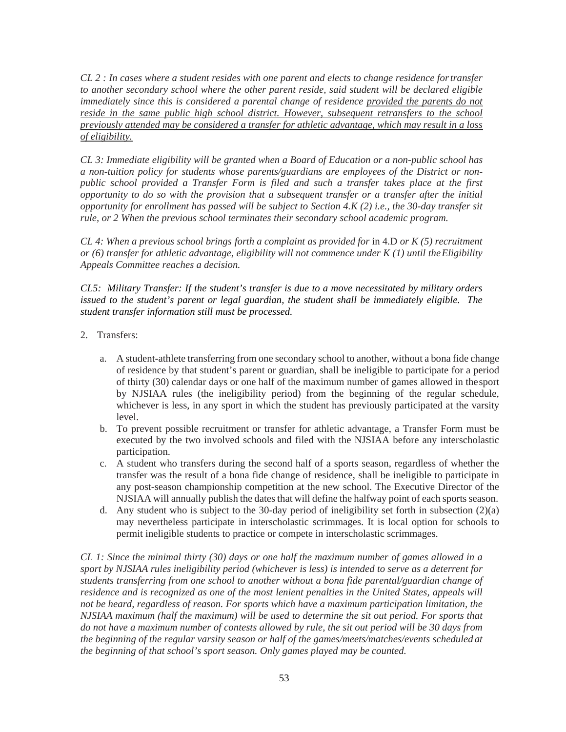*CL 2 : In cases where a student resides with one parent and elects to change residence for transfer to another secondary school where the other parent reside, said student will be declared eligible immediately since this is considered a parental change of residence provided the parents do not reside in the same public high school district. However, subsequent retransfers to the school previously attended may be considered a transfer for athletic advantage, which may result in a loss of eligibility.*

*CL 3: Immediate eligibility will be granted when a Board of Education or a non-public school has a non-tuition policy for students whose parents/guardians are employees of the District or nonpublic school provided a Transfer Form is filed and such a transfer takes place at the first opportunity to do so with the provision that a subsequent transfer or a transfer after the initial opportunity for enrollment has passed will be subject to Section 4.K (2) i.e., the 30-day transfer sit rule, or 2 When the previous school terminates their secondary school academic program.*

*CL 4: When a previous school brings forth a complaint as provided for* in 4.D *or K (5) recruitment or (6) transfer for athletic advantage, eligibility will not commence under K (1) until the Eligibility Appeals Committee reaches a decision.* 

*CL5: Military Transfer: If the student's transfer is due to a move necessitated by military orders issued to the student's parent or legal guardian, the student shall be immediately eligible. The student transfer information still must be processed.* 

- 2. Transfers:
	- a. A student-athlete transferring from one secondary school to another, without a bona fide change of residence by that student's parent or guardian, shall be ineligible to participate for a period of thirty (30) calendar days or one half of the maximum number of games allowed in the sport by NJSIAA rules (the ineligibility period) from the beginning of the regular schedule, whichever is less, in any sport in which the student has previously participated at the varsity level.
	- b. To prevent possible recruitment or transfer for athletic advantage, a Transfer Form must be executed by the two involved schools and filed with the NJSIAA before any interscholastic participation.
	- c. A student who transfers during the second half of a sports season, regardless of whether the transfer was the result of a bona fide change of residence, shall be ineligible to participate in any post-season championship competition at the new school. The Executive Director of the NJSIAA will annually publish the dates that will define the halfway point of each sports season.
	- d. Any student who is subject to the 30-day period of ineligibility set forth in subsection (2)(a) may nevertheless participate in interscholastic scrimmages. It is local option for schools to permit ineligible students to practice or compete in interscholastic scrimmages.

*CL 1: Since the minimal thirty (30) days or one half the maximum number of games allowed in a sport by NJSIAA rules ineligibility period (whichever is less) is intended to serve as a deterrent for students transferring from one school to another without a bona fide parental/guardian change of residence and is recognized as one of the most lenient penalties in the United States, appeals will not be heard, regardless of reason. For sports which have a maximum participation limitation, the NJSIAA maximum (half the maximum) will be used to determine the sit out period. For sports that do not have a maximum number of contests allowed by rule, the sit out period will be 30 days from the beginning of the regular varsity season or half of the games/meets/matches/events scheduled at the beginning of that school's sport season. Only games played may be counted.*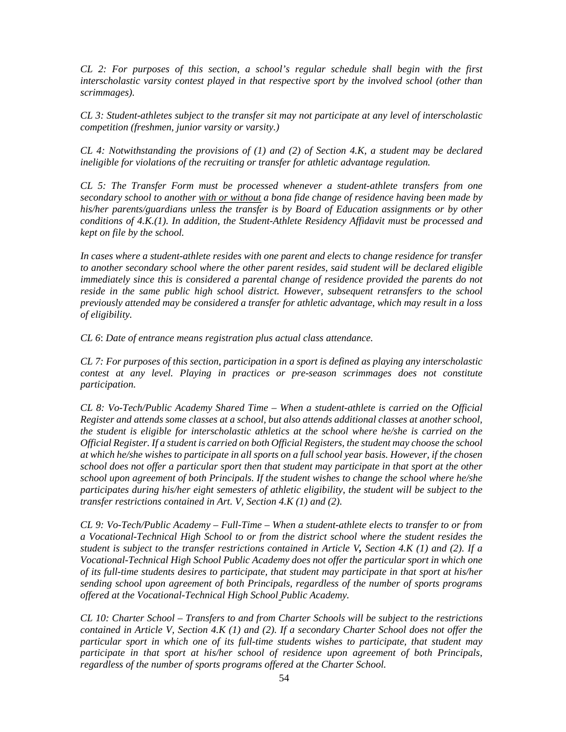*CL 2: For purposes of this section*, *a school's regular schedule shall begin with the first interscholastic varsity contest played in that respective sport by the involved school (other than scrimmages).* 

*CL 3: Student-athletes subject to the transfer sit may not participate at any level of interscholastic competition (freshmen, junior varsity or varsity.)* 

*CL 4: Notwithstanding the provisions of (1) and (2) of Section 4.K, a student may be declared ineligible for violations of the recruiting or transfer for athletic advantage regulation.* 

*CL 5: The Transfer Form must be processed whenever a student-athlete transfers from one secondary school to another with or without a bona fide change of residence having been made by his/her parents/guardians unless the transfer is by Board of Education assignments or by other conditions of 4.K.(1). In addition, the Student-Athlete Residency Affidavit must be processed and kept on file by the school.* 

*In cases where a student-athlete resides with one parent and elects to change residence for transfer to another secondary school where the other parent resides, said student will be declared eligible immediately since this is considered a parental change of residence provided the parents do not reside in the same public high school district. However, subsequent retransfers to the school previously attended may be considered a transfer for athletic advantage, which may result in a loss of eligibility.* 

*CL 6*: *Date of entrance means registration plus actual class attendance.* 

*CL 7: For purposes of this section, participation in a sport is defined as playing any interscholastic contest at any level. Playing in practices or pre-season scrimmages does not constitute participation.* 

*CL 8: Vo-Tech/Public Academy Shared Time – When a student-athlete is carried on the Official Register and attends some classes at a school, but also attends additional classes at another school, the student is eligible for interscholastic athletics at the school where he/she is carried on the Official Register. If a student is carried on both Official Registers, the student may choose the school at which he/she wishes to participate in all sports on a full school year basis. However, if the chosen school does not offer a particular sport then that student may participate in that sport at the other school upon agreement of both Principals. If the student wishes to change the school where he/she participates during his/her eight semesters of athletic eligibility, the student will be subject to the transfer restrictions contained in Art. V, Section 4.K (1) and (2).* 

*CL 9: Vo-Tech/Public Academy – Full-Time – When a student-athlete elects to transfer to or from a Vocational-Technical High School to or from the district school where the student resides the student is subject to the transfer restrictions contained in Article V, Section 4.K (1) and (2). If a Vocational-Technical High School Public Academy does not offer the particular sport in which one of its full-time students desires to participate, that student may participate in that sport at his/her sending school upon agreement of both Principals, regardless of the number of sports programs offered at the Vocational-Technical High School Public Academy.* 

*CL 10: Charter School – Transfers to and from Charter Schools will be subject to the restrictions contained in Article V, Section 4.K (1) and (2). If a secondary Charter School does not offer the particular sport in which one of its full-time students wishes to participate, that student may participate in that sport at his/her school of residence upon agreement of both Principals, regardless of the number of sports programs offered at the Charter School.*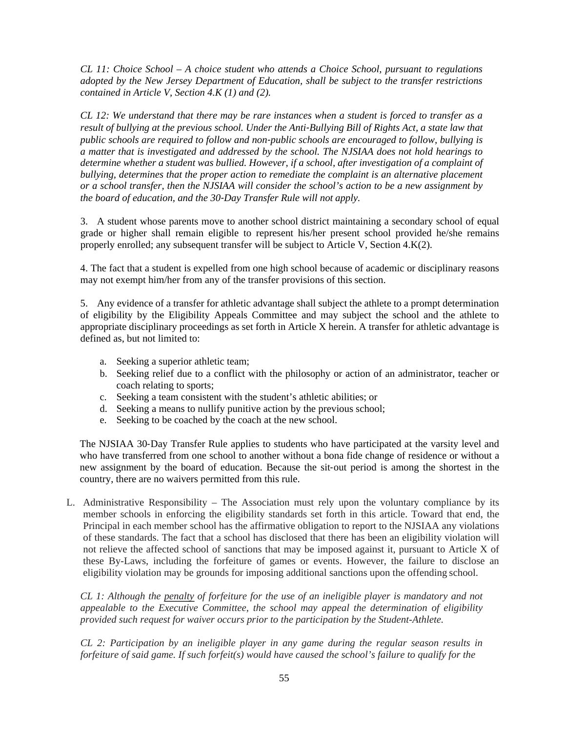*CL 11: Choice School – A choice student who attends a Choice School, pursuant to regulations adopted by the New Jersey Department of Education, shall be subject to the transfer restrictions contained in Article V, Section 4.K (1) and (2).* 

*CL 12: We understand that there may be rare instances when a student is forced to transfer as a result of bullying at the previous school. Under the Anti‐Bullying Bill of Rights Act, a state law that public schools are required to follow and non‐public schools are encouraged to follow, bullying is a matter that is investigated and addressed by the school. The NJSIAA does not hold hearings to determine whether a student was bullied. However, if a school, after investigation of a complaint of bullying, determines that the proper action to remediate the complaint is an alternative placement or a school transfer, then the NJSIAA will consider the school's action to be a new assignment by the board of education, and the 30‐Day Transfer Rule will not apply.* 

3. A student whose parents move to another school district maintaining a secondary school of equal grade or higher shall remain eligible to represent his/her present school provided he/she remains properly enrolled; any subsequent transfer will be subject to Article V, Section 4.K(2).

4. The fact that a student is expelled from one high school because of academic or disciplinary reasons may not exempt him/her from any of the transfer provisions of this section.

5. Any evidence of a transfer for athletic advantage shall subject the athlete to a prompt determination of eligibility by the Eligibility Appeals Committee and may subject the school and the athlete to appropriate disciplinary proceedings as set forth in Article X herein. A transfer for athletic advantage is defined as, but not limited to:

- a. Seeking a superior athletic team;
- b. Seeking relief due to a conflict with the philosophy or action of an administrator, teacher or coach relating to sports;
- c. Seeking a team consistent with the student's athletic abilities; or
- d. Seeking a means to nullify punitive action by the previous school;
- e. Seeking to be coached by the coach at the new school.

The NJSIAA 30‐Day Transfer Rule applies to students who have participated at the varsity level and who have transferred from one school to another without a bona fide change of residence or without a new assignment by the board of education. Because the sit‐out period is among the shortest in the country, there are no waivers permitted from this rule.

L. Administrative Responsibility – The Association must rely upon the voluntary compliance by its member schools in enforcing the eligibility standards set forth in this article. Toward that end, the Principal in each member school has the affirmative obligation to report to the NJSIAA any violations of these standards. The fact that a school has disclosed that there has been an eligibility violation will not relieve the affected school of sanctions that may be imposed against it, pursuant to Article X of these By-Laws, including the forfeiture of games or events. However, the failure to disclose an eligibility violation may be grounds for imposing additional sanctions upon the offending school.

*CL 1: Although the penalty of forfeiture for the use of an ineligible player is mandatory and not appealable to the Executive Committee, the school may appeal the determination of eligibility provided such request for waiver occurs prior to the participation by the Student-Athlete.*

*CL 2: Participation by an ineligible player in any game during the regular season results in forfeiture of said game. If such forfeit(s) would have caused the school's failure to qualify for the*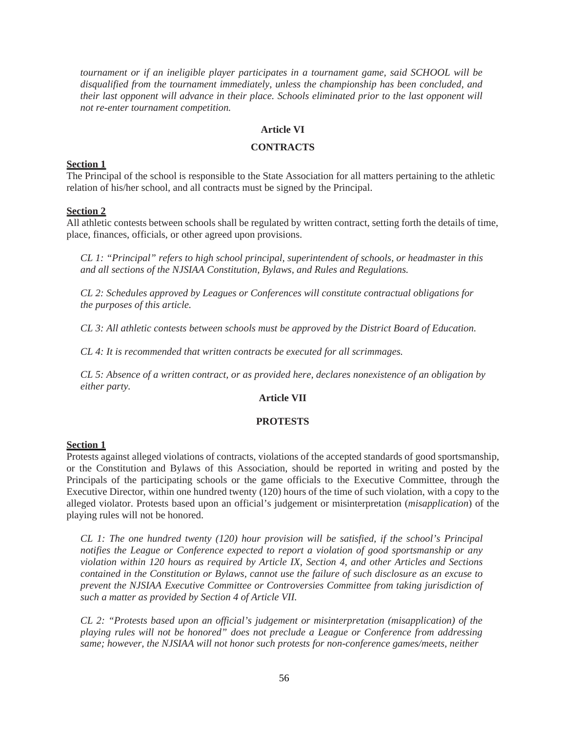*tournament or if an ineligible player participates in a tournament game, said SCHOOL will be disqualified from the tournament immediately, unless the championship has been concluded, and their last opponent will advance in their place. Schools eliminated prior to the last opponent will not re-enter tournament competition.*

### **Article VI**

## **CONTRACTS**

#### **Section 1**

The Principal of the school is responsible to the State Association for all matters pertaining to the athletic relation of his/her school, and all contracts must be signed by the Principal.

#### **Section 2**

All athletic contests between schools shall be regulated by written contract, setting forth the details of time, place, finances, officials, or other agreed upon provisions.

*CL 1: "Principal" refers to high school principal, superintendent of schools, or headmaster in this and all sections of the NJSIAA Constitution, Bylaws, and Rules and Regulations.*

*CL 2: Schedules approved by Leagues or Conferences will constitute contractual obligations for the purposes of this article.*

*CL 3: All athletic contests between schools must be approved by the District Board of Education.* 

*CL 4: It is recommended that written contracts be executed for all scrimmages.*

*CL 5: Absence of a written contract, or as provided here, declares nonexistence of an obligation by either party.*

### **Article VII**

### **PROTESTS**

#### **Section 1**

Protests against alleged violations of contracts, violations of the accepted standards of good sportsmanship, or the Constitution and Bylaws of this Association, should be reported in writing and posted by the Principals of the participating schools or the game officials to the Executive Committee, through the Executive Director, within one hundred twenty (120) hours of the time of such violation, with a copy to the alleged violator. Protests based upon an official's judgement or misinterpretation (*misapplication*) of the playing rules will not be honored.

*CL 1: The one hundred twenty (120) hour provision will be satisfied, if the school's Principal notifies the League or Conference expected to report a violation of good sportsmanship or any violation within 120 hours as required by Article IX, Section 4, and other Articles and Sections contained in the Constitution or Bylaws, cannot use the failure of such disclosure as an excuse to prevent the NJSIAA Executive Committee or Controversies Committee from taking jurisdiction of such a matter as provided by Section 4 of Article VII.*

*CL 2: "Protests based upon an official's judgement or misinterpretation (misapplication) of the playing rules will not be honored" does not preclude a League or Conference from addressing same; however, the NJSIAA will not honor such protests for non-conference games/meets, neither*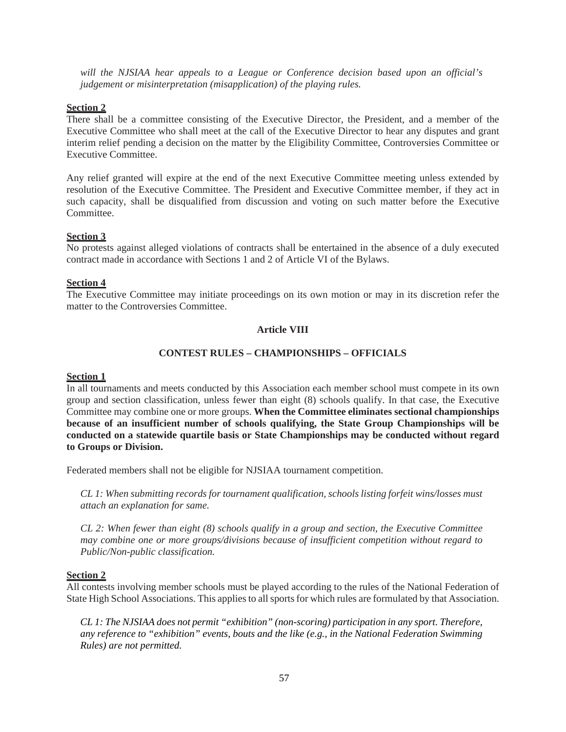*will the NJSIAA hear appeals to a League or Conference decision based upon an official's judgement or misinterpretation (misapplication) of the playing rules.*

## **Section 2**

There shall be a committee consisting of the Executive Director, the President, and a member of the Executive Committee who shall meet at the call of the Executive Director to hear any disputes and grant interim relief pending a decision on the matter by the Eligibility Committee, Controversies Committee or Executive Committee.

Any relief granted will expire at the end of the next Executive Committee meeting unless extended by resolution of the Executive Committee. The President and Executive Committee member, if they act in such capacity, shall be disqualified from discussion and voting on such matter before the Executive Committee.

### **Section 3**

No protests against alleged violations of contracts shall be entertained in the absence of a duly executed contract made in accordance with Sections 1 and 2 of Article VI of the Bylaws.

### **Section 4**

The Executive Committee may initiate proceedings on its own motion or may in its discretion refer the matter to the Controversies Committee.

## **Article VIII**

### **CONTEST RULES – CHAMPIONSHIPS – OFFICIALS**

### **Section 1**

In all tournaments and meets conducted by this Association each member school must compete in its own group and section classification, unless fewer than eight (8) schools qualify. In that case, the Executive Committee may combine one or more groups. **When the Committee eliminates sectional championships because of an insufficient number of schools qualifying, the State Group Championships will be conducted on a statewide quartile basis or State Championships may be conducted without regard to Groups or Division.**

Federated members shall not be eligible for NJSIAA tournament competition.

*CL 1: When submitting records for tournament qualification, schools listing forfeit wins/losses must attach an explanation for same.*

*CL 2: When fewer than eight (8) schools qualify in a group and section, the Executive Committee may combine one or more groups/divisions because of insufficient competition without regard to Public/Non-public classification.*

### **Section 2**

All contests involving member schools must be played according to the rules of the National Federation of State High School Associations. This applies to all sports for which rules are formulated by that Association.

*CL 1: The NJSIAA does not permit "exhibition" (non-scoring) participation in any sport. Therefore, any reference to "exhibition" events, bouts and the like (e.g., in the National Federation Swimming Rules) are not permitted.*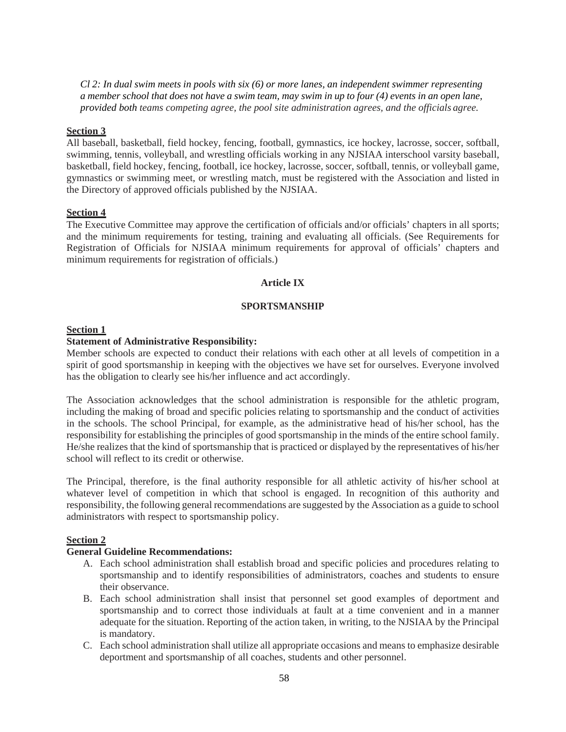*Cl 2: In dual swim meets in pools with six (6) or more lanes, an independent swimmer representing a member school that does not have a swim team, may swim in up to four (4) events in an open lane, provided both teams competing agree, the pool site administration agrees, and the officials agree.*

## **Section 3**

All baseball, basketball, field hockey, fencing, football, gymnastics, ice hockey, lacrosse, soccer, softball, swimming, tennis, volleyball, and wrestling officials working in any NJSIAA interschool varsity baseball, basketball, field hockey, fencing, football, ice hockey, lacrosse, soccer, softball, tennis, or volleyball game, gymnastics or swimming meet, or wrestling match, must be registered with the Association and listed in the Directory of approved officials published by the NJSIAA.

#### **Section 4**

The Executive Committee may approve the certification of officials and/or officials' chapters in all sports; and the minimum requirements for testing, training and evaluating all officials. (See Requirements for Registration of Officials for NJSIAA minimum requirements for approval of officials' chapters and minimum requirements for registration of officials.)

### **Article IX**

### **SPORTSMANSHIP**

### **Section 1**

#### **Statement of Administrative Responsibility:**

Member schools are expected to conduct their relations with each other at all levels of competition in a spirit of good sportsmanship in keeping with the objectives we have set for ourselves. Everyone involved has the obligation to clearly see his/her influence and act accordingly.

The Association acknowledges that the school administration is responsible for the athletic program, including the making of broad and specific policies relating to sportsmanship and the conduct of activities in the schools. The school Principal, for example, as the administrative head of his/her school, has the responsibility for establishing the principles of good sportsmanship in the minds of the entire school family. He/she realizes that the kind of sportsmanship that is practiced or displayed by the representatives of his/her school will reflect to its credit or otherwise.

The Principal, therefore, is the final authority responsible for all athletic activity of his/her school at whatever level of competition in which that school is engaged. In recognition of this authority and responsibility, the following general recommendations are suggested by the Association as a guide to school administrators with respect to sportsmanship policy.

### **Section 2**

#### **General Guideline Recommendations:**

- A. Each school administration shall establish broad and specific policies and procedures relating to sportsmanship and to identify responsibilities of administrators, coaches and students to ensure their observance.
- B. Each school administration shall insist that personnel set good examples of deportment and sportsmanship and to correct those individuals at fault at a time convenient and in a manner adequate for the situation. Reporting of the action taken, in writing, to the NJSIAA by the Principal is mandatory.
- C. Each school administration shall utilize all appropriate occasions and means to emphasize desirable deportment and sportsmanship of all coaches, students and other personnel.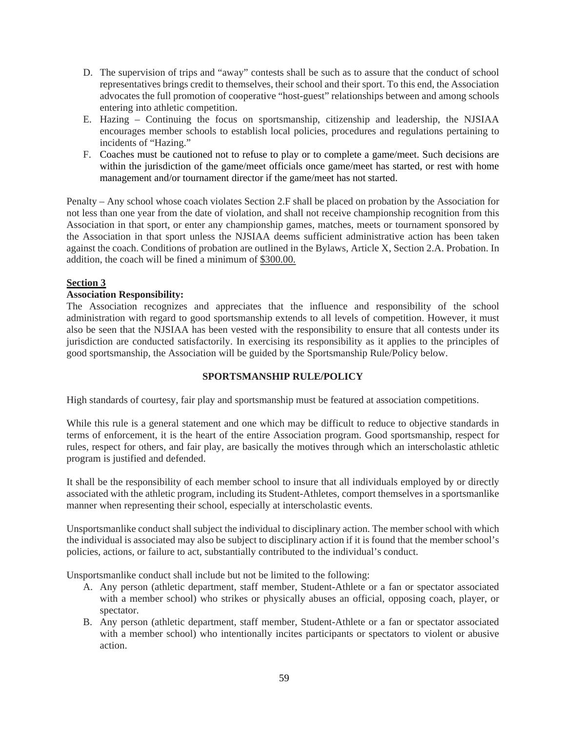- D. The supervision of trips and "away" contests shall be such as to assure that the conduct of school representatives brings credit to themselves, their school and their sport. To this end, the Association advocates the full promotion of cooperative "host-guest" relationships between and among schools entering into athletic competition.
- E. Hazing Continuing the focus on sportsmanship, citizenship and leadership, the NJSIAA encourages member schools to establish local policies, procedures and regulations pertaining to incidents of "Hazing."
- F. Coaches must be cautioned not to refuse to play or to complete a game/meet. Such decisions are within the jurisdiction of the game/meet officials once game/meet has started, or rest with home management and/or tournament director if the game/meet has not started.

Penalty – Any school whose coach violates Section 2.F shall be placed on probation by the Association for not less than one year from the date of violation, and shall not receive championship recognition from this Association in that sport, or enter any championship games, matches, meets or tournament sponsored by the Association in that sport unless the NJSIAA deems sufficient administrative action has been taken against the coach. Conditions of probation are outlined in the Bylaws, Article X, Section 2.A. Probation. In addition, the coach will be fined a minimum of \$300.00.

# **Section 3**

# **Association Responsibility:**

The Association recognizes and appreciates that the influence and responsibility of the school administration with regard to good sportsmanship extends to all levels of competition. However, it must also be seen that the NJSIAA has been vested with the responsibility to ensure that all contests under its jurisdiction are conducted satisfactorily. In exercising its responsibility as it applies to the principles of good sportsmanship, the Association will be guided by the Sportsmanship Rule/Policy below.

# **SPORTSMANSHIP RULE/POLICY**

High standards of courtesy, fair play and sportsmanship must be featured at association competitions.

While this rule is a general statement and one which may be difficult to reduce to objective standards in terms of enforcement, it is the heart of the entire Association program. Good sportsmanship, respect for rules, respect for others, and fair play, are basically the motives through which an interscholastic athletic program is justified and defended.

It shall be the responsibility of each member school to insure that all individuals employed by or directly associated with the athletic program, including its Student-Athletes, comport themselves in a sportsmanlike manner when representing their school, especially at interscholastic events.

Unsportsmanlike conduct shall subject the individual to disciplinary action. The member school with which the individual is associated may also be subject to disciplinary action if it is found that the member school's policies, actions, or failure to act, substantially contributed to the individual's conduct.

Unsportsmanlike conduct shall include but not be limited to the following:

- A. Any person (athletic department, staff member, Student-Athlete or a fan or spectator associated with a member school) who strikes or physically abuses an official, opposing coach, player, or spectator.
- B. Any person (athletic department, staff member, Student-Athlete or a fan or spectator associated with a member school) who intentionally incites participants or spectators to violent or abusive action.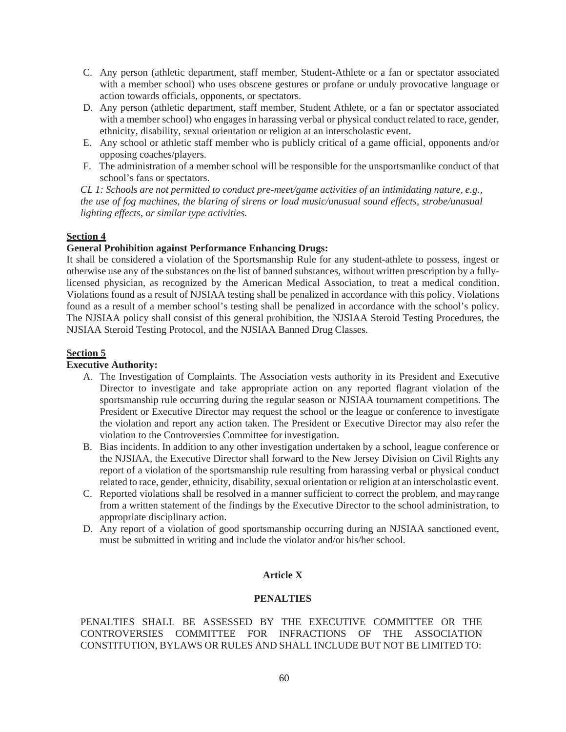- C. Any person (athletic department, staff member, Student-Athlete or a fan or spectator associated with a member school) who uses obscene gestures or profane or unduly provocative language or action towards officials, opponents, or spectators.
- D. Any person (athletic department, staff member, Student Athlete, or a fan or spectator associated with a member school) who engages in harassing verbal or physical conduct related to race, gender, ethnicity, disability, sexual orientation or religion at an interscholastic event.
- E. Any school or athletic staff member who is publicly critical of a game official, opponents and/or opposing coaches/players.
- F. The administration of a member school will be responsible for the unsportsmanlike conduct of that school's fans or spectators.

*CL 1: Schools are not permitted to conduct pre-meet/game activities of an intimidating nature, e.g., the use of fog machines, the blaring of sirens or loud music/unusual sound effects, strobe/unusual lighting effects, or similar type activities.*

### **Section 4**

### **General Prohibition against Performance Enhancing Drugs:**

It shall be considered a violation of the Sportsmanship Rule for any student-athlete to possess, ingest or otherwise use any of the substances on the list of banned substances, without written prescription by a fullylicensed physician, as recognized by the American Medical Association, to treat a medical condition. Violations found as a result of NJSIAA testing shall be penalized in accordance with this policy. Violations found as a result of a member school's testing shall be penalized in accordance with the school's policy. The NJSIAA policy shall consist of this general prohibition, the NJSIAA Steroid Testing Procedures, the NJSIAA Steroid Testing Protocol, and the NJSIAA Banned Drug Classes.

### **Section 5**

### **Executive Authority:**

- A. The Investigation of Complaints. The Association vests authority in its President and Executive Director to investigate and take appropriate action on any reported flagrant violation of the sportsmanship rule occurring during the regular season or NJSIAA tournament competitions. The President or Executive Director may request the school or the league or conference to investigate the violation and report any action taken. The President or Executive Director may also refer the violation to the Controversies Committee for investigation.
- B. Bias incidents. In addition to any other investigation undertaken by a school, league conference or the NJSIAA, the Executive Director shall forward to the New Jersey Division on Civil Rights any report of a violation of the sportsmanship rule resulting from harassing verbal or physical conduct related to race, gender, ethnicity, disability, sexual orientation or religion at an interscholastic event.
- C. Reported violations shall be resolved in a manner sufficient to correct the problem, and may range from a written statement of the findings by the Executive Director to the school administration, to appropriate disciplinary action.
- D. Any report of a violation of good sportsmanship occurring during an NJSIAA sanctioned event, must be submitted in writing and include the violator and/or his/her school.

# **Article X**

### **PENALTIES**

PENALTIES SHALL BE ASSESSED BY THE EXECUTIVE COMMITTEE OR THE CONTROVERSIES COMMITTEE FOR INFRACTIONS OF THE ASSOCIATION CONSTITUTION, BYLAWS OR RULES AND SHALL INCLUDE BUT NOT BE LIMITED TO: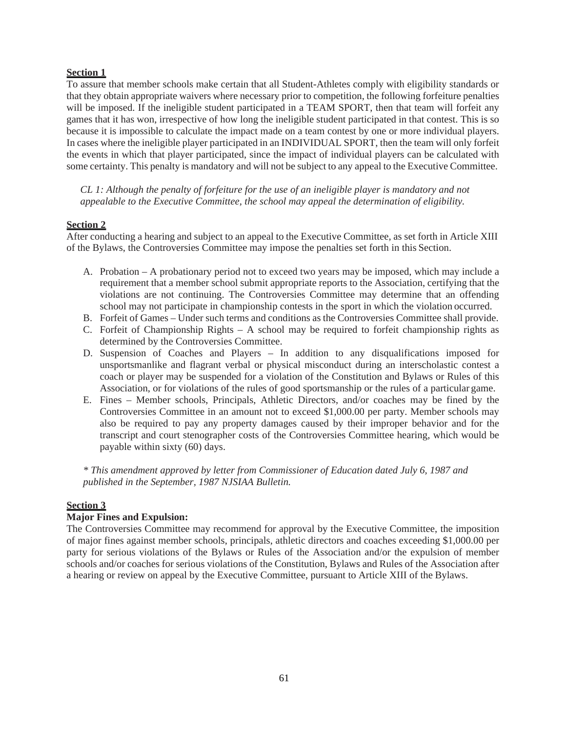# **Section 1**

To assure that member schools make certain that all Student-Athletes comply with eligibility standards or that they obtain appropriate waivers where necessary prior to competition, the following forfeiture penalties will be imposed. If the ineligible student participated in a TEAM SPORT, then that team will forfeit any games that it has won, irrespective of how long the ineligible student participated in that contest. This is so because it is impossible to calculate the impact made on a team contest by one or more individual players. In cases where the ineligible player participated in an INDIVIDUAL SPORT, then the team will only forfeit the events in which that player participated, since the impact of individual players can be calculated with some certainty. This penalty is mandatory and will not be subject to any appeal to the Executive Committee.

*CL 1: Although the penalty of forfeiture for the use of an ineligible player is mandatory and not appealable to the Executive Committee, the school may appeal the determination of eligibility.*

## **Section 2**

After conducting a hearing and subject to an appeal to the Executive Committee, as set forth in Article XIII of the Bylaws, the Controversies Committee may impose the penalties set forth in this Section.

- A. Probation A probationary period not to exceed two years may be imposed, which may include a requirement that a member school submit appropriate reports to the Association, certifying that the violations are not continuing. The Controversies Committee may determine that an offending school may not participate in championship contests in the sport in which the violation occurred.
- B. Forfeit of Games Under such terms and conditions as the Controversies Committee shall provide.
- C. Forfeit of Championship Rights A school may be required to forfeit championship rights as determined by the Controversies Committee.
- D. Suspension of Coaches and Players In addition to any disqualifications imposed for unsportsmanlike and flagrant verbal or physical misconduct during an interscholastic contest a coach or player may be suspended for a violation of the Constitution and Bylaws or Rules of this Association, or for violations of the rules of good sportsmanship or the rules of a particular game.
- E. Fines Member schools, Principals, Athletic Directors, and/or coaches may be fined by the Controversies Committee in an amount not to exceed \$1,000.00 per party. Member schools may also be required to pay any property damages caused by their improper behavior and for the transcript and court stenographer costs of the Controversies Committee hearing, which would be payable within sixty (60) days.

*\* This amendment approved by letter from Commissioner of Education dated July 6, 1987 and published in the September, 1987 NJSIAA Bulletin.*

# **Section 3**

# **Major Fines and Expulsion:**

The Controversies Committee may recommend for approval by the Executive Committee, the imposition of major fines against member schools, principals, athletic directors and coaches exceeding \$1,000.00 per party for serious violations of the Bylaws or Rules of the Association and/or the expulsion of member schools and/or coaches for serious violations of the Constitution, Bylaws and Rules of the Association after a hearing or review on appeal by the Executive Committee, pursuant to Article XIII of the Bylaws.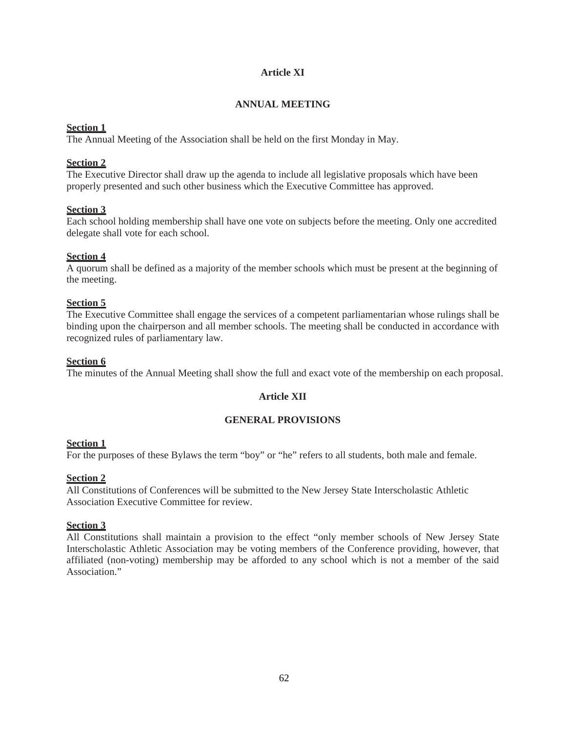# **Article XI**

# **ANNUAL MEETING**

## **Section 1**

The Annual Meeting of the Association shall be held on the first Monday in May.

### **Section 2**

The Executive Director shall draw up the agenda to include all legislative proposals which have been properly presented and such other business which the Executive Committee has approved.

### **Section 3**

Each school holding membership shall have one vote on subjects before the meeting. Only one accredited delegate shall vote for each school.

### **Section 4**

A quorum shall be defined as a majority of the member schools which must be present at the beginning of the meeting.

### **Section 5**

The Executive Committee shall engage the services of a competent parliamentarian whose rulings shall be binding upon the chairperson and all member schools. The meeting shall be conducted in accordance with recognized rules of parliamentary law.

## **Section 6**

The minutes of the Annual Meeting shall show the full and exact vote of the membership on each proposal.

# **Article XII**

### **GENERAL PROVISIONS**

# **Section 1**

For the purposes of these Bylaws the term "boy" or "he" refers to all students, both male and female.

### **Section 2**

All Constitutions of Conferences will be submitted to the New Jersey State Interscholastic Athletic Association Executive Committee for review.

### **Section 3**

All Constitutions shall maintain a provision to the effect "only member schools of New Jersey State Interscholastic Athletic Association may be voting members of the Conference providing, however, that affiliated (non-voting) membership may be afforded to any school which is not a member of the said Association"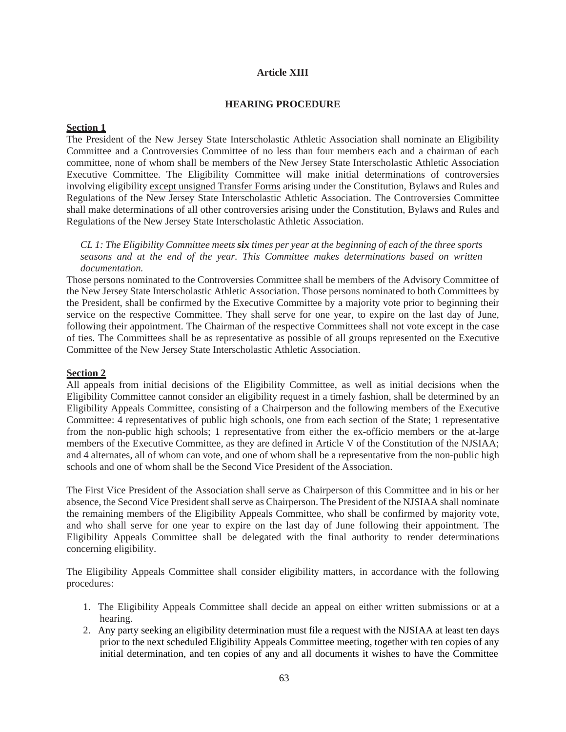## **Article XIII**

### **HEARING PROCEDURE**

## **Section 1**

The President of the New Jersey State Interscholastic Athletic Association shall nominate an Eligibility Committee and a Controversies Committee of no less than four members each and a chairman of each committee, none of whom shall be members of the New Jersey State Interscholastic Athletic Association Executive Committee. The Eligibility Committee will make initial determinations of controversies involving eligibility except unsigned Transfer Forms arising under the Constitution, Bylaws and Rules and Regulations of the New Jersey State Interscholastic Athletic Association. The Controversies Committee shall make determinations of all other controversies arising under the Constitution, Bylaws and Rules and Regulations of the New Jersey State Interscholastic Athletic Association.

*CL 1: The Eligibility Committee meets six times per year at the beginning of each of the three sports seasons and at the end of the year. This Committee makes determinations based on written documentation.*

Those persons nominated to the Controversies Committee shall be members of the Advisory Committee of the New Jersey State Interscholastic Athletic Association. Those persons nominated to both Committees by the President, shall be confirmed by the Executive Committee by a majority vote prior to beginning their service on the respective Committee. They shall serve for one year, to expire on the last day of June, following their appointment. The Chairman of the respective Committees shall not vote except in the case of ties. The Committees shall be as representative as possible of all groups represented on the Executive Committee of the New Jersey State Interscholastic Athletic Association.

# **Section 2**

All appeals from initial decisions of the Eligibility Committee, as well as initial decisions when the Eligibility Committee cannot consider an eligibility request in a timely fashion, shall be determined by an Eligibility Appeals Committee, consisting of a Chairperson and the following members of the Executive Committee: 4 representatives of public high schools, one from each section of the State; 1 representative from the non-public high schools; 1 representative from either the ex-officio members or the at-large members of the Executive Committee, as they are defined in Article V of the Constitution of the NJSIAA; and 4 alternates, all of whom can vote, and one of whom shall be a representative from the non-public high schools and one of whom shall be the Second Vice President of the Association.

The First Vice President of the Association shall serve as Chairperson of this Committee and in his or her absence, the Second Vice President shall serve as Chairperson. The President of the NJSIAA shall nominate the remaining members of the Eligibility Appeals Committee, who shall be confirmed by majority vote, and who shall serve for one year to expire on the last day of June following their appointment. The Eligibility Appeals Committee shall be delegated with the final authority to render determinations concerning eligibility.

The Eligibility Appeals Committee shall consider eligibility matters, in accordance with the following procedures:

- 1. The Eligibility Appeals Committee shall decide an appeal on either written submissions or at a hearing.
- 2. Any party seeking an eligibility determination must file a request with the NJSIAA at least ten days prior to the next scheduled Eligibility Appeals Committee meeting, together with ten copies of any initial determination, and ten copies of any and all documents it wishes to have the Committee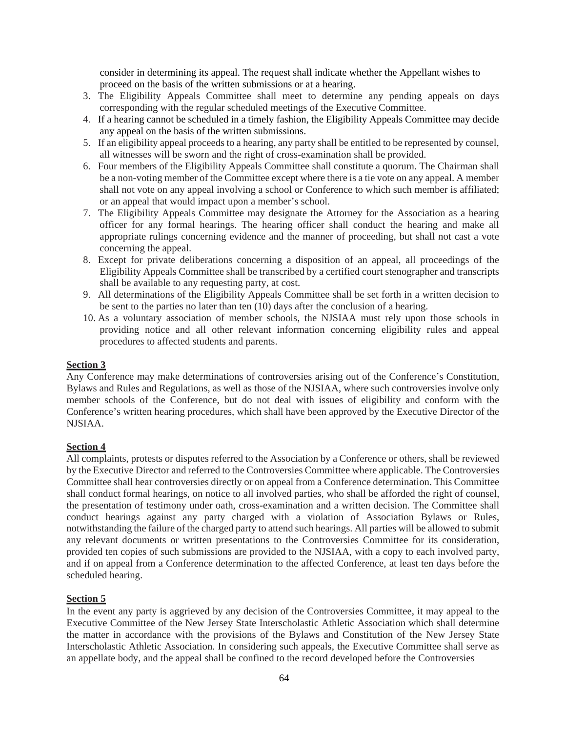consider in determining its appeal. The request shall indicate whether the Appellant wishes to proceed on the basis of the written submissions or at a hearing.

- 3. The Eligibility Appeals Committee shall meet to determine any pending appeals on days corresponding with the regular scheduled meetings of the Executive Committee.
- 4. If a hearing cannot be scheduled in a timely fashion, the Eligibility Appeals Committee may decide any appeal on the basis of the written submissions.
- 5. If an eligibility appeal proceeds to a hearing, any party shall be entitled to be represented by counsel, all witnesses will be sworn and the right of cross-examination shall be provided.
- 6. Four members of the Eligibility Appeals Committee shall constitute a quorum. The Chairman shall be a non-voting member of the Committee except where there is a tie vote on any appeal. A member shall not vote on any appeal involving a school or Conference to which such member is affiliated; or an appeal that would impact upon a member's school.
- 7. The Eligibility Appeals Committee may designate the Attorney for the Association as a hearing officer for any formal hearings. The hearing officer shall conduct the hearing and make all appropriate rulings concerning evidence and the manner of proceeding, but shall not cast a vote concerning the appeal.
- 8. Except for private deliberations concerning a disposition of an appeal, all proceedings of the Eligibility Appeals Committee shall be transcribed by a certified court stenographer and transcripts shall be available to any requesting party, at cost.
- 9. All determinations of the Eligibility Appeals Committee shall be set forth in a written decision to be sent to the parties no later than ten (10) days after the conclusion of a hearing.
- 10. As a voluntary association of member schools, the NJSIAA must rely upon those schools in providing notice and all other relevant information concerning eligibility rules and appeal procedures to affected students and parents.

### **Section 3**

Any Conference may make determinations of controversies arising out of the Conference's Constitution, Bylaws and Rules and Regulations, as well as those of the NJSIAA, where such controversies involve only member schools of the Conference, but do not deal with issues of eligibility and conform with the Conference's written hearing procedures, which shall have been approved by the Executive Director of the NJSIAA.

### **Section 4**

All complaints, protests or disputes referred to the Association by a Conference or others, shall be reviewed by the Executive Director and referred to the Controversies Committee where applicable. The Controversies Committee shall hear controversies directly or on appeal from a Conference determination. This Committee shall conduct formal hearings, on notice to all involved parties, who shall be afforded the right of counsel, the presentation of testimony under oath, cross-examination and a written decision. The Committee shall conduct hearings against any party charged with a violation of Association Bylaws or Rules, notwithstanding the failure of the charged party to attend such hearings. All parties will be allowed to submit any relevant documents or written presentations to the Controversies Committee for its consideration, provided ten copies of such submissions are provided to the NJSIAA, with a copy to each involved party, and if on appeal from a Conference determination to the affected Conference, at least ten days before the scheduled hearing.

### **Section 5**

In the event any party is aggrieved by any decision of the Controversies Committee, it may appeal to the Executive Committee of the New Jersey State Interscholastic Athletic Association which shall determine the matter in accordance with the provisions of the Bylaws and Constitution of the New Jersey State Interscholastic Athletic Association. In considering such appeals, the Executive Committee shall serve as an appellate body, and the appeal shall be confined to the record developed before the Controversies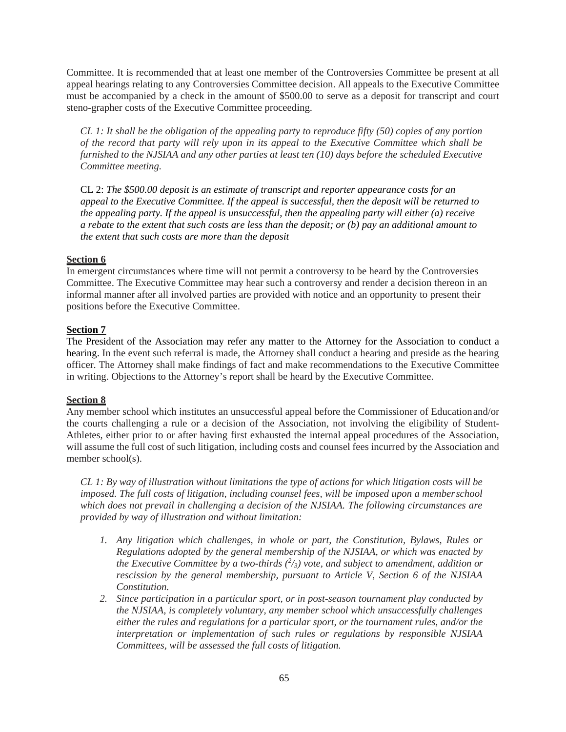Committee. It is recommended that at least one member of the Controversies Committee be present at all appeal hearings relating to any Controversies Committee decision. All appeals to the Executive Committee must be accompanied by a check in the amount of \$500.00 to serve as a deposit for transcript and court steno-grapher costs of the Executive Committee proceeding.

*CL 1: It shall be the obligation of the appealing party to reproduce fifty (50) copies of any portion of the record that party will rely upon in its appeal to the Executive Committee which shall be furnished to the NJSIAA and any other parties at least ten (10) days before the scheduled Executive Committee meeting.*

CL 2: *The \$500.00 deposit is an estimate of transcript and reporter appearance costs for an appeal to the Executive Committee. If the appeal is successful, then the deposit will be returned to the appealing party. If the appeal is unsuccessful, then the appealing party will either (a) receive a rebate to the extent that such costs are less than the deposit; or (b) pay an additional amount to the extent that such costs are more than the deposit* 

# **Section 6**

In emergent circumstances where time will not permit a controversy to be heard by the Controversies Committee. The Executive Committee may hear such a controversy and render a decision thereon in an informal manner after all involved parties are provided with notice and an opportunity to present their positions before the Executive Committee.

### **Section 7**

The President of the Association may refer any matter to the Attorney for the Association to conduct a hearing. In the event such referral is made, the Attorney shall conduct a hearing and preside as the hearing officer. The Attorney shall make findings of fact and make recommendations to the Executive Committee in writing. Objections to the Attorney's report shall be heard by the Executive Committee.

### **Section 8**

Any member school which institutes an unsuccessful appeal before the Commissioner of Education and/or the courts challenging a rule or a decision of the Association, not involving the eligibility of Student-Athletes, either prior to or after having first exhausted the internal appeal procedures of the Association, will assume the full cost of such litigation, including costs and counsel fees incurred by the Association and member school(s).

*CL 1: By way of illustration without limitations the type of actions for which litigation costs will be imposed. The full costs of litigation, including counsel fees, will be imposed upon a member school which does not prevail in challenging a decision of the NJSIAA. The following circumstances are provided by way of illustration and without limitation:*

- *1. Any litigation which challenges, in whole or part, the Constitution, Bylaws, Rules or Regulations adopted by the general membership of the NJSIAA, or which was enacted by the Executive Committee by a two-thirds (2 /3) vote, and subject to amendment, addition or rescission by the general membership, pursuant to Article V, Section 6 of the NJSIAA Constitution.*
- *2. Since participation in a particular sport, or in post-season tournament play conducted by the NJSIAA, is completely voluntary, any member school which unsuccessfully challenges either the rules and regulations for a particular sport, or the tournament rules, and/or the interpretation or implementation of such rules or regulations by responsible NJSIAA Committees, will be assessed the full costs of litigation.*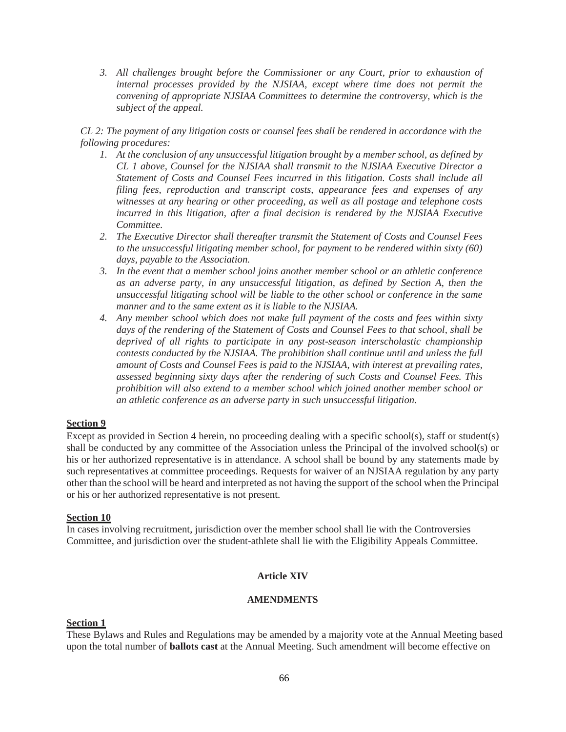*3. All challenges brought before the Commissioner or any Court, prior to exhaustion of internal processes provided by the NJSIAA, except where time does not permit the convening of appropriate NJSIAA Committees to determine the controversy, which is the subject of the appeal.*

*CL 2: The payment of any litigation costs or counsel fees shall be rendered in accordance with the following procedures:*

- *1. At the conclusion of any unsuccessful litigation brought by a member school, as defined by CL 1 above, Counsel for the NJSIAA shall transmit to the NJSIAA Executive Director a Statement of Costs and Counsel Fees incurred in this litigation. Costs shall include all filing fees, reproduction and transcript costs, appearance fees and expenses of any witnesses at any hearing or other proceeding, as well as all postage and telephone costs incurred in this litigation, after a final decision is rendered by the NJSIAA Executive Committee.*
- *2. The Executive Director shall thereafter transmit the Statement of Costs and Counsel Fees to the unsuccessful litigating member school, for payment to be rendered within sixty (60) days, payable to the Association.*
- *3. In the event that a member school joins another member school or an athletic conference as an adverse party, in any unsuccessful litigation, as defined by Section A, then the unsuccessful litigating school will be liable to the other school or conference in the same manner and to the same extent as it is liable to the NJSIAA.*
- *4. Any member school which does not make full payment of the costs and fees within sixty days of the rendering of the Statement of Costs and Counsel Fees to that school, shall be deprived of all rights to participate in any post-season interscholastic championship contests conducted by the NJSIAA. The prohibition shall continue until and unless the full amount of Costs and Counsel Fees is paid to the NJSIAA, with interest at prevailing rates, assessed beginning sixty days after the rendering of such Costs and Counsel Fees. This prohibition will also extend to a member school which joined another member school or an athletic conference as an adverse party in such unsuccessful litigation.*

### **Section 9**

Except as provided in Section 4 herein, no proceeding dealing with a specific school(s), staff or student(s) shall be conducted by any committee of the Association unless the Principal of the involved school(s) or his or her authorized representative is in attendance. A school shall be bound by any statements made by such representatives at committee proceedings. Requests for waiver of an NJSIAA regulation by any party other than the school will be heard and interpreted as not having the support of the school when the Principal or his or her authorized representative is not present.

# **Section 10**

In cases involving recruitment, jurisdiction over the member school shall lie with the Controversies Committee, and jurisdiction over the student-athlete shall lie with the Eligibility Appeals Committee.

#### **Article XIV**

### **AMENDMENTS**

# **Section 1**

These Bylaws and Rules and Regulations may be amended by a majority vote at the Annual Meeting based upon the total number of **ballots cast** at the Annual Meeting. Such amendment will become effective on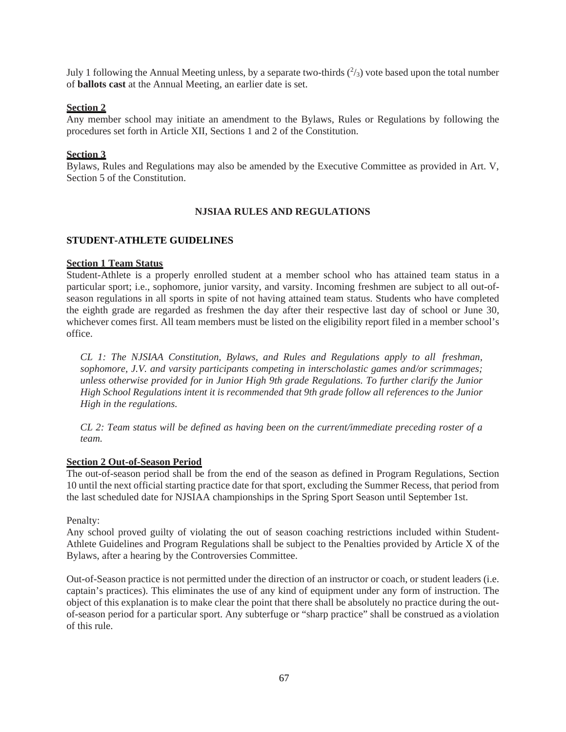July 1 following the Annual Meeting unless, by a separate two-thirds  $(^2/3)$  vote based upon the total number of **ballots cast** at the Annual Meeting, an earlier date is set.

### **Section 2**

Any member school may initiate an amendment to the Bylaws, Rules or Regulations by following the procedures set forth in Article XII, Sections 1 and 2 of the Constitution.

#### **Section 3**

Bylaws, Rules and Regulations may also be amended by the Executive Committee as provided in Art. V, Section 5 of the Constitution.

### **NJSIAA RULES AND REGULATIONS**

#### **STUDENT-ATHLETE GUIDELINES**

#### **Section 1 Team Status**

Student-Athlete is a properly enrolled student at a member school who has attained team status in a particular sport; i.e., sophomore, junior varsity, and varsity. Incoming freshmen are subject to all out-ofseason regulations in all sports in spite of not having attained team status. Students who have completed the eighth grade are regarded as freshmen the day after their respective last day of school or June 30, whichever comes first. All team members must be listed on the eligibility report filed in a member school's office.

*CL 1: The NJSIAA Constitution, Bylaws, and Rules and Regulations apply to all freshman, sophomore, J.V. and varsity participants competing in interscholastic games and/or scrimmages; unless otherwise provided for in Junior High 9th grade Regulations. To further clarify the Junior High School Regulations intent it is recommended that 9th grade follow all references to the Junior High in the regulations.*

*CL 2: Team status will be defined as having been on the current/immediate preceding roster of a team.*

# **Section 2 Out-of-Season Period**

The out-of-season period shall be from the end of the season as defined in Program Regulations, Section 10 until the next official starting practice date for that sport, excluding the Summer Recess, that period from the last scheduled date for NJSIAA championships in the Spring Sport Season until September 1st.

Penalty:

Any school proved guilty of violating the out of season coaching restrictions included within Student-Athlete Guidelines and Program Regulations shall be subject to the Penalties provided by Article X of the Bylaws, after a hearing by the Controversies Committee.

Out-of-Season practice is not permitted under the direction of an instructor or coach, or student leaders (i.e. captain's practices). This eliminates the use of any kind of equipment under any form of instruction. The object of this explanation is to make clear the point that there shall be absolutely no practice during the outof-season period for a particular sport. Any subterfuge or "sharp practice" shall be construed as a violation of this rule.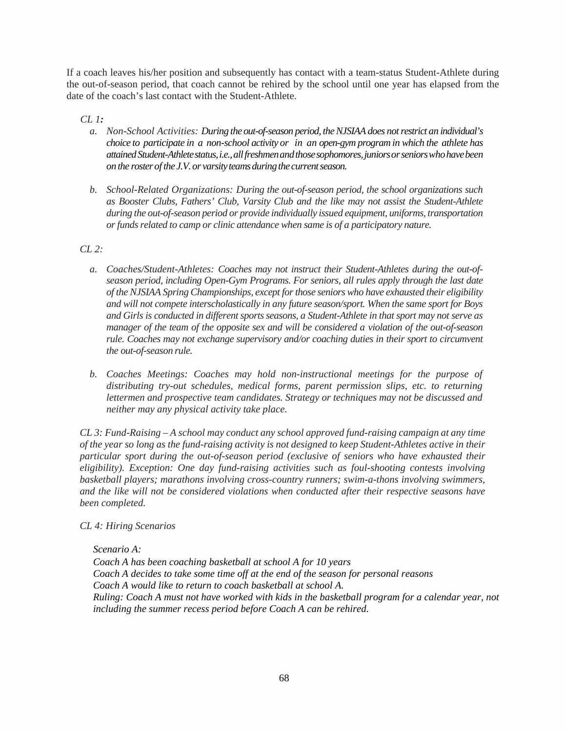If a coach leaves his/her position and subsequently has contact with a team-status Student-Athlete during the out-of-season period, that coach cannot be rehired by the school until one year has elapsed from the date of the coach's last contact with the Student-Athlete.

# *CL 1:*

- *a. Non-School Activities: During the out-of-season period, the NJSIAA does not restrict an individual's choice to participate in a non-school activity or in an open-gym program in which the athlete has attained Student-Athlete status, i.e., all freshmen and those sophomores, juniors or seniors who have been on the roster of the J.V. or varsity teams during the current season.*
- *b. School-Related Organizations: During the out-of-season period, the school organizations such as Booster Clubs, Fathers' Club, Varsity Club and the like may not assist the Student-Athlete during the out-of-season period or provide individually issued equipment, uniforms, transportation or funds related to camp or clinic attendance when same is of a participatory nature.*

# *CL 2:*

- *a. Coaches/Student-Athletes: Coaches may not instruct their Student-Athletes during the out-ofseason period, including Open-Gym Programs. For seniors, all rules apply through the last date of the NJSIAA Spring Championships, except for those seniors who have exhausted their eligibility and will not compete interscholastically in any future season/sport. When the same sport for Boys and Girls is conducted in different sports seasons, a Student-Athlete in that sport may not serve as manager of the team of the opposite sex and will be considered a violation of the out-of-season rule. Coaches may not exchange supervisory and/or coaching duties in their sport to circumvent the out-of-season rule.*
- *b. Coaches Meetings: Coaches may hold non-instructional meetings for the purpose of distributing try-out schedules, medical forms, parent permission slips, etc. to returning lettermen and prospective team candidates. Strategy or techniques may not be discussed and neither may any physical activity take place.*

*CL 3: Fund-Raising – A school may conduct any school approved fund-raising campaign at any time of the year so long as the fund-raising activity is not designed to keep Student-Athletes active in their particular sport during the out-of-season period (exclusive of seniors who have exhausted their eligibility). Exception: One day fund-raising activities such as foul-shooting contests involving basketball players; marathons involving cross-country runners; swim-a-thons involving swimmers, and the like will not be considered violations when conducted after their respective seasons have been completed.*

### *CL 4: Hiring Scenarios*

### *Scenario A:*

*Coach A has been coaching basketball at school A for 10 years Coach A decides to take some time off at the end of the season for personal reasons Coach A would like to return to coach basketball at school A. Ruling: Coach A must not have worked with kids in the basketball program for a calendar year, not including the summer recess period before Coach A can be rehired.*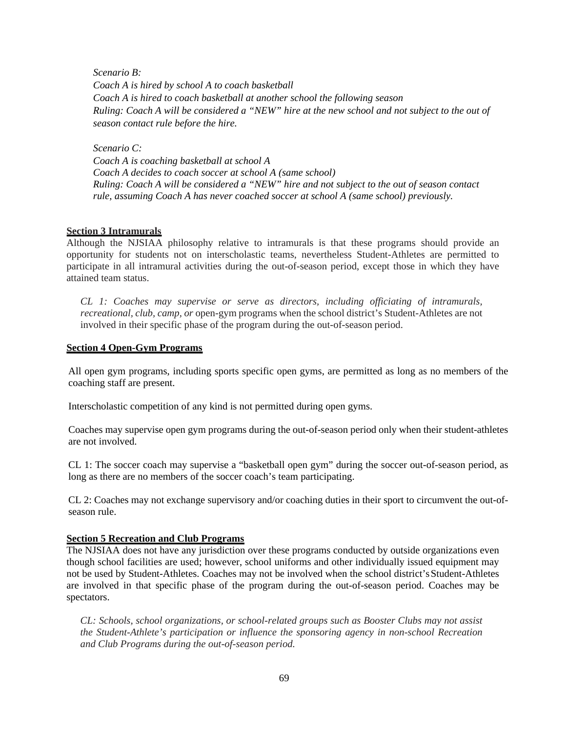*Scenario B: Coach A is hired by school A to coach basketball Coach A is hired to coach basketball at another school the following season Ruling: Coach A will be considered a "NEW" hire at the new school and not subject to the out of season contact rule before the hire.* 

*Scenario C:* 

*Coach A is coaching basketball at school A Coach A decides to coach soccer at school A (same school) Ruling: Coach A will be considered a "NEW" hire and not subject to the out of season contact rule, assuming Coach A has never coached soccer at school A (same school) previously.* 

### **Section 3 Intramurals**

Although the NJSIAA philosophy relative to intramurals is that these programs should provide an opportunity for students not on interscholastic teams, nevertheless Student-Athletes are permitted to participate in all intramural activities during the out-of-season period, except those in which they have attained team status.

*CL 1: Coaches may supervise or serve as directors, including officiating of intramurals, recreational, club, camp, or* open-gym programs when the school district's Student-Athletes are not involved in their specific phase of the program during the out-of-season period.

#### **Section 4 Open-Gym Programs**

All open gym programs, including sports specific open gyms, are permitted as long as no members of the coaching staff are present.

Interscholastic competition of any kind is not permitted during open gyms.

Coaches may supervise open gym programs during the out-of-season period only when their student-athletes are not involved.

CL 1: The soccer coach may supervise a "basketball open gym" during the soccer out-of-season period, as long as there are no members of the soccer coach's team participating.

CL 2: Coaches may not exchange supervisory and/or coaching duties in their sport to circumvent the out-ofseason rule.

### **Section 5 Recreation and Club Programs**

The NJSIAA does not have any jurisdiction over these programs conducted by outside organizations even though school facilities are used; however, school uniforms and other individually issued equipment may not be used by Student-Athletes. Coaches may not be involved when the school district's Student-Athletes are involved in that specific phase of the program during the out-of-season period. Coaches may be spectators.

*CL: Schools, school organizations, or school-related groups such as Booster Clubs may not assist the Student-Athlete's participation or influence the sponsoring agency in non-school Recreation and Club Programs during the out-of-season period.*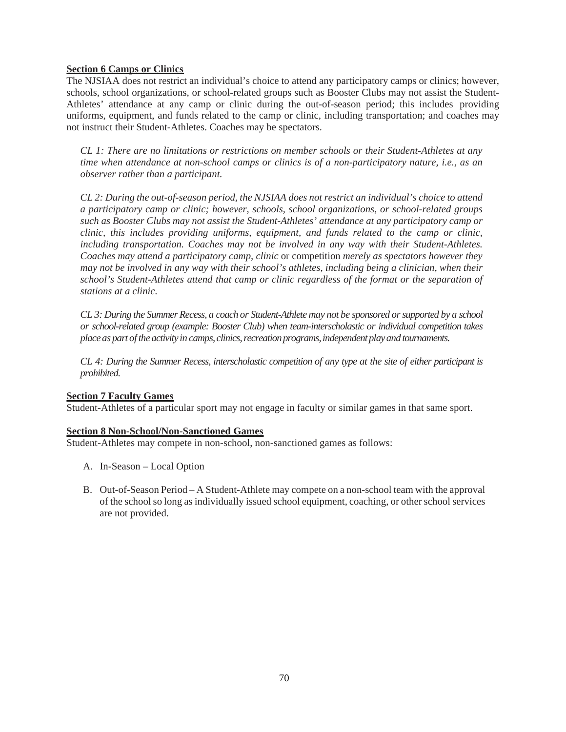# **Section 6 Camps or Clinics**

The NJSIAA does not restrict an individual's choice to attend any participatory camps or clinics; however, schools, school organizations, or school-related groups such as Booster Clubs may not assist the Student-Athletes' attendance at any camp or clinic during the out-of-season period; this includes providing uniforms, equipment, and funds related to the camp or clinic, including transportation; and coaches may not instruct their Student-Athletes. Coaches may be spectators.

*CL 1: There are no limitations or restrictions on member schools or their Student-Athletes at any time when attendance at non-school camps or clinics is of a non-participatory nature, i.e., as an observer rather than a participant.*

*CL 2: During the out-of-season period, the NJSIAA does not restrict an individual's choice to attend a participatory camp or clinic; however, schools, school organizations, or school-related groups such as Booster Clubs may not assist the Student-Athletes' attendance at any participatory camp or clinic, this includes providing uniforms, equipment, and funds related to the camp or clinic, including transportation. Coaches may not be involved in any way with their Student-Athletes. Coaches may attend a participatory camp, clinic* or competition *merely as spectators however they may not be involved in any way with their school's athletes, including being a clinician, when their school's Student-Athletes attend that camp or clinic regardless of the format or the separation of stations at a clinic.*

*CL 3: During the Summer Recess, a coach or Student-Athlete may not be sponsored or supported by a school or school-related group (example: Booster Club) when team-interscholastic or individual competition takes place as part of the activity in camps, clinics, recreation programs, independent play and tournaments.*

*CL 4: During the Summer Recess, interscholastic competition of any type at the site of either participant is prohibited.*

### **Section 7 Faculty Games**

Student-Athletes of a particular sport may not engage in faculty or similar games in that same sport.

### **Section 8 Non-School/Non-Sanctioned Games**

Student-Athletes may compete in non-school, non-sanctioned games as follows:

- A. In-Season Local Option
- B. Out-of-Season Period A Student-Athlete may compete on a non-school team with the approval of the school so long as individually issued school equipment, coaching, or other school services are not provided.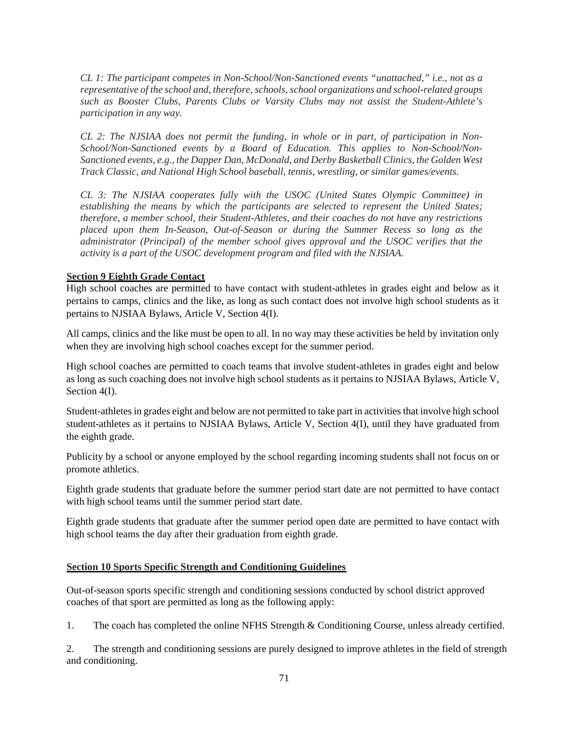*CL 1: The participant competes in Non-School/Non-Sanctioned events "unattached," i.e., not as a representative of the school and, therefore, schools, school organizations and school-related groups such as Booster Clubs, Parents Clubs or Varsity Clubs may not assist the Student-Athlete's participation in any way.*

*CL 2: The NJSIAA does not permit the funding, in whole or in part, of participation in Non-School/Non-Sanctioned events by a Board of Education. This applies to Non-School/Non-Sanctioned events, e.g., the Dapper Dan, McDonald, and Derby Basketball Clinics, the Golden West Track Classic, and National High School baseball, tennis, wrestling, or similar games/events.*

*CL 3: The NJSIAA cooperates fully with the USOC (United States Olympic Committee) in establishing the means by which the participants are selected to represent the United States; therefore, a member school, their Student-Athletes, and their coaches do not have any restrictions placed upon them In-Season, Out-of-Season or during the Summer Recess so long as the administrator (Principal) of the member school gives approval and the USOC verifies that the activity is a part of the USOC development program and filed with the NJSIAA.*

#### **Section 9 Eighth Grade Contact**

High school coaches are permitted to have contact with student-athletes in grades eight and below as it pertains to camps, clinics and the like, as long as such contact does not involve high school students as it pertains to NJSIAA Bylaws, Article V, Section 4(I).

All camps, clinics and the like must be open to all. In no way may these activities be held by invitation only when they are involving high school coaches except for the summer period.

High school coaches are permitted to coach teams that involve student-athletes in grades eight and below as long as such coaching does not involve high school students as it pertains to NJSIAA Bylaws, Article V, Section 4(I).

Student-athletes in grades eight and below are not permitted to take part in activities that involve high school student-athletes as it pertains to NJSIAA Bylaws, Article V, Section 4(I), until they have graduated from the eighth grade.

Publicity by a school or anyone employed by the school regarding incoming students shall not focus on or promote athletics.

Eighth grade students that graduate before the summer period start date are not permitted to have contact with high school teams until the summer period start date.

Eighth grade students that graduate after the summer period open date are permitted to have contact with high school teams the day after their graduation from eighth grade.

### **Section 10 Sports Specific Strength and Conditioning Guidelines**

Out-of-season sports specific strength and conditioning sessions conducted by school district approved coaches of that sport are permitted as long as the following apply:

1. The coach has completed the online NFHS Strength & Conditioning Course, unless already certified.

2. The strength and conditioning sessions are purely designed to improve athletes in the field of strength and conditioning.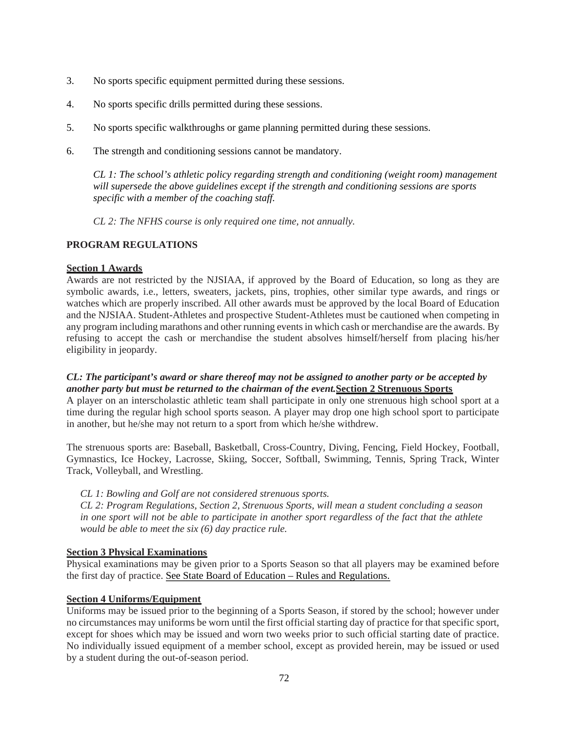- 3. No sports specific equipment permitted during these sessions.
- 4. No sports specific drills permitted during these sessions.
- 5. No sports specific walkthroughs or game planning permitted during these sessions.
- 6. The strength and conditioning sessions cannot be mandatory.

*CL 1: The school's athletic policy regarding strength and conditioning (weight room) management will supersede the above guidelines except if the strength and conditioning sessions are sports specific with a member of the coaching staff.*

 *CL 2: The NFHS course is only required one time, not annually.* 

# **PROGRAM REGULATIONS**

### **Section 1 Awards**

Awards are not restricted by the NJSIAA, if approved by the Board of Education, so long as they are symbolic awards, i.e., letters, sweaters, jackets, pins, trophies, other similar type awards, and rings or watches which are properly inscribed. All other awards must be approved by the local Board of Education and the NJSIAA. Student-Athletes and prospective Student-Athletes must be cautioned when competing in any program including marathons and other running events in which cash or merchandise are the awards. By refusing to accept the cash or merchandise the student absolves himself/herself from placing his/her eligibility in jeopardy.

# *CL: The participant's award or share thereof may not be assigned to another party or be accepted by another party but must be returned to the chairman of the event.***Section 2 Strenuous Sports**

A player on an interscholastic athletic team shall participate in only one strenuous high school sport at a time during the regular high school sports season. A player may drop one high school sport to participate in another, but he/she may not return to a sport from which he/she withdrew.

The strenuous sports are: Baseball, Basketball, Cross-Country, Diving, Fencing, Field Hockey, Football, Gymnastics, Ice Hockey, Lacrosse, Skiing, Soccer, Softball, Swimming, Tennis, Spring Track, Winter Track, Volleyball, and Wrestling.

### *CL 1: Bowling and Golf are not considered strenuous sports.*

*CL 2: Program Regulations, Section 2, Strenuous Sports, will mean a student concluding a season in one sport will not be able to participate in another sport regardless of the fact that the athlete would be able to meet the six (6) day practice rule.*

# **Section 3 Physical Examinations**

Physical examinations may be given prior to a Sports Season so that all players may be examined before the first day of practice. See State Board of Education – Rules and Regulations.

### **Section 4 Uniforms/Equipment**

Uniforms may be issued prior to the beginning of a Sports Season, if stored by the school; however under no circumstances may uniforms be worn until the first official starting day of practice for that specific sport, except for shoes which may be issued and worn two weeks prior to such official starting date of practice. No individually issued equipment of a member school, except as provided herein, may be issued or used by a student during the out-of-season period.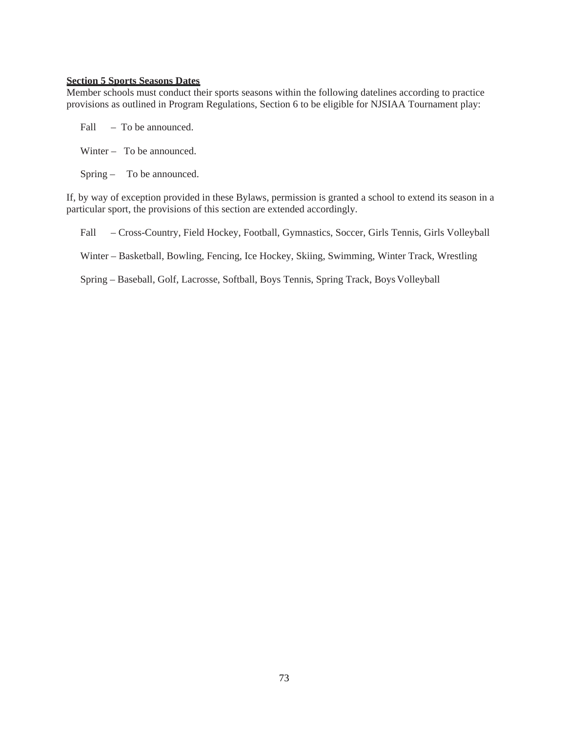#### **Section 5 Sports Seasons Dates**

Member schools must conduct their sports seasons within the following datelines according to practice provisions as outlined in Program Regulations, Section 6 to be eligible for NJSIAA Tournament play:

| Fall | - To be announced. |
|------|--------------------|
|      |                    |

- Winter To be announced.
- Spring To be announced.

If, by way of exception provided in these Bylaws, permission is granted a school to extend its season in a particular sport, the provisions of this section are extended accordingly.

Fall – Cross-Country, Field Hockey, Football, Gymnastics, Soccer, Girls Tennis, Girls Volleyball

Winter – Basketball, Bowling, Fencing, Ice Hockey, Skiing, Swimming, Winter Track, Wrestling

Spring – Baseball, Golf, Lacrosse, Softball, Boys Tennis, Spring Track, Boys Volleyball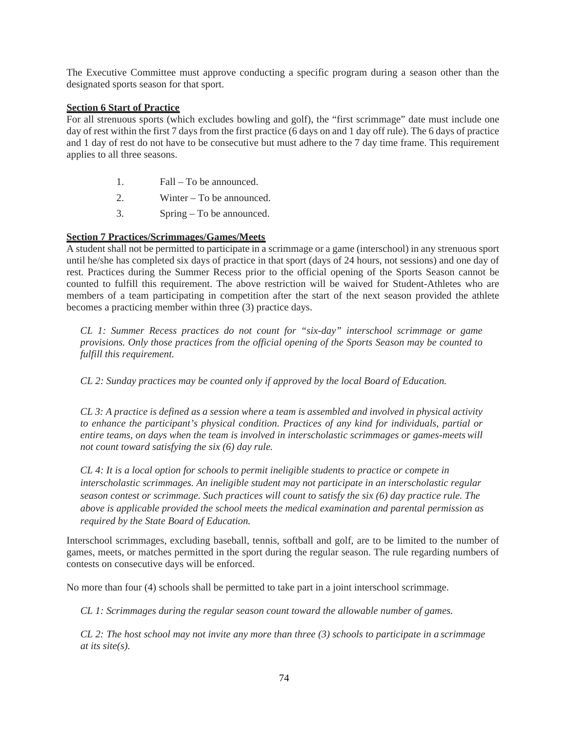The Executive Committee must approve conducting a specific program during a season other than the designated sports season for that sport.

#### **Section 6 Start of Practice**

For all strenuous sports (which excludes bowling and golf), the "first scrimmage" date must include one day of rest within the first 7 days from the first practice (6 days on and 1 day off rule). The 6 days of practice and 1 day of rest do not have to be consecutive but must adhere to the 7 day time frame. This requirement applies to all three seasons.

- 1. Fall To be announced.
- 2. Winter To be announced.
- 3. Spring To be announced.

#### **Section 7 Practices/Scrimmages/Games/Meets**

A student shall not be permitted to participate in a scrimmage or a game (interschool) in any strenuous sport until he/she has completed six days of practice in that sport (days of 24 hours, not sessions) and one day of rest. Practices during the Summer Recess prior to the official opening of the Sports Season cannot be counted to fulfill this requirement. The above restriction will be waived for Student-Athletes who are members of a team participating in competition after the start of the next season provided the athlete becomes a practicing member within three (3) practice days.

*CL 1: Summer Recess practices do not count for "six-day" interschool scrimmage or game provisions. Only those practices from the official opening of the Sports Season may be counted to fulfill this requirement.*

*CL 2: Sunday practices may be counted only if approved by the local Board of Education.* 

*CL 3: A practice is defined as a session where a team is assembled and involved in physical activity to enhance the participant's physical condition. Practices of any kind for individuals, partial or entire teams, on days when the team is involved in interscholastic scrimmages or games-meets will not count toward satisfying the six (6) day rule.*

*CL 4: It is a local option for schools to permit ineligible students to practice or compete in interscholastic scrimmages. An ineligible student may not participate in an interscholastic regular season contest or scrimmage. Such practices will count to satisfy the six (6) day practice rule. The above is applicable provided the school meets the medical examination and parental permission as required by the State Board of Education.*

Interschool scrimmages, excluding baseball, tennis, softball and golf, are to be limited to the number of games, meets, or matches permitted in the sport during the regular season. The rule regarding numbers of contests on consecutive days will be enforced.

No more than four (4) schools shall be permitted to take part in a joint interschool scrimmage.

*CL 1: Scrimmages during the regular season count toward the allowable number of games.*

*CL 2: The host school may not invite any more than three (3) schools to participate in a scrimmage at its site(s).*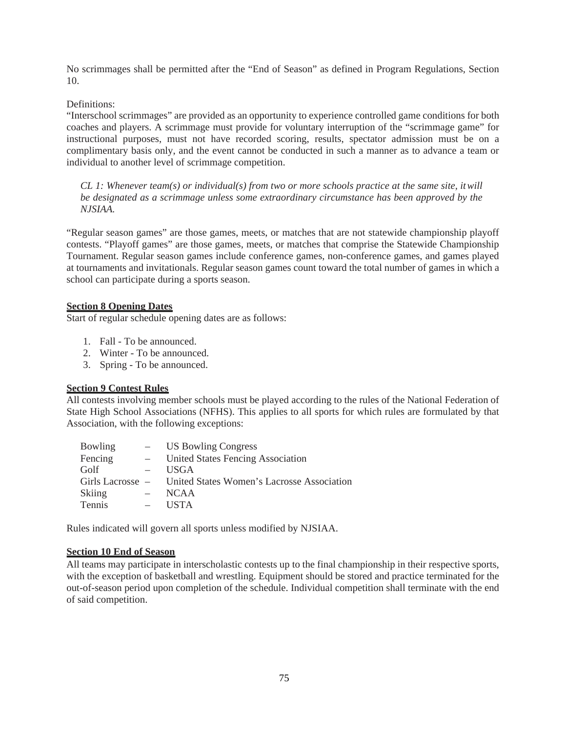No scrimmages shall be permitted after the "End of Season" as defined in Program Regulations, Section 10.

Definitions:

"Interschool scrimmages" are provided as an opportunity to experience controlled game conditions for both coaches and players. A scrimmage must provide for voluntary interruption of the "scrimmage game" for instructional purposes, must not have recorded scoring, results, spectator admission must be on a complimentary basis only, and the event cannot be conducted in such a manner as to advance a team or individual to another level of scrimmage competition.

*CL 1: Whenever team(s) or individual(s) from two or more schools practice at the same site, it will be designated as a scrimmage unless some extraordinary circumstance has been approved by the NJSIAA.*

"Regular season games" are those games, meets, or matches that are not statewide championship playoff contests. "Playoff games" are those games, meets, or matches that comprise the Statewide Championship Tournament. Regular season games include conference games, non-conference games, and games played at tournaments and invitationals. Regular season games count toward the total number of games in which a school can participate during a sports season.

# **Section 8 Opening Dates**

Start of regular schedule opening dates are as follows:

- 1. Fall To be announced.
- 2. Winter To be announced.
- 3. Spring To be announced.

#### **Section 9 Contest Rules**

All contests involving member schools must be played according to the rules of the National Federation of State High School Associations (NFHS). This applies to all sports for which rules are formulated by that Association, with the following exceptions:

| Bowling       | $\overline{\phantom{a}}$ | <b>US Bowling Congress</b>                                  |
|---------------|--------------------------|-------------------------------------------------------------|
| Fencing       |                          | United States Fencing Association                           |
| Golf          |                          | <b>USGA</b>                                                 |
|               |                          | Girls Lacrosse – United States Women's Lacrosse Association |
| <b>Skiing</b> |                          | <b>NCAA</b>                                                 |
| Tennis        |                          | <b>USTA</b>                                                 |

Rules indicated will govern all sports unless modified by NJSIAA.

### **Section 10 End of Season**

All teams may participate in interscholastic contests up to the final championship in their respective sports, with the exception of basketball and wrestling. Equipment should be stored and practice terminated for the out-of-season period upon completion of the schedule. Individual competition shall terminate with the end of said competition.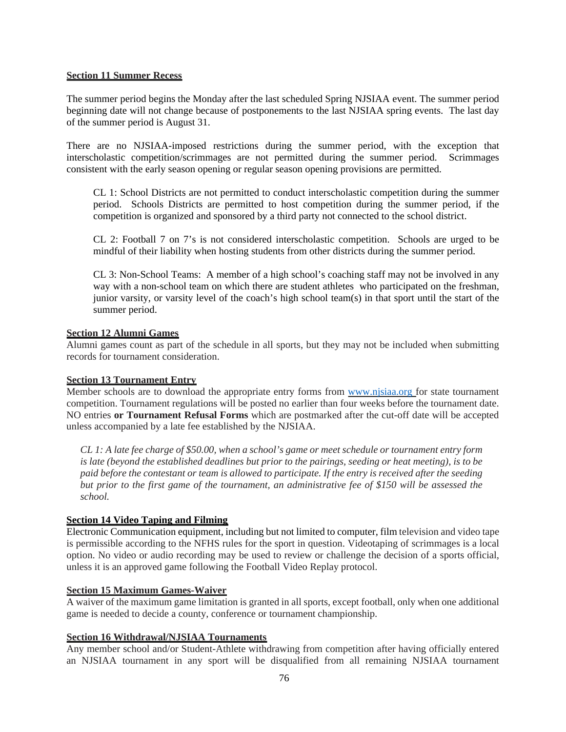#### **Section 11 Summer Recess**

The summer period begins the Monday after the last scheduled Spring NJSIAA event. The summer period beginning date will not change because of postponements to the last NJSIAA spring events. The last day of the summer period is August 31.

There are no NJSIAA-imposed restrictions during the summer period, with the exception that interscholastic competition/scrimmages are not permitted during the summer period. Scrimmages consistent with the early season opening or regular season opening provisions are permitted.

CL 1: School Districts are not permitted to conduct interscholastic competition during the summer period. Schools Districts are permitted to host competition during the summer period, if the competition is organized and sponsored by a third party not connected to the school district.

CL 2: Football 7 on 7's is not considered interscholastic competition. Schools are urged to be mindful of their liability when hosting students from other districts during the summer period.

CL 3: Non-School Teams: A member of a high school's coaching staff may not be involved in any way with a non-school team on which there are student athletes who participated on the freshman, junior varsity, or varsity level of the coach's high school team(s) in that sport until the start of the summer period.

### **Section 12 Alumni Games**

Alumni games count as part of the schedule in all sports, but they may not be included when submitting records for tournament consideration.

#### **Section 13 Tournament Entry**

Member schools are to download the appropriate entry forms from www.njsiaa.org for state tournament competition. Tournament regulations will be posted no earlier than four weeks before the tournament date. NO entries **or Tournament Refusal Forms** which are postmarked after the cut-off date will be accepted unless accompanied by a late fee established by the NJSIAA.

*CL 1: A late fee charge of \$50.00, when a school's game or meet schedule or tournament entry form is late (beyond the established deadlines but prior to the pairings, seeding or heat meeting), is to be paid before the contestant or team is allowed to participate. If the entry is received after the seeding but prior to the first game of the tournament, an administrative fee of \$150 will be assessed the school.*

### **Section 14 Video Taping and Filming**

Electronic Communication equipment, including but not limited to computer, film television and video tape is permissible according to the NFHS rules for the sport in question. Videotaping of scrimmages is a local option. No video or audio recording may be used to review or challenge the decision of a sports official, unless it is an approved game following the Football Video Replay protocol.

### **Section 15 Maximum Games-Waiver**

A waiver of the maximum game limitation is granted in all sports, except football, only when one additional game is needed to decide a county, conference or tournament championship.

### **Section 16 Withdrawal/NJSIAA Tournaments**

Any member school and/or Student-Athlete withdrawing from competition after having officially entered an NJSIAA tournament in any sport will be disqualified from all remaining NJSIAA tournament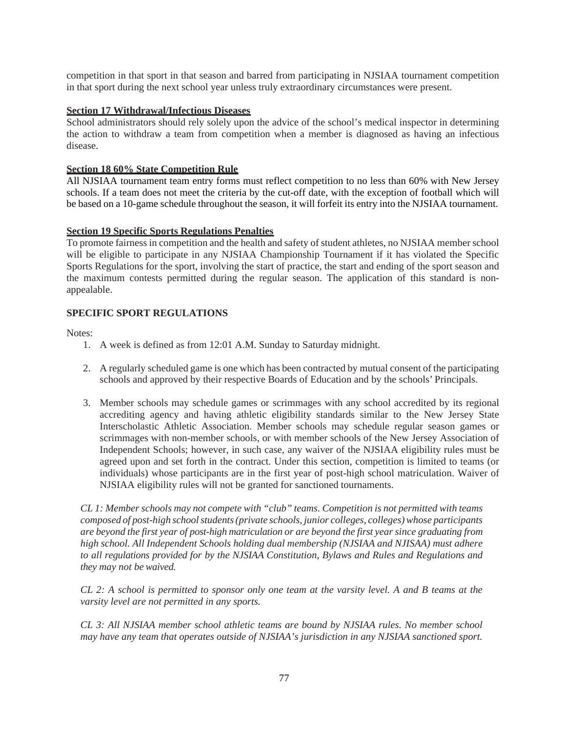competition in that sport in that season and barred from participating in NJSIAA tournament competition in that sport during the next school year unless truly extraordinary circumstances were present.

#### **Section 17 Withdrawal/Infectious Diseases**

School administrators should rely solely upon the advice of the school's medical inspector in determining the action to withdraw a team from competition when a member is diagnosed as having an infectious disease.

#### **Section 18 60% State Competition Rule**

All NJSIAA tournament team entry forms must reflect competition to no less than 60% with New Jersey schools. If a team does not meet the criteria by the cut-off date, with the exception of football which will be based on a 10-game schedule throughout the season, it will forfeit its entry into the NJSIAA tournament.

#### **Section 19 Specific Sports Regulations Penalties**

To promote fairness in competition and the health and safety of student athletes, no NJSIAA member school will be eligible to participate in any NJSIAA Championship Tournament if it has violated the Specific Sports Regulations for the sport, involving the start of practice, the start and ending of the sport season and the maximum contests permitted during the regular season. The application of this standard is nonappealable.

### **SPECIFIC SPORT REGULATIONS**

Notes:

- 1. A week is defined as from 12:01 A.M. Sunday to Saturday midnight.
- 2. A regularly scheduled game is one which has been contracted by mutual consent of the participating schools and approved by their respective Boards of Education and by the schools' Principals.
- 3. Member schools may schedule games or scrimmages with any school accredited by its regional accrediting agency and having athletic eligibility standards similar to the New Jersey State Interscholastic Athletic Association. Member schools may schedule regular season games or scrimmages with non-member schools, or with member schools of the New Jersey Association of Independent Schools; however, in such case, any waiver of the NJSIAA eligibility rules must be agreed upon and set forth in the contract. Under this section, competition is limited to teams (or individuals) whose participants are in the first year of post-high school matriculation. Waiver of NJSIAA eligibility rules will not be granted for sanctioned tournaments.

*CL 1: Member schools may not compete with "club" teams. Competition is not permitted with teams composed of post-high school students (private schools, junior colleges, colleges) whose participants are beyond the first year of post-high matriculation or are beyond the first year since graduating from high school. All Independent Schools holding dual membership (NJSIAA and NJISAA) must adhere to all regulations provided for by the NJSIAA Constitution, Bylaws and Rules and Regulations and they may not be waived.* 

*CL 2: A school is permitted to sponsor only one team at the varsity level. A and B teams at the varsity level are not permitted in any sports.* 

*CL 3: All NJSIAA member school athletic teams are bound by NJSIAA rules. No member school may have any team that operates outside of NJSIAA's jurisdiction in any NJSIAA sanctioned sport.*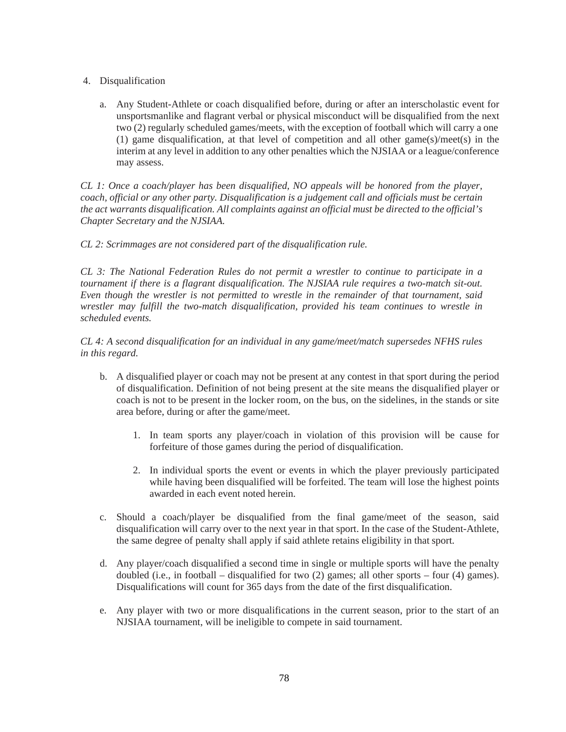- 4. Disqualification
	- a. Any Student-Athlete or coach disqualified before, during or after an interscholastic event for unsportsmanlike and flagrant verbal or physical misconduct will be disqualified from the next two (2) regularly scheduled games/meets, with the exception of football which will carry a one (1) game disqualification, at that level of competition and all other game(s)/meet(s) in the interim at any level in addition to any other penalties which the NJSIAA or a league/conference may assess.

*CL 1: Once a coach/player has been disqualified, NO appeals will be honored from the player, coach, official or any other party. Disqualification is a judgement call and officials must be certain the act warrants disqualification. All complaints against an official must be directed to the official's Chapter Secretary and the NJSIAA.*

*CL 2: Scrimmages are not considered part of the disqualification rule.*

*CL 3: The National Federation Rules do not permit a wrestler to continue to participate in a tournament if there is a flagrant disqualification. The NJSIAA rule requires a two-match sit-out. Even though the wrestler is not permitted to wrestle in the remainder of that tournament, said wrestler may fulfill the two-match disqualification, provided his team continues to wrestle in scheduled events.*

*CL 4: A second disqualification for an individual in any game/meet/match supersedes NFHS rules in this regard.*

- b. A disqualified player or coach may not be present at any contest in that sport during the period of disqualification. Definition of not being present at the site means the disqualified player or coach is not to be present in the locker room, on the bus, on the sidelines, in the stands or site area before, during or after the game/meet.
	- 1. In team sports any player/coach in violation of this provision will be cause for forfeiture of those games during the period of disqualification.
	- 2. In individual sports the event or events in which the player previously participated while having been disqualified will be forfeited. The team will lose the highest points awarded in each event noted herein.
- c. Should a coach/player be disqualified from the final game/meet of the season, said disqualification will carry over to the next year in that sport. In the case of the Student-Athlete, the same degree of penalty shall apply if said athlete retains eligibility in that sport.
- d. Any player/coach disqualified a second time in single or multiple sports will have the penalty doubled (i.e., in football – disqualified for two (2) games; all other sports – four (4) games). Disqualifications will count for 365 days from the date of the first disqualification.
- e. Any player with two or more disqualifications in the current season, prior to the start of an NJSIAA tournament, will be ineligible to compete in said tournament.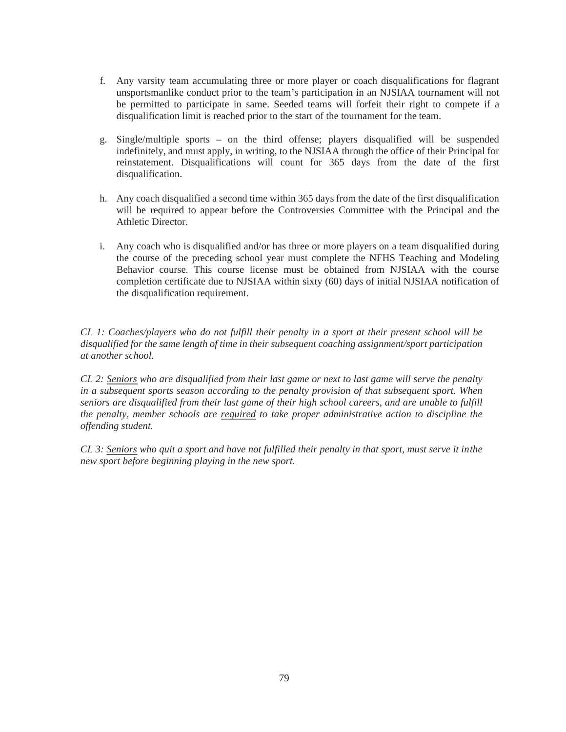- f. Any varsity team accumulating three or more player or coach disqualifications for flagrant unsportsmanlike conduct prior to the team's participation in an NJSIAA tournament will not be permitted to participate in same. Seeded teams will forfeit their right to compete if a disqualification limit is reached prior to the start of the tournament for the team.
- g. Single/multiple sports on the third offense; players disqualified will be suspended indefinitely, and must apply, in writing, to the NJSIAA through the office of their Principal for reinstatement. Disqualifications will count for 365 days from the date of the first disqualification.
- h. Any coach disqualified a second time within 365 days from the date of the first disqualification will be required to appear before the Controversies Committee with the Principal and the Athletic Director.
- i. Any coach who is disqualified and/or has three or more players on a team disqualified during the course of the preceding school year must complete the NFHS Teaching and Modeling Behavior course. This course license must be obtained from NJSIAA with the course completion certificate due to NJSIAA within sixty (60) days of initial NJSIAA notification of the disqualification requirement.

*CL 1: Coaches/players who do not fulfill their penalty in a sport at their present school will be disqualified for the same length of time in their subsequent coaching assignment/sport participation at another school.*

*CL 2: Seniors who are disqualified from their last game or next to last game will serve the penalty in a subsequent sports season according to the penalty provision of that subsequent sport. When seniors are disqualified from their last game of their high school careers, and are unable to fulfill the penalty, member schools are required to take proper administrative action to discipline the offending student.*

*CL 3: Seniors who quit a sport and have not fulfilled their penalty in that sport, must serve it in the new sport before beginning playing in the new sport.*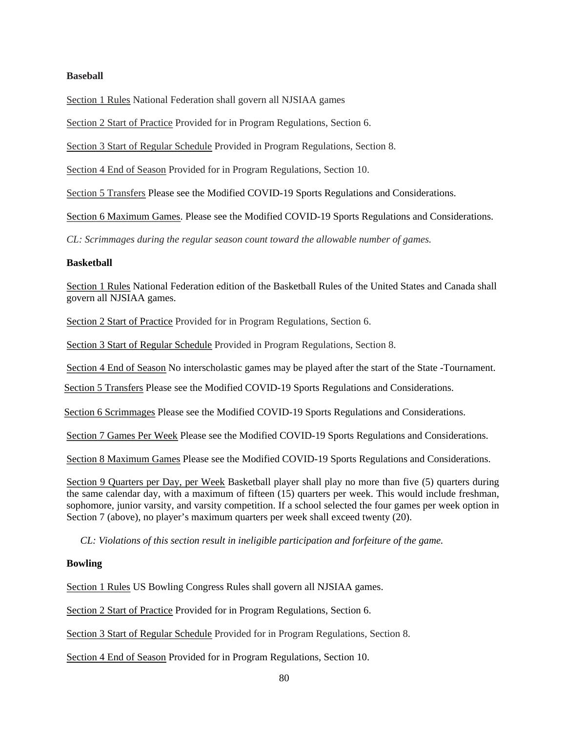## **Baseball**

Section 1 Rules National Federation shall govern all NJSIAA games

Section 2 Start of Practice Provided for in Program Regulations, Section 6.

Section 3 Start of Regular Schedule Provided in Program Regulations, Section 8.

Section 4 End of Season Provided for in Program Regulations, Section 10.

Section 5 Transfers Please see the Modified COVID-19 Sports Regulations and Considerations.

Section 6 Maximum Games. Please see the Modified COVID-19 Sports Regulations and Considerations.

*CL: Scrimmages during the regular season count toward the allowable number of games.*

#### **Basketball**

Section 1 Rules National Federation edition of the Basketball Rules of the United States and Canada shall govern all NJSIAA games.

Section 2 Start of Practice Provided for in Program Regulations, Section 6.

Section 3 Start of Regular Schedule Provided in Program Regulations, Section 8.

Section 4 End of Season No interscholastic games may be played after the start of the State -Tournament.

Section 5 Transfers Please see the Modified COVID-19 Sports Regulations and Considerations.

Section 6 Scrimmages Please see the Modified COVID-19 Sports Regulations and Considerations.

Section 7 Games Per Week Please see the Modified COVID-19 Sports Regulations and Considerations.

Section 8 Maximum Games Please see the Modified COVID-19 Sports Regulations and Considerations.

Section 9 Quarters per Day, per Week Basketball player shall play no more than five (5) quarters during the same calendar day, with a maximum of fifteen (15) quarters per week. This would include freshman, sophomore, junior varsity, and varsity competition. If a school selected the four games per week option in Section 7 (above), no player's maximum quarters per week shall exceed twenty (20).

*CL: Violations of this section result in ineligible participation and forfeiture of the game.* 

### **Bowling**

Section 1 Rules US Bowling Congress Rules shall govern all NJSIAA games.

Section 2 Start of Practice Provided for in Program Regulations, Section 6.

Section 3 Start of Regular Schedule Provided for in Program Regulations, Section 8.

Section 4 End of Season Provided for in Program Regulations, Section 10.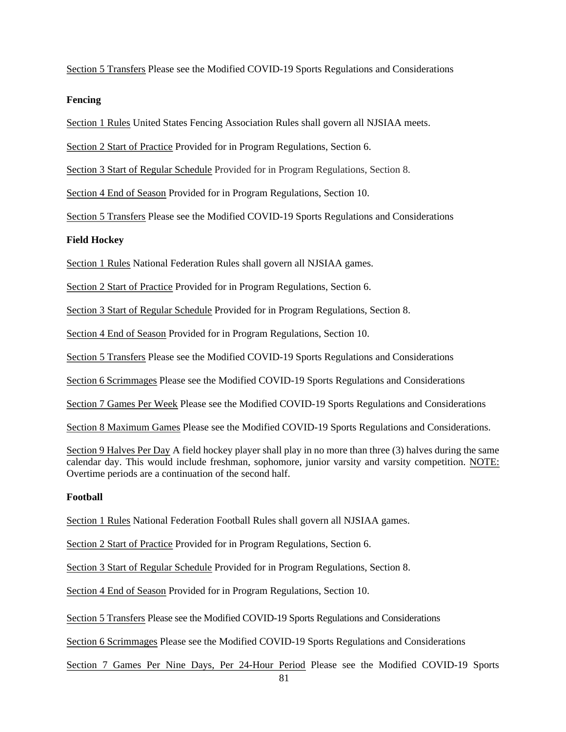Section 5 Transfers Please see the Modified COVID-19 Sports Regulations and Considerations

#### **Fencing**

Section 1 Rules United States Fencing Association Rules shall govern all NJSIAA meets.

Section 2 Start of Practice Provided for in Program Regulations, Section 6.

Section 3 Start of Regular Schedule Provided for in Program Regulations, Section 8.

Section 4 End of Season Provided for in Program Regulations, Section 10.

Section 5 Transfers Please see the Modified COVID-19 Sports Regulations and Considerations

#### **Field Hockey**

Section 1 Rules National Federation Rules shall govern all NJSIAA games.

Section 2 Start of Practice Provided for in Program Regulations, Section 6.

Section 3 Start of Regular Schedule Provided for in Program Regulations, Section 8.

Section 4 End of Season Provided for in Program Regulations, Section 10.

Section 5 Transfers Please see the Modified COVID-19 Sports Regulations and Considerations

Section 6 Scrimmages Please see the Modified COVID-19 Sports Regulations and Considerations

Section 7 Games Per Week Please see the Modified COVID-19 Sports Regulations and Considerations

Section 8 Maximum Games Please see the Modified COVID-19 Sports Regulations and Considerations.

Section 9 Halves Per Day A field hockey player shall play in no more than three (3) halves during the same calendar day. This would include freshman, sophomore, junior varsity and varsity competition. NOTE: Overtime periods are a continuation of the second half.

#### **Football**

Section 1 Rules National Federation Football Rules shall govern all NJSIAA games.

Section 2 Start of Practice Provided for in Program Regulations, Section 6.

Section 3 Start of Regular Schedule Provided for in Program Regulations, Section 8.

Section 4 End of Season Provided for in Program Regulations, Section 10.

Section 5 Transfers Please see the Modified COVID-19 Sports Regulations and Considerations

Section 6 Scrimmages Please see the Modified COVID-19 Sports Regulations and Considerations

Section 7 Games Per Nine Days, Per 24-Hour Period Please see the Modified COVID-19 Sports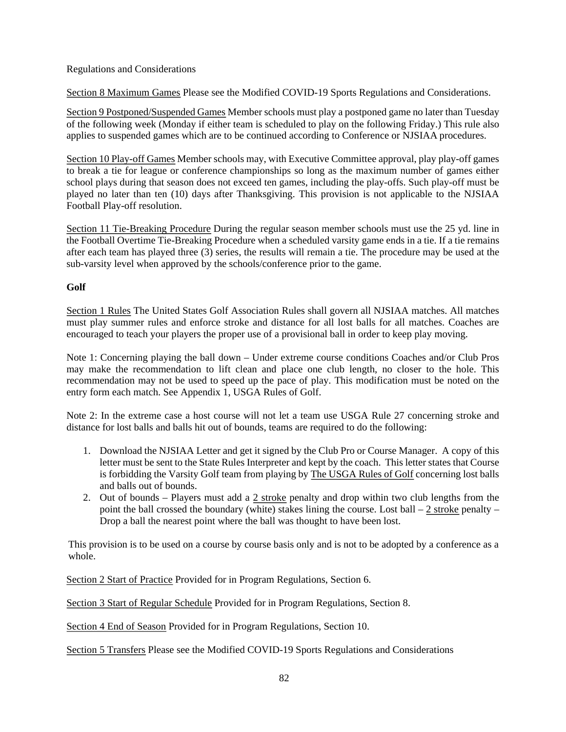## Regulations and Considerations

Section 8 Maximum Games Please see the Modified COVID-19 Sports Regulations and Considerations.

Section 9 Postponed/Suspended Games Member schools must play a postponed game no later than Tuesday of the following week (Monday if either team is scheduled to play on the following Friday.) This rule also applies to suspended games which are to be continued according to Conference or NJSIAA procedures.

Section 10 Play-off Games Member schools may, with Executive Committee approval, play play-off games to break a tie for league or conference championships so long as the maximum number of games either school plays during that season does not exceed ten games, including the play-offs. Such play-off must be played no later than ten (10) days after Thanksgiving. This provision is not applicable to the NJSIAA Football Play-off resolution.

Section 11 Tie-Breaking Procedure During the regular season member schools must use the 25 yd. line in the Football Overtime Tie-Breaking Procedure when a scheduled varsity game ends in a tie. If a tie remains after each team has played three (3) series, the results will remain a tie. The procedure may be used at the sub-varsity level when approved by the schools/conference prior to the game.

# **Golf**

Section 1 Rules The United States Golf Association Rules shall govern all NJSIAA matches. All matches must play summer rules and enforce stroke and distance for all lost balls for all matches. Coaches are encouraged to teach your players the proper use of a provisional ball in order to keep play moving.

Note 1: Concerning playing the ball down – Under extreme course conditions Coaches and/or Club Pros may make the recommendation to lift clean and place one club length, no closer to the hole. This recommendation may not be used to speed up the pace of play. This modification must be noted on the entry form each match. See Appendix 1, USGA Rules of Golf.

Note 2: In the extreme case a host course will not let a team use USGA Rule 27 concerning stroke and distance for lost balls and balls hit out of bounds, teams are required to do the following:

- 1. Download the NJSIAA Letter and get it signed by the Club Pro or Course Manager. A copy of this letter must be sent to the State Rules Interpreter and kept by the coach. This letter states that Course is forbidding the Varsity Golf team from playing by The USGA Rules of Golf concerning lost balls and balls out of bounds.
- 2. Out of bounds Players must add a  $2$  stroke penalty and drop within two club lengths from the point the ball crossed the boundary (white) stakes lining the course. Lost ball  $-2$  stroke penalty – Drop a ball the nearest point where the ball was thought to have been lost.

This provision is to be used on a course by course basis only and is not to be adopted by a conference as a whole.

Section 2 Start of Practice Provided for in Program Regulations, Section 6.

Section 3 Start of Regular Schedule Provided for in Program Regulations, Section 8.

Section 4 End of Season Provided for in Program Regulations, Section 10.

Section 5 Transfers Please see the Modified COVID-19 Sports Regulations and Considerations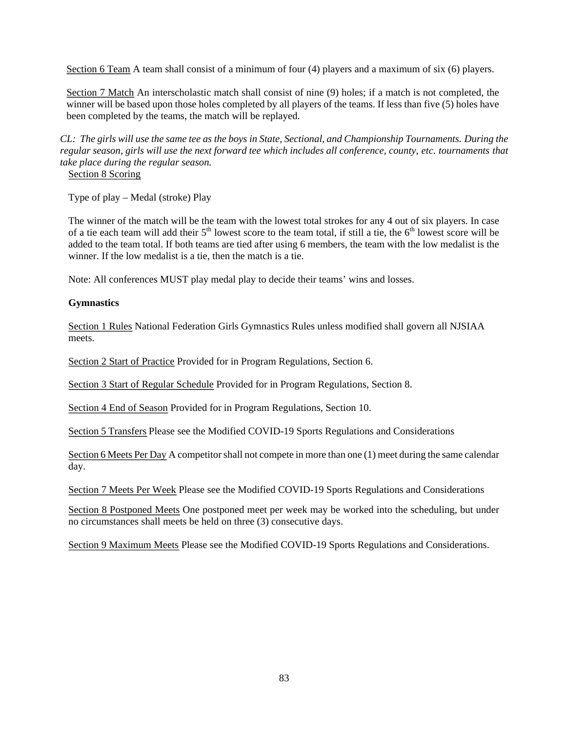Section 6 Team A team shall consist of a minimum of four (4) players and a maximum of six (6) players.

Section 7 Match An interscholastic match shall consist of nine (9) holes; if a match is not completed, the winner will be based upon those holes completed by all players of the teams. If less than five (5) holes have been completed by the teams, the match will be replayed.

*CL: The girls will use the same tee as the boys in State, Sectional, and Championship Tournaments. During the*  regular season, girls will use the next forward tee which includes all conference, county, etc. tournaments that *take place during the regular season.* 

Section 8 Scoring

Type of play – Medal (stroke) Play

The winner of the match will be the team with the lowest total strokes for any 4 out of six players. In case of a tie each team will add their  $5<sup>th</sup>$  lowest score to the team total, if still a tie, the  $6<sup>th</sup>$  lowest score will be added to the team total. If both teams are tied after using 6 members, the team with the low medalist is the winner. If the low medalist is a tie, then the match is a tie.

Note: All conferences MUST play medal play to decide their teams' wins and losses.

### **Gymnastics**

Section 1 Rules National Federation Girls Gymnastics Rules unless modified shall govern all NJSIAA meets.

Section 2 Start of Practice Provided for in Program Regulations, Section 6.

Section 3 Start of Regular Schedule Provided for in Program Regulations, Section 8.

Section 4 End of Season Provided for in Program Regulations, Section 10.

Section 5 Transfers Please see the Modified COVID-19 Sports Regulations and Considerations

Section 6 Meets Per Day A competitor shall not compete in more than one (1) meet during the same calendar day.

Section 7 Meets Per Week Please see the Modified COVID-19 Sports Regulations and Considerations

Section 8 Postponed Meets One postponed meet per week may be worked into the scheduling, but under no circumstances shall meets be held on three (3) consecutive days.

Section 9 Maximum Meets Please see the Modified COVID-19 Sports Regulations and Considerations.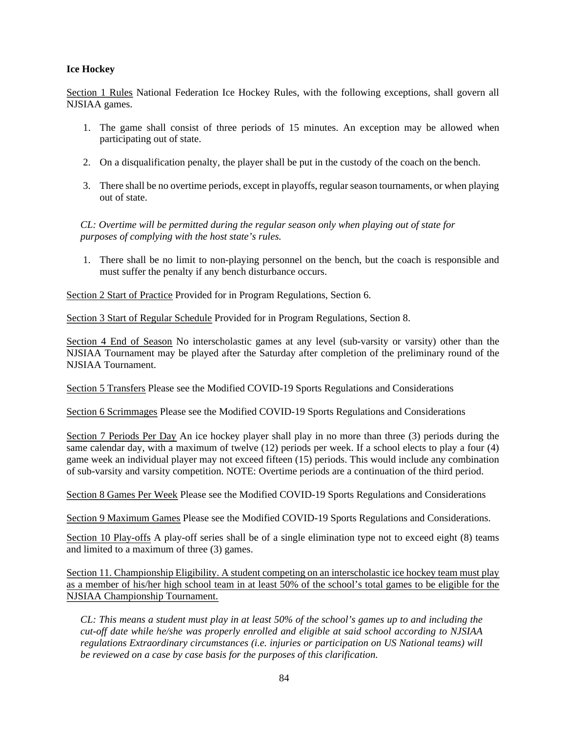# **Ice Hockey**

Section 1 Rules National Federation Ice Hockey Rules, with the following exceptions, shall govern all NJSIAA games.

- 1. The game shall consist of three periods of 15 minutes. An exception may be allowed when participating out of state.
- 2. On a disqualification penalty, the player shall be put in the custody of the coach on the bench.
- 3. There shall be no overtime periods, except in playoffs, regular season tournaments, or when playing out of state.

*CL: Overtime will be permitted during the regular season only when playing out of state for purposes of complying with the host state's rules.* 

1. There shall be no limit to non-playing personnel on the bench, but the coach is responsible and must suffer the penalty if any bench disturbance occurs.

Section 2 Start of Practice Provided for in Program Regulations, Section 6.

Section 3 Start of Regular Schedule Provided for in Program Regulations, Section 8.

Section 4 End of Season No interscholastic games at any level (sub-varsity or varsity) other than the NJSIAA Tournament may be played after the Saturday after completion of the preliminary round of the NJSIAA Tournament.

Section 5 Transfers Please see the Modified COVID-19 Sports Regulations and Considerations

Section 6 Scrimmages Please see the Modified COVID-19 Sports Regulations and Considerations

Section 7 Periods Per Day An ice hockey player shall play in no more than three (3) periods during the same calendar day, with a maximum of twelve (12) periods per week. If a school elects to play a four (4) game week an individual player may not exceed fifteen (15) periods. This would include any combination of sub-varsity and varsity competition. NOTE: Overtime periods are a continuation of the third period.

Section 8 Games Per Week Please see the Modified COVID-19 Sports Regulations and Considerations

Section 9 Maximum Games Please see the Modified COVID-19 Sports Regulations and Considerations.

Section 10 Play-offs A play-off series shall be of a single elimination type not to exceed eight (8) teams and limited to a maximum of three (3) games.

Section 11. Championship Eligibility. A student competing on an interscholastic ice hockey team must play as a member of his/her high school team in at least 50% of the school's total games to be eligible for the NJSIAA Championship Tournament.

*CL: This means a student must play in at least 50% of the school's games up to and including the cut-off date while he/she was properly enrolled and eligible at said school according to NJSIAA regulations Extraordinary circumstances (i.e. injuries or participation on US National teams) will be reviewed on a case by case basis for the purposes of this clarification.*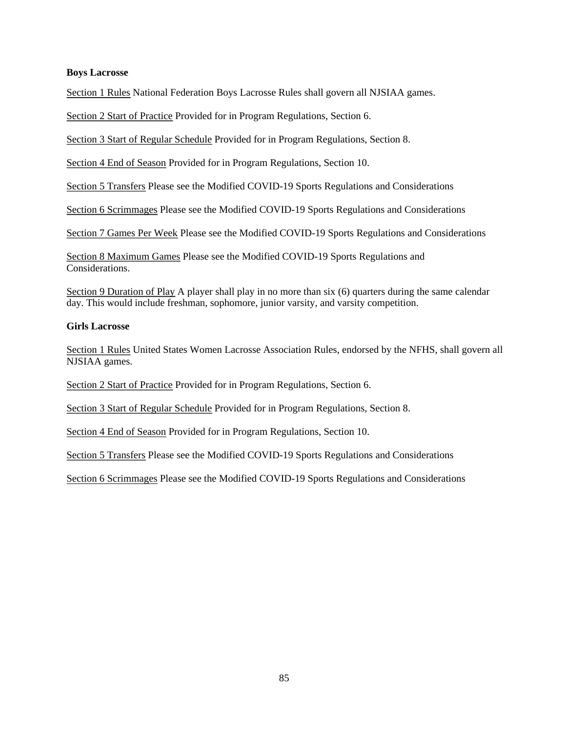#### **Boys Lacrosse**

Section 1 Rules National Federation Boys Lacrosse Rules shall govern all NJSIAA games.

Section 2 Start of Practice Provided for in Program Regulations, Section 6.

Section 3 Start of Regular Schedule Provided for in Program Regulations, Section 8.

Section 4 End of Season Provided for in Program Regulations, Section 10.

Section 5 Transfers Please see the Modified COVID-19 Sports Regulations and Considerations

Section 6 Scrimmages Please see the Modified COVID-19 Sports Regulations and Considerations

Section 7 Games Per Week Please see the Modified COVID-19 Sports Regulations and Considerations

Section 8 Maximum Games Please see the Modified COVID-19 Sports Regulations and Considerations.

Section 9 Duration of Play A player shall play in no more than six (6) quarters during the same calendar day. This would include freshman, sophomore, junior varsity, and varsity competition.

#### **Girls Lacrosse**

Section 1 Rules United States Women Lacrosse Association Rules, endorsed by the NFHS, shall govern all NJSIAA games.

Section 2 Start of Practice Provided for in Program Regulations, Section 6.

Section 3 Start of Regular Schedule Provided for in Program Regulations, Section 8.

Section 4 End of Season Provided for in Program Regulations, Section 10.

Section 5 Transfers Please see the Modified COVID-19 Sports Regulations and Considerations

Section 6 Scrimmages Please see the Modified COVID-19 Sports Regulations and Considerations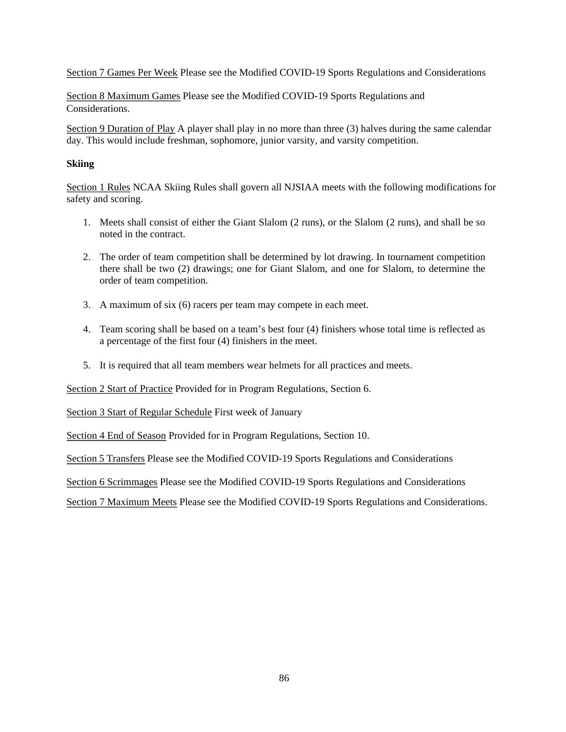Section 7 Games Per Week Please see the Modified COVID-19 Sports Regulations and Considerations

Section 8 Maximum Games Please see the Modified COVID-19 Sports Regulations and Considerations.

Section 9 Duration of Play A player shall play in no more than three (3) halves during the same calendar day. This would include freshman, sophomore, junior varsity, and varsity competition.

### **Skiing**

Section 1 Rules NCAA Skiing Rules shall govern all NJSIAA meets with the following modifications for safety and scoring.

- 1. Meets shall consist of either the Giant Slalom (2 runs), or the Slalom (2 runs), and shall be so noted in the contract.
- 2. The order of team competition shall be determined by lot drawing. In tournament competition there shall be two (2) drawings; one for Giant Slalom, and one for Slalom, to determine the order of team competition.
- 3. A maximum of six (6) racers per team may compete in each meet.
- 4. Team scoring shall be based on a team's best four (4) finishers whose total time is reflected as a percentage of the first four (4) finishers in the meet.
- 5. It is required that all team members wear helmets for all practices and meets.

Section 2 Start of Practice Provided for in Program Regulations, Section 6.

Section 3 Start of Regular Schedule First week of January

Section 4 End of Season Provided for in Program Regulations, Section 10.

Section 5 Transfers Please see the Modified COVID-19 Sports Regulations and Considerations

Section 6 Scrimmages Please see the Modified COVID-19 Sports Regulations and Considerations

Section 7 Maximum Meets Please see the Modified COVID-19 Sports Regulations and Considerations.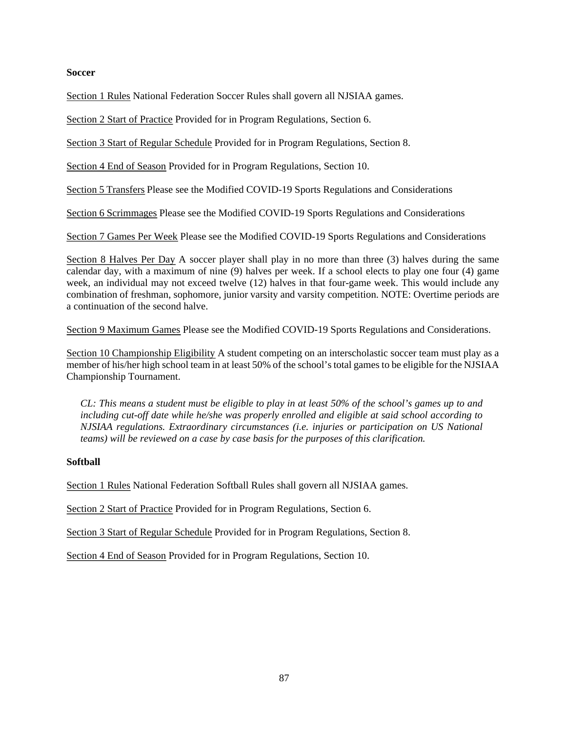## **Soccer**

Section 1 Rules National Federation Soccer Rules shall govern all NJSIAA games.

Section 2 Start of Practice Provided for in Program Regulations, Section 6.

Section 3 Start of Regular Schedule Provided for in Program Regulations, Section 8.

Section 4 End of Season Provided for in Program Regulations, Section 10.

Section 5 Transfers Please see the Modified COVID-19 Sports Regulations and Considerations

Section 6 Scrimmages Please see the Modified COVID-19 Sports Regulations and Considerations

Section 7 Games Per Week Please see the Modified COVID-19 Sports Regulations and Considerations

Section 8 Halves Per Day A soccer player shall play in no more than three (3) halves during the same calendar day, with a maximum of nine (9) halves per week. If a school elects to play one four (4) game week, an individual may not exceed twelve (12) halves in that four-game week. This would include any combination of freshman, sophomore, junior varsity and varsity competition. NOTE: Overtime periods are a continuation of the second halve.

Section 9 Maximum Games Please see the Modified COVID-19 Sports Regulations and Considerations.

Section 10 Championship Eligibility A student competing on an interscholastic soccer team must play as a member of his/her high school team in at least 50% of the school's total games to be eligible for the NJSIAA Championship Tournament.

*CL: This means a student must be eligible to play in at least 50% of the school's games up to and including cut-off date while he/she was properly enrolled and eligible at said school according to NJSIAA regulations. Extraordinary circumstances (i.e. injuries or participation on US National teams) will be reviewed on a case by case basis for the purposes of this clarification.* 

### **Softball**

Section 1 Rules National Federation Softball Rules shall govern all NJSIAA games.

Section 2 Start of Practice Provided for in Program Regulations, Section 6.

Section 3 Start of Regular Schedule Provided for in Program Regulations, Section 8.

Section 4 End of Season Provided for in Program Regulations, Section 10.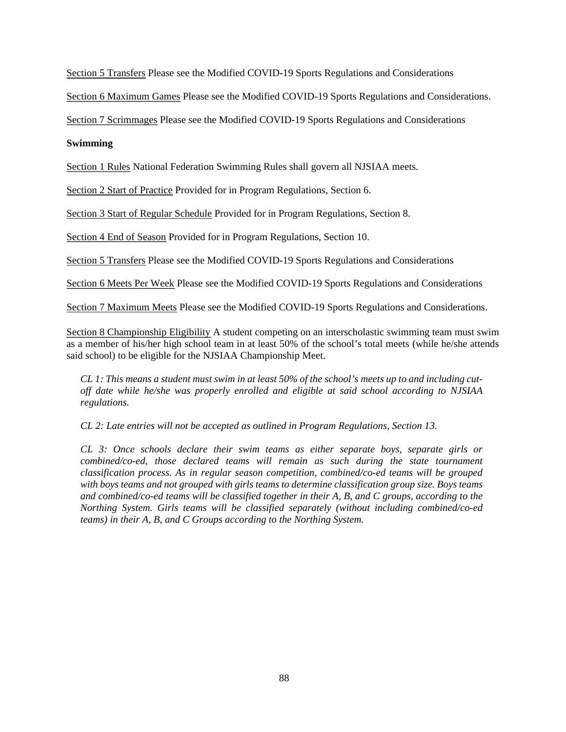Section 5 Transfers Please see the Modified COVID-19 Sports Regulations and Considerations

Section 6 Maximum Games Please see the Modified COVID-19 Sports Regulations and Considerations.

Section 7 Scrimmages Please see the Modified COVID-19 Sports Regulations and Considerations

### **Swimming**

Section 1 Rules National Federation Swimming Rules shall govern all NJSIAA meets.

Section 2 Start of Practice Provided for in Program Regulations, Section 6.

Section 3 Start of Regular Schedule Provided for in Program Regulations, Section 8.

Section 4 End of Season Provided for in Program Regulations, Section 10.

Section 5 Transfers Please see the Modified COVID-19 Sports Regulations and Considerations

Section 6 Meets Per Week Please see the Modified COVID-19 Sports Regulations and Considerations

Section 7 Maximum Meets Please see the Modified COVID-19 Sports Regulations and Considerations.

Section 8 Championship Eligibility A student competing on an interscholastic swimming team must swim as a member of his/her high school team in at least 50% of the school's total meets (while he/she attends said school) to be eligible for the NJSIAA Championship Meet.

*CL 1: This means a student must swim in at least 50% of the school's meets up to and including cutoff date while he/she was properly enrolled and eligible at said school according to NJSIAA regulations.* 

*CL 2: Late entries will not be accepted as outlined in Program Regulations, Section 13.* 

*CL 3: Once schools declare their swim teams as either separate boys, separate girls or combined/co-ed, those declared teams will remain as such during the state tournament classification process. As in regular season competition, combined/co-ed teams will be grouped with boys teams and not grouped with girls teams to determine classification group size. Boys teams and combined/co-ed teams will be classified together in their A, B, and C groups, according to the Northing System. Girls teams will be classified separately (without including combined/co-ed teams) in their A, B, and C Groups according to the Northing System.*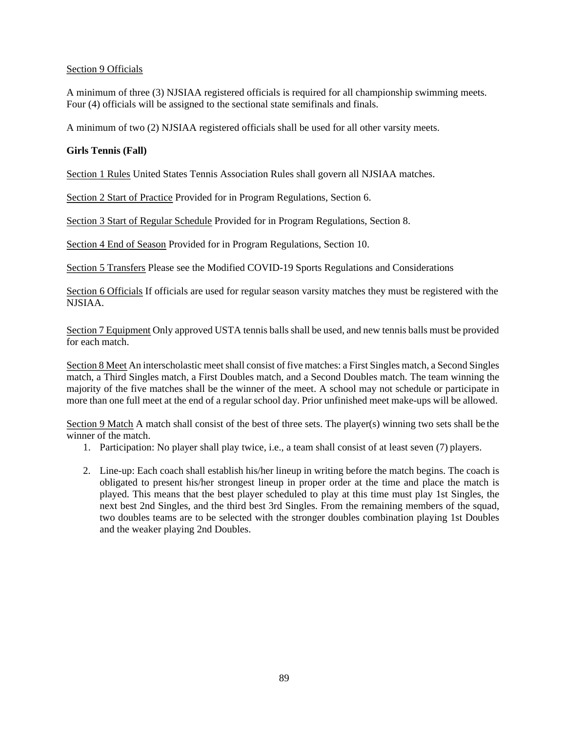# Section 9 Officials

A minimum of three (3) NJSIAA registered officials is required for all championship swimming meets. Four (4) officials will be assigned to the sectional state semifinals and finals.

A minimum of two (2) NJSIAA registered officials shall be used for all other varsity meets.

# **Girls Tennis (Fall)**

Section 1 Rules United States Tennis Association Rules shall govern all NJSIAA matches.

Section 2 Start of Practice Provided for in Program Regulations, Section 6.

Section 3 Start of Regular Schedule Provided for in Program Regulations, Section 8.

Section 4 End of Season Provided for in Program Regulations, Section 10.

Section 5 Transfers Please see the Modified COVID-19 Sports Regulations and Considerations

Section 6 Officials If officials are used for regular season varsity matches they must be registered with the NJSIAA.

Section 7 Equipment Only approved USTA tennis balls shall be used, and new tennis balls must be provided for each match.

Section 8 Meet An interscholastic meet shall consist of five matches: a First Singles match, a Second Singles match, a Third Singles match, a First Doubles match, and a Second Doubles match. The team winning the majority of the five matches shall be the winner of the meet. A school may not schedule or participate in more than one full meet at the end of a regular school day. Prior unfinished meet make-ups will be allowed.

Section 9 Match A match shall consist of the best of three sets. The player(s) winning two sets shall be the winner of the match.

- 1. Participation: No player shall play twice, i.e., a team shall consist of at least seven (7) players.
- 2. Line-up: Each coach shall establish his/her lineup in writing before the match begins. The coach is obligated to present his/her strongest lineup in proper order at the time and place the match is played. This means that the best player scheduled to play at this time must play 1st Singles, the next best 2nd Singles, and the third best 3rd Singles. From the remaining members of the squad, two doubles teams are to be selected with the stronger doubles combination playing 1st Doubles and the weaker playing 2nd Doubles.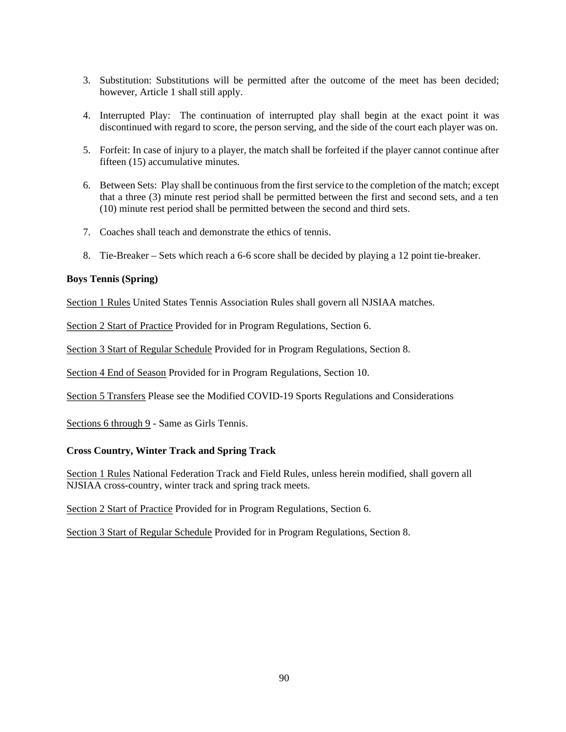- 3. Substitution: Substitutions will be permitted after the outcome of the meet has been decided; however, Article 1 shall still apply.
- 4. Interrupted Play: The continuation of interrupted play shall begin at the exact point it was discontinued with regard to score, the person serving, and the side of the court each player was on.
- 5. Forfeit: In case of injury to a player, the match shall be forfeited if the player cannot continue after fifteen (15) accumulative minutes.
- 6. Between Sets: Play shall be continuous from the first service to the completion of the match; except that a three (3) minute rest period shall be permitted between the first and second sets, and a ten (10) minute rest period shall be permitted between the second and third sets.
- 7. Coaches shall teach and demonstrate the ethics of tennis.
- 8. Tie-Breaker Sets which reach a 6-6 score shall be decided by playing a 12 point tie-breaker.

#### **Boys Tennis (Spring)**

Section 1 Rules United States Tennis Association Rules shall govern all NJSIAA matches.

Section 2 Start of Practice Provided for in Program Regulations, Section 6.

Section 3 Start of Regular Schedule Provided for in Program Regulations, Section 8.

Section 4 End of Season Provided for in Program Regulations, Section 10.

Section 5 Transfers Please see the Modified COVID-19 Sports Regulations and Considerations

Sections 6 through 9 - Same as Girls Tennis.

### **Cross Country, Winter Track and Spring Track**

Section 1 Rules National Federation Track and Field Rules, unless herein modified, shall govern all NJSIAA cross-country, winter track and spring track meets.

Section 2 Start of Practice Provided for in Program Regulations, Section 6.

Section 3 Start of Regular Schedule Provided for in Program Regulations, Section 8.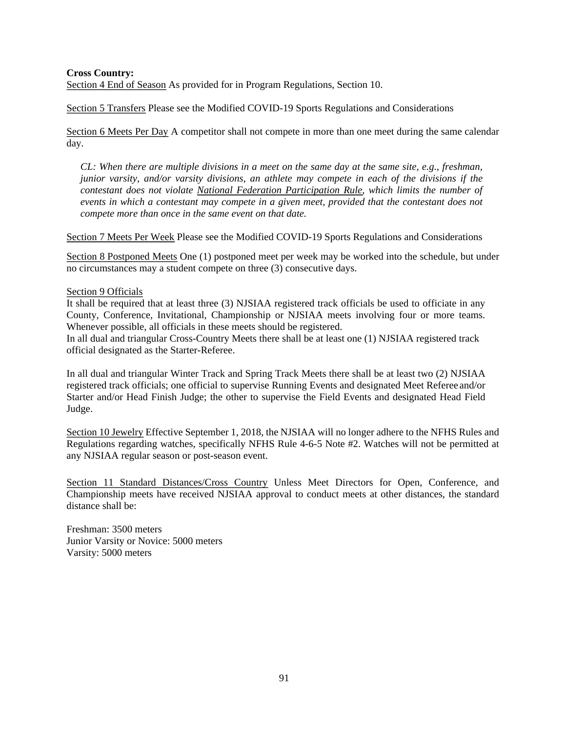#### **Cross Country:**

Section 4 End of Season As provided for in Program Regulations, Section 10.

Section 5 Transfers Please see the Modified COVID-19 Sports Regulations and Considerations

Section 6 Meets Per Day A competitor shall not compete in more than one meet during the same calendar day.

*CL: When there are multiple divisions in a meet on the same day at the same site, e.g., freshman, junior varsity, and/or varsity divisions, an athlete may compete in each of the divisions if the contestant does not violate National Federation Participation Rule, which limits the number of events in which a contestant may compete in a given meet, provided that the contestant does not compete more than once in the same event on that date.* 

Section 7 Meets Per Week Please see the Modified COVID-19 Sports Regulations and Considerations

Section 8 Postponed Meets One (1) postponed meet per week may be worked into the schedule, but under no circumstances may a student compete on three (3) consecutive days.

#### Section 9 Officials

It shall be required that at least three (3) NJSIAA registered track officials be used to officiate in any County, Conference, Invitational, Championship or NJSIAA meets involving four or more teams. Whenever possible, all officials in these meets should be registered.

In all dual and triangular Cross-Country Meets there shall be at least one (1) NJSIAA registered track official designated as the Starter-Referee.

In all dual and triangular Winter Track and Spring Track Meets there shall be at least two (2) NJSIAA registered track officials; one official to supervise Running Events and designated Meet Referee and/or Starter and/or Head Finish Judge; the other to supervise the Field Events and designated Head Field Judge.

Section 10 Jewelry Effective September 1, 2018, the NJSIAA will no longer adhere to the NFHS Rules and Regulations regarding watches, specifically NFHS Rule 4-6-5 Note #2. Watches will not be permitted at any NJSIAA regular season or post-season event.

Section 11 Standard Distances/Cross Country Unless Meet Directors for Open, Conference, and Championship meets have received NJSIAA approval to conduct meets at other distances, the standard distance shall be:

Freshman: 3500 meters Junior Varsity or Novice: 5000 meters Varsity: 5000 meters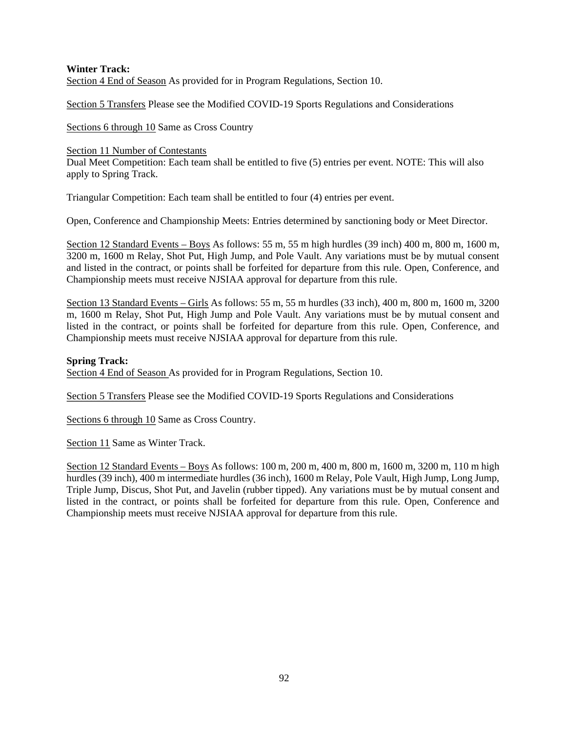# **Winter Track:**  Section 4 End of Season As provided for in Program Regulations, Section 10.

Section 5 Transfers Please see the Modified COVID-19 Sports Regulations and Considerations

Sections 6 through 10 Same as Cross Country

### Section 11 Number of Contestants

Dual Meet Competition: Each team shall be entitled to five (5) entries per event. NOTE: This will also apply to Spring Track.

Triangular Competition: Each team shall be entitled to four (4) entries per event.

Open, Conference and Championship Meets: Entries determined by sanctioning body or Meet Director.

Section 12 Standard Events – Boys As follows: 55 m, 55 m high hurdles (39 inch) 400 m, 800 m, 1600 m, 3200 m, 1600 m Relay, Shot Put, High Jump, and Pole Vault. Any variations must be by mutual consent and listed in the contract, or points shall be forfeited for departure from this rule. Open, Conference, and Championship meets must receive NJSIAA approval for departure from this rule.

Section 13 Standard Events – Girls As follows: 55 m, 55 m hurdles (33 inch), 400 m, 800 m, 1600 m, 3200 m, 1600 m Relay, Shot Put, High Jump and Pole Vault. Any variations must be by mutual consent and listed in the contract, or points shall be forfeited for departure from this rule. Open, Conference, and Championship meets must receive NJSIAA approval for departure from this rule.

# **Spring Track:**

Section 4 End of Season As provided for in Program Regulations, Section 10.

Section 5 Transfers Please see the Modified COVID-19 Sports Regulations and Considerations

Sections 6 through 10 Same as Cross Country.

Section 11 Same as Winter Track.

Section 12 Standard Events – Boys As follows: 100 m, 200 m, 400 m, 800 m, 1600 m, 3200 m, 110 m high hurdles (39 inch), 400 m intermediate hurdles (36 inch), 1600 m Relay, Pole Vault, High Jump, Long Jump, Triple Jump, Discus, Shot Put, and Javelin (rubber tipped). Any variations must be by mutual consent and listed in the contract, or points shall be forfeited for departure from this rule. Open, Conference and Championship meets must receive NJSIAA approval for departure from this rule.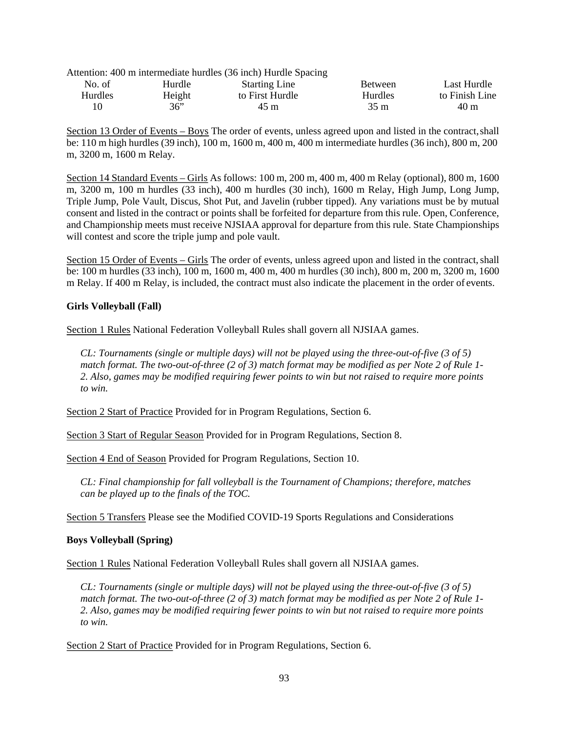|                |        | Attention: 400 m intermediate hurdles (36 inch) Hurdle Spacing |                |                |
|----------------|--------|----------------------------------------------------------------|----------------|----------------|
| No. of         | Hurdle | <b>Starting Line</b>                                           | <b>Between</b> | Last Hurdle    |
| <b>Hurdles</b> | Height | to First Hurdle                                                | <b>Hurdles</b> | to Finish Line |
| 10             | 36"    | 45 m                                                           | $35 \text{ m}$ | 40 m           |

Section 13 Order of Events – Boys The order of events, unless agreed upon and listed in the contract, shall be: 110 m high hurdles (39 inch), 100 m, 1600 m, 400 m, 400 m intermediate hurdles (36 inch), 800 m, 200 m, 3200 m, 1600 m Relay.

Section 14 Standard Events – Girls As follows: 100 m, 200 m, 400 m, 400 m Relay (optional), 800 m, 1600 m, 3200 m, 100 m hurdles (33 inch), 400 m hurdles (30 inch), 1600 m Relay, High Jump, Long Jump, Triple Jump, Pole Vault, Discus, Shot Put, and Javelin (rubber tipped). Any variations must be by mutual consent and listed in the contract or points shall be forfeited for departure from this rule. Open, Conference, and Championship meets must receive NJSIAA approval for departure from this rule. State Championships will contest and score the triple jump and pole vault.

Section 15 Order of Events – Girls The order of events, unless agreed upon and listed in the contract, shall be: 100 m hurdles (33 inch), 100 m, 1600 m, 400 m, 400 m hurdles (30 inch), 800 m, 200 m, 3200 m, 1600 m Relay. If 400 m Relay, is included, the contract must also indicate the placement in the order of events.

### **Girls Volleyball (Fall)**

Section 1 Rules National Federation Volleyball Rules shall govern all NJSIAA games.

*CL: Tournaments (single or multiple days) will not be played using the three-out-of-five (3 of 5) match format. The two-out-of-three (2 of 3) match format may be modified as per Note 2 of Rule 1- 2. Also, games may be modified requiring fewer points to win but not raised to require more points to win.* 

Section 2 Start of Practice Provided for in Program Regulations, Section 6.

Section 3 Start of Regular Season Provided for in Program Regulations, Section 8.

Section 4 End of Season Provided for Program Regulations, Section 10.

*CL: Final championship for fall volleyball is the Tournament of Champions; therefore, matches can be played up to the finals of the TOC.* 

Section 5 Transfers Please see the Modified COVID-19 Sports Regulations and Considerations

### **Boys Volleyball (Spring)**

Section 1 Rules National Federation Volleyball Rules shall govern all NJSIAA games.

*CL: Tournaments (single or multiple days) will not be played using the three-out-of-five (3 of 5) match format. The two-out-of-three (2 of 3) match format may be modified as per Note 2 of Rule 1- 2. Also, games may be modified requiring fewer points to win but not raised to require more points to win.* 

Section 2 Start of Practice Provided for in Program Regulations, Section 6.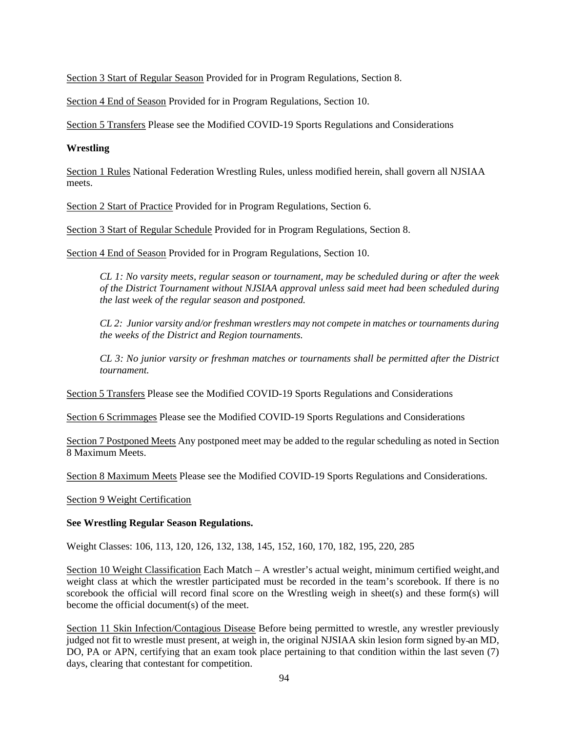Section 3 Start of Regular Season Provided for in Program Regulations, Section 8.

Section 4 End of Season Provided for in Program Regulations, Section 10.

Section 5 Transfers Please see the Modified COVID-19 Sports Regulations and Considerations

# **Wrestling**

Section 1 Rules National Federation Wrestling Rules, unless modified herein, shall govern all NJSIAA meets.

Section 2 Start of Practice Provided for in Program Regulations, Section 6.

Section 3 Start of Regular Schedule Provided for in Program Regulations, Section 8.

Section 4 End of Season Provided for in Program Regulations, Section 10.

*CL 1: No varsity meets, regular season or tournament, may be scheduled during or after the week of the District Tournament without NJSIAA approval unless said meet had been scheduled during the last week of the regular season and postponed.* 

*CL 2: Junior varsity and/or freshman wrestlers may not compete in matches or tournaments during the weeks of the District and Region tournaments.* 

*CL 3: No junior varsity or freshman matches or tournaments shall be permitted after the District tournament.* 

Section 5 Transfers Please see the Modified COVID-19 Sports Regulations and Considerations

Section 6 Scrimmages Please see the Modified COVID-19 Sports Regulations and Considerations

Section 7 Postponed Meets Any postponed meet may be added to the regular scheduling as noted in Section 8 Maximum Meets.

Section 8 Maximum Meets Please see the Modified COVID-19 Sports Regulations and Considerations.

### Section 9 Weight Certification

### **See Wrestling Regular Season Regulations.**

Weight Classes: 106, 113, 120, 126, 132, 138, 145, 152, 160, 170, 182, 195, 220, 285

Section 10 Weight Classification Each Match – A wrestler's actual weight, minimum certified weight, and weight class at which the wrestler participated must be recorded in the team's scorebook. If there is no scorebook the official will record final score on the Wrestling weigh in sheet(s) and these form(s) will become the official document(s) of the meet.

Section 11 Skin Infection/Contagious Disease Before being permitted to wrestle, any wrestler previously judged not fit to wrestle must present, at weigh in, the original NJSIAA skin lesion form signed by-an MD, DO, PA or APN, certifying that an exam took place pertaining to that condition within the last seven (7) days, clearing that contestant for competition.